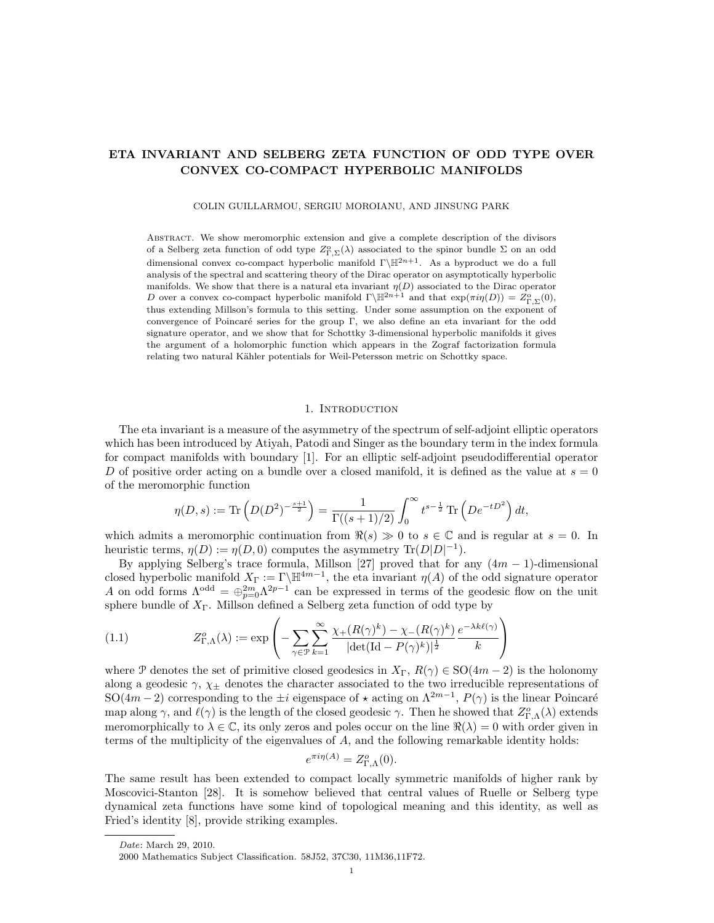# ETA INVARIANT AND SELBERG ZETA FUNCTION OF ODD TYPE OVER CONVEX CO-COMPACT HYPERBOLIC MANIFOLDS

COLIN GUILLARMOU, SERGIU MOROIANU, AND JINSUNG PARK

Abstract. We show meromorphic extension and give a complete description of the divisors of a Selberg zeta function of odd type  $Z_{\Gamma,\Sigma}^{\circ}(\lambda)$  associated to the spinor bundle  $\Sigma$  on an odd dimensional convex co-compact hyperbolic manifold  $\Gamma\backslash\mathbb{H}^{2n+1}$ . As a byproduct we do a full analysis of the spectral and scattering theory of the Dirac operator on asymptotically hyperbolic manifolds. We show that there is a natural eta invariant  $\eta(D)$  associated to the Dirac operator D over a convex co-compact hyperbolic manifold  $\Gamma\backslash\mathbb{H}^{2n+1}$  and that  $\exp(\pi i\eta(D)) = Z_{\Gamma,\Sigma}^{\circ}(0)$ , thus extending Millson's formula to this setting. Under some assumption on the exponent of convergence of Poincar´e series for the group Γ, we also define an eta invariant for the odd signature operator, and we show that for Schottky 3-dimensional hyperbolic manifolds it gives the argument of a holomorphic function which appears in the Zograf factorization formula relating two natural Kähler potentials for Weil-Petersson metric on Schottky space.

# 1. INTRODUCTION

The eta invariant is a measure of the asymmetry of the spectrum of self-adjoint elliptic operators which has been introduced by Atiyah, Patodi and Singer as the boundary term in the index formula for compact manifolds with boundary [1]. For an elliptic self-adjoint pseudodifferential operator D of positive order acting on a bundle over a closed manifold, it is defined as the value at  $s = 0$ of the meromorphic function

$$
\eta(D,s) := \text{Tr}\left(D(D^2)^{-\frac{s+1}{2}}\right) = \frac{1}{\Gamma((s+1)/2)} \int_0^\infty t^{s-\frac{1}{2}} \text{Tr}\left(De^{-tD^2}\right) dt,
$$

which admits a meromorphic continuation from  $\Re(s) \gg 0$  to  $s \in \mathbb{C}$  and is regular at  $s = 0$ . In heuristic terms,  $\eta(D) := \eta(D, 0)$  computes the asymmetry  $\text{Tr}(D|D|^{-1})$ .

By applying Selberg's trace formula, Millson [27] proved that for any  $(4m - 1)$ -dimensional closed hyperbolic manifold  $X_{\Gamma} := \Gamma \backslash \mathbb{H}^{4m-1}$ , the eta invariant  $\eta(A)$  of the odd signature operator A on odd forms  $\Lambda^{odd} = \bigoplus_{p=0}^{2m} \Lambda^{2p-1}$  can be expressed in terms of the geodesic flow on the unit sphere bundle of  $X_{\Gamma}$ . Millson defined a Selberg zeta function of odd type by

(1.1) 
$$
Z_{\Gamma,\Lambda}^o(\lambda) := \exp\left(-\sum_{\gamma \in \mathcal{P}} \sum_{k=1}^{\infty} \frac{\chi_+(R(\gamma)^k) - \chi_-(R(\gamma)^k)}{|\det(\mathrm{Id} - P(\gamma)^k)|^{\frac{1}{2}}} \frac{e^{-\lambda k \ell(\gamma)}}{k}\right)
$$

where P denotes the set of primitive closed geodesics in  $X_{\Gamma}$ ,  $R(\gamma) \in SO(4m-2)$  is the holonomy along a geodesic  $\gamma$ ,  $\chi_{\pm}$  denotes the character associated to the two irreducible representations of SO(4m – 2) corresponding to the  $\pm i$  eigenspace of  $\star$  acting on  $\Lambda^{2m-1}$ ,  $P(\gamma)$  is the linear Poincaré map along  $\gamma$ , and  $\ell(\gamma)$  is the length of the closed geodesic  $\gamma$ . Then he showed that  $Z_{\Gamma,\Lambda}^o(\lambda)$  extends meromorphically to  $\lambda \in \mathbb{C}$ , its only zeros and poles occur on the line  $\Re(\lambda) = 0$  with order given in terms of the multiplicity of the eigenvalues of A, and the following remarkable identity holds:

$$
e^{\pi i \eta(A)} = Z_{\Gamma,\Lambda}^o(0).
$$

The same result has been extended to compact locally symmetric manifolds of higher rank by Moscovici-Stanton [28]. It is somehow believed that central values of Ruelle or Selberg type dynamical zeta functions have some kind of topological meaning and this identity, as well as Fried's identity [8], provide striking examples.

Date: March 29, 2010.

<sup>2000</sup> Mathematics Subject Classification. 58J52, 37C30, 11M36,11F72.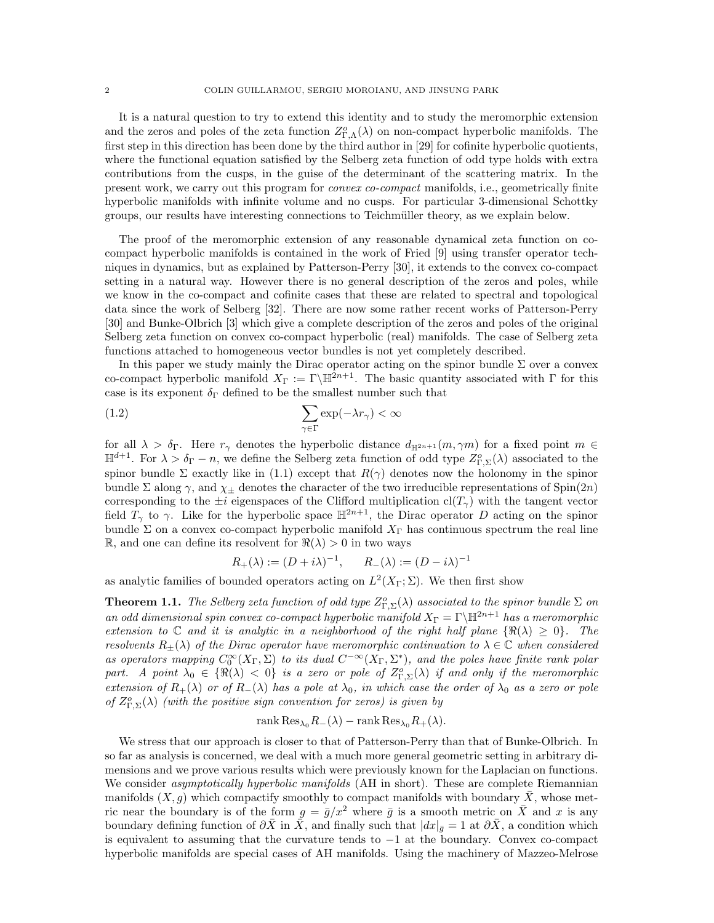It is a natural question to try to extend this identity and to study the meromorphic extension and the zeros and poles of the zeta function  $Z_{\Gamma,\Lambda}^o(\lambda)$  on non-compact hyperbolic manifolds. The first step in this direction has been done by the third author in [29] for cofinite hyperbolic quotients, where the functional equation satisfied by the Selberg zeta function of odd type holds with extra contributions from the cusps, in the guise of the determinant of the scattering matrix. In the present work, we carry out this program for convex co-compact manifolds, i.e., geometrically finite hyperbolic manifolds with infinite volume and no cusps. For particular 3-dimensional Schottky groups, our results have interesting connections to Teichmüller theory, as we explain below.

The proof of the meromorphic extension of any reasonable dynamical zeta function on cocompact hyperbolic manifolds is contained in the work of Fried [9] using transfer operator techniques in dynamics, but as explained by Patterson-Perry [30], it extends to the convex co-compact setting in a natural way. However there is no general description of the zeros and poles, while we know in the co-compact and cofinite cases that these are related to spectral and topological data since the work of Selberg [32]. There are now some rather recent works of Patterson-Perry [30] and Bunke-Olbrich [3] which give a complete description of the zeros and poles of the original Selberg zeta function on convex co-compact hyperbolic (real) manifolds. The case of Selberg zeta functions attached to homogeneous vector bundles is not yet completely described.

In this paper we study mainly the Dirac operator acting on the spinor bundle  $\Sigma$  over a convex co-compact hyperbolic manifold  $X_{\Gamma} := \Gamma \backslash \mathbb{H}^{2n+1}$ . The basic quantity associated with  $\Gamma$  for this case is its exponent  $\delta_{\Gamma}$  defined to be the smallest number such that

(1.2) 
$$
\sum_{\gamma \in \Gamma} \exp(-\lambda r_{\gamma}) < \infty
$$

for all  $\lambda > \delta_{\Gamma}$ . Here  $r_{\gamma}$  denotes the hyperbolic distance  $d_{\mathbb{H}^{2n+1}}(m, \gamma m)$  for a fixed point  $m \in$  $\mathbb{H}^{d+1}$ . For  $\lambda > \delta_{\Gamma} - n$ , we define the Selberg zeta function of odd type  $Z_{\Gamma,\Sigma}^o(\lambda)$  associated to the spinor bundle  $\Sigma$  exactly like in (1.1) except that  $R(\gamma)$  denotes now the holonomy in the spinor bundle Σ along  $\gamma$ , and  $\chi_{\pm}$  denotes the character of the two irreducible representations of Spin(2n) corresponding to the  $\pm i$  eigenspaces of the Clifford multiplication cl(T<sub>γ</sub>) with the tangent vector field  $T_{\gamma}$  to  $\gamma$ . Like for the hyperbolic space  $\mathbb{H}^{2n+1}$ , the Dirac operator D acting on the spinor bundle  $\Sigma$  on a convex co-compact hyperbolic manifold  $X_{\Gamma}$  has continuous spectrum the real line R, and one can define its resolvent for  $\Re(\lambda) > 0$  in two ways

$$
R_{+}(\lambda) := (D + i\lambda)^{-1}, \qquad R_{-}(\lambda) := (D - i\lambda)^{-1}
$$

as analytic families of bounded operators acting on  $L^2(X_{\Gamma}; \Sigma)$ . We then first show

**Theorem 1.1.** The Selberg zeta function of odd type  $Z_{\Gamma,\Sigma}^o(\lambda)$  associated to the spinor bundle  $\Sigma$  on an odd dimensional spin convex co-compact hyperbolic manifold  $X_{\Gamma} = \Gamma \backslash \mathbb{H}^{2n+1}$  has a meromorphic extension to  $\mathbb C$  and it is analytic in a neighborhood of the right half plane  $\{\Re(\lambda) \geq 0\}$ . The resolvents  $R_{\pm}(\lambda)$  of the Dirac operator have meromorphic continuation to  $\lambda \in \mathbb{C}$  when considered as operators mapping  $C_0^{\infty}(X_{\Gamma}, \Sigma)$  to its dual  $C^{-\infty}(X_{\Gamma}, \Sigma^*)$ , and the poles have finite rank polar part. A point  $\lambda_0 \in \{ \Re(\lambda) < 0 \}$  is a zero or pole of  $Z_{\Gamma, \Sigma}^o(\lambda)$  if and only if the meromorphic extension of  $R_+(\lambda)$  or of  $R_-(\lambda)$  has a pole at  $\lambda_0$ , in which case the order of  $\lambda_0$  as a zero or pole of  $Z_{\Gamma,\Sigma}^o(\lambda)$  (with the positive sign convention for zeros) is given by

$$
rank Res_{\lambda_0} R_{-}(\lambda) - rank Res_{\lambda_0} R_{+}(\lambda).
$$

We stress that our approach is closer to that of Patterson-Perry than that of Bunke-Olbrich. In so far as analysis is concerned, we deal with a much more general geometric setting in arbitrary dimensions and we prove various results which were previously known for the Laplacian on functions. We consider *asymptotically hyperbolic manifolds* (AH in short). These are complete Riemannian manifolds  $(X, g)$  which compactify smoothly to compact manifolds with boundary X, whose metric near the boundary is of the form  $g = \bar{g}/x^2$  where  $\bar{g}$  is a smooth metric on  $\bar{X}$  and x is any boundary defining function of  $\partial \bar{X}$  in  $\bar{X}$ , and finally such that  $|dx|_{\bar{g}}=1$  at  $\partial \bar{X}$ , a condition which is equivalent to assuming that the curvature tends to −1 at the boundary. Convex co-compact hyperbolic manifolds are special cases of AH manifolds. Using the machinery of Mazzeo-Melrose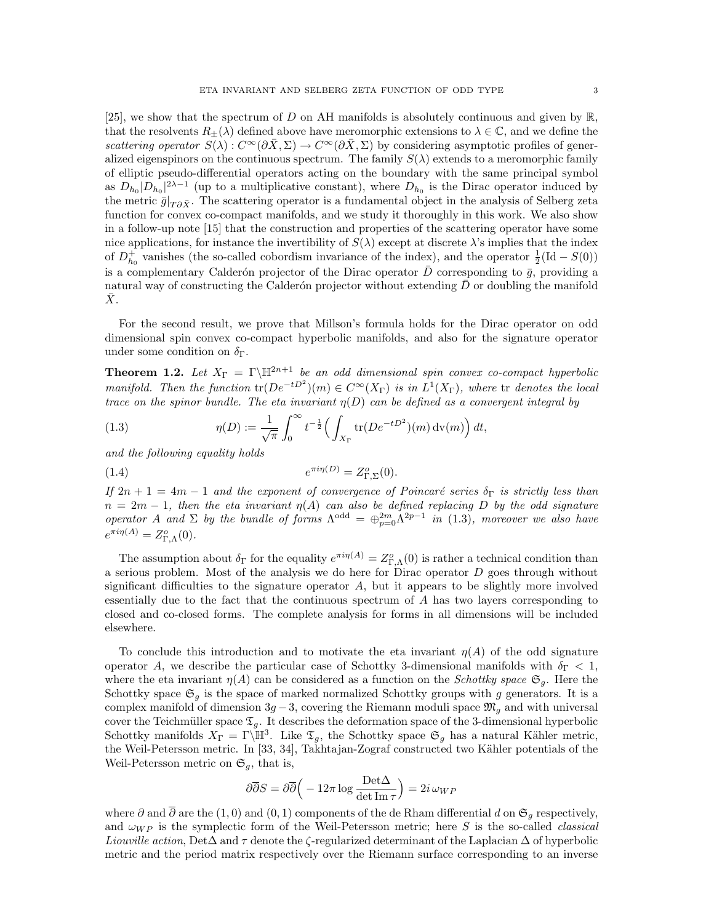[25], we show that the spectrum of D on AH manifolds is absolutely continuous and given by  $\mathbb{R}$ , that the resolvents  $R_+(\lambda)$  defined above have meromorphic extensions to  $\lambda \in \mathbb{C}$ , and we define the scattering operator  $S(\lambda): C^{\infty}(\partial \bar{X}, \Sigma) \to C^{\infty}(\partial \bar{X}, \Sigma)$  by considering asymptotic profiles of generalized eigenspinors on the continuous spectrum. The family  $S(\lambda)$  extends to a meromorphic family of elliptic pseudo-differential operators acting on the boundary with the same principal symbol as  $D_{h_0}|D_{h_0}|^{2\lambda-1}$  (up to a multiplicative constant), where  $D_{h_0}$  is the Dirac operator induced by the metric  $\bar{g}|_{T\partial\bar{X}}$ . The scattering operator is a fundamental object in the analysis of Selberg zeta function for convex co-compact manifolds, and we study it thoroughly in this work. We also show in a follow-up note [15] that the construction and properties of the scattering operator have some nice applications, for instance the invertibility of  $S(\lambda)$  except at discrete  $\lambda$ 's implies that the index of  $D_{h_0}^+$  vanishes (the so-called cobordism invariance of the index), and the operator  $\frac{1}{2}(\text{Id} - S(0))$ is a complementary Calderón projector of the Dirac operator D corresponding to  $\bar{g}$ , providing a natural way of constructing the Calderón projector without extending  $D$  or doubling the manifold  $X$ .

For the second result, we prove that Millson's formula holds for the Dirac operator on odd dimensional spin convex co-compact hyperbolic manifolds, and also for the signature operator under some condition on  $\delta_{\Gamma}$ .

**Theorem 1.2.** Let  $X_{\Gamma} = \Gamma \backslash \mathbb{H}^{2n+1}$  be an odd dimensional spin convex co-compact hyperbolic manifold. Then the function  $\text{tr}(De^{-tD^2})(m) \in C^{\infty}(X_{\Gamma})$  is in  $L^1(X_{\Gamma})$ , where  $\text{tr}$  denotes the local trace on the spinor bundle. The eta invariant  $\eta(D)$  can be defined as a convergent integral by

(1.3) 
$$
\eta(D) := \frac{1}{\sqrt{\pi}} \int_0^\infty t^{-\frac{1}{2}} \Big( \int_{X_{\Gamma}} tr(De^{-tD^2})(m) dv(m) \Big) dt,
$$

and the following equality holds

$$
e^{\pi i \eta(D)} = Z_{\Gamma, \Sigma}^o(0).
$$

If  $2n + 1 = 4m - 1$  and the exponent of convergence of Poincaré series  $\delta_{\Gamma}$  is strictly less than  $n = 2m - 1$ , then the eta invariant  $\eta(A)$  can also be defined replacing D by the odd signature operator A and  $\Sigma$  by the bundle of forms  $\Lambda^{odd} = \bigoplus_{p=0}^{2m} \Lambda^{2p-1}$  in (1.3), moreover we also have  $e^{\pi i \eta(A)} = Z_{\Gamma,\Lambda}^o(0).$ 

The assumption about  $\delta_{\Gamma}$  for the equality  $e^{\pi i \eta(A)} = Z_{\Gamma,\Lambda}^o(0)$  is rather a technical condition than a serious problem. Most of the analysis we do here for Dirac operator  $D$  goes through without significant difficulties to the signature operator  $A$ , but it appears to be slightly more involved essentially due to the fact that the continuous spectrum of A has two layers corresponding to closed and co-closed forms. The complete analysis for forms in all dimensions will be included elsewhere.

To conclude this introduction and to motivate the eta invariant  $\eta(A)$  of the odd signature operator A, we describe the particular case of Schottky 3-dimensional manifolds with  $\delta_{\Gamma}$  < 1, where the eta invariant  $\eta(A)$  can be considered as a function on the *Schottky space*  $\mathfrak{S}_q$ . Here the Schottky space  $\mathfrak{S}_q$  is the space of marked normalized Schottky groups with g generators. It is a complex manifold of dimension  $3g-3$ , covering the Riemann moduli space  $\mathfrak{M}_q$  and with universal cover the Teichmüller space  $\mathfrak{T}_q$ . It describes the deformation space of the 3-dimensional hyperbolic Schottky manifolds  $X_{\Gamma} = \Gamma \backslash \mathbb{H}^3$ . Like  $\mathfrak{T}_g$ , the Schottky space  $\mathfrak{S}_g$  has a natural Kähler metric, the Weil-Petersson metric. In [33, 34], Takhtajan-Zograf constructed two Kähler potentials of the Weil-Petersson metric on  $\mathfrak{S}_q$ , that is,

$$
\partial \overline{\partial} S = \partial \overline{\partial} \Big( - 12\pi \log \frac{\text{Det}\Delta}{\det \text{Im} \tau} \Big) = 2i \,\omega_{WP}
$$

where  $\partial$  and  $\overline{\partial}$  are the (1,0) and (0,1) components of the de Rham differential d on  $\mathfrak{S}_q$  respectively, and  $\omega_{WP}$  is the symplectic form of the Weil-Petersson metric; here S is the so-called *classical* Liouville action, Det $\Delta$  and  $\tau$  denote the  $\zeta$ -regularized determinant of the Laplacian  $\Delta$  of hyperbolic metric and the period matrix respectively over the Riemann surface corresponding to an inverse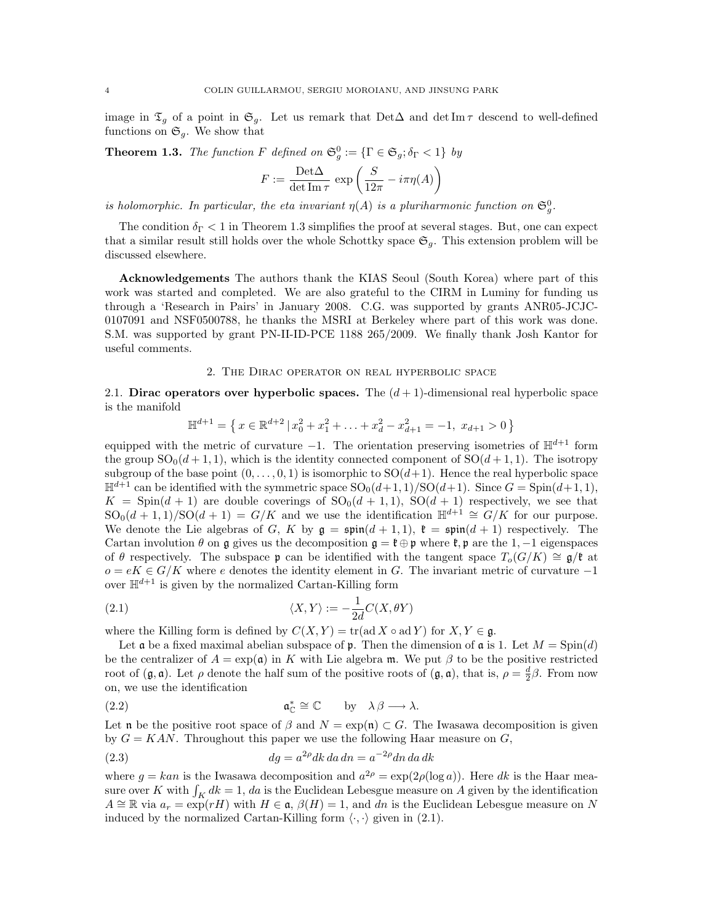image in  $\mathfrak{T}_g$  of a point in  $\mathfrak{S}_g$ . Let us remark that Det $\Delta$  and det Im  $\tau$  descend to well-defined functions on  $\mathfrak{S}_q$ . We show that

**Theorem 1.3.** The function F defined on 
$$
\mathfrak{S}_g^0 := {\{\Gamma \in \mathfrak{S}_g; \delta_{\Gamma} < 1\}}
$$
 by

$$
F:=\frac{{\rm Det}\Delta}{\det {\rm Im}\,\tau}\,\exp\left(\frac{S}{12\pi}-i\pi\eta(A)\right)
$$

is holomorphic. In particular, the eta invariant  $\eta(A)$  is a pluriharmonic function on  $\mathfrak{S}_{g}^{0}$ .

The condition  $\delta_{\Gamma}$  < 1 in Theorem 1.3 simplifies the proof at several stages. But, one can expect that a similar result still holds over the whole Schottky space  $\mathfrak{S}_q$ . This extension problem will be discussed elsewhere.

Acknowledgements The authors thank the KIAS Seoul (South Korea) where part of this work was started and completed. We are also grateful to the CIRM in Luminy for funding us through a 'Research in Pairs' in January 2008. C.G. was supported by grants ANR05-JCJC-0107091 and NSF0500788, he thanks the MSRI at Berkeley where part of this work was done. S.M. was supported by grant PN-II-ID-PCE 1188 265/2009. We finally thank Josh Kantor for useful comments.

### 2. The Dirac operator on real hyperbolic space

2.1. Dirac operators over hyperbolic spaces. The  $(d+1)$ -dimensional real hyperbolic space is the manifold

$$
\mathbb{H}^{d+1} = \left\{ x \in \mathbb{R}^{d+2} \, | \, x_0^2 + x_1^2 + \ldots + x_d^2 - x_{d+1}^2 = -1, \, x_{d+1} > 0 \right\}
$$

equipped with the metric of curvature  $-1$ . The orientation preserving isometries of  $\mathbb{H}^{d+1}$  form the group  $SO_0(d+1,1)$ , which is the identity connected component of  $SO(d+1,1)$ . The isotropy subgroup of the base point  $(0, \ldots, 0, 1)$  is isomorphic to  $SO(d+1)$ . Hence the real hyperbolic space  $\mathbb{H}^{d+1}$  can be identified with the symmetric space  $SO_0(d+1, 1)/SO(d+1)$ . Since  $G = Spin(d+1, 1)$ ,  $K = \text{Spin}(d+1)$  are double coverings of  $\text{SO}_0(d+1,1)$ ,  $\text{SO}(d+1)$  respectively, we see that  $\text{SO}_0(d+1,1)/\text{SO}(d+1) = G/K$  and we use the identification  $\mathbb{H}^{d+1} \cong G/K$  for our purpose. We denote the Lie algebras of G, K by  $\mathfrak{g} = \mathfrak{spin}(d+1,1)$ ,  $\mathfrak{k} = \mathfrak{spin}(d+1)$  respectively. The Cartan involution  $\theta$  on g gives us the decomposition  $\mathfrak{g} = \mathfrak{k} \oplus \mathfrak{p}$  where  $\mathfrak{k}, \mathfrak{p}$  are the 1, -1 eigenspaces of θ respectively. The subspace p can be identified with the tangent space  $T_o(G/K) \cong \mathfrak{g}/\mathfrak{k}$  at  $o = eK \in G/K$  where e denotes the identity element in G. The invariant metric of curvature  $-1$ over  $\mathbb{H}^{d+1}$  is given by the normalized Cartan-Killing form

(2.1) 
$$
\langle X, Y \rangle := -\frac{1}{2d}C(X, \theta Y)
$$

where the Killing form is defined by  $C(X, Y) = \text{tr}(\text{ad } X \circ \text{ad } Y)$  for  $X, Y \in \mathfrak{g}$ .

Let  $\mathfrak a$  be a fixed maximal abelian subspace of  $\mathfrak p$ . Then the dimension of  $\mathfrak a$  is 1. Let  $M = \text{Spin}(d)$ be the centralizer of  $A = \exp(a)$  in K with Lie algebra m. We put  $\beta$  to be the positive restricted root of  $(\mathfrak{g}, \mathfrak{a})$ . Let  $\rho$  denote the half sum of the positive roots of  $(\mathfrak{g}, \mathfrak{a})$ , that is,  $\rho = \frac{d}{2}\beta$ . From now on, we use the identification

(2.2) 
$$
\mathfrak{a}_{\mathbb{C}}^* \cong \mathbb{C} \qquad \text{by} \quad \lambda \beta \longrightarrow \lambda.
$$

Let n be the positive root space of  $\beta$  and  $N = \exp(\mathfrak{n}) \subset G$ . The Iwasawa decomposition is given by  $G = KAN$ . Throughout this paper we use the following Haar measure on  $G$ ,

(2.3) 
$$
dg = a^{2\rho} dk \, da \, dn = a^{-2\rho} dn \, da \, dk
$$

where  $g = kan$  is the Iwasawa decomposition and  $a^{2\rho} = \exp(2\rho(\log a))$ . Here dk is the Haar measure over K with  $\int_K dk = 1$ , da is the Euclidean Lebesgue measure on A given by the identification  $A \cong \mathbb{R}$  via  $a_r = \exp(rH)$  with  $H \in \mathfrak{a}, \beta(H) = 1$ , and dn is the Euclidean Lebesgue measure on N induced by the normalized Cartan-Killing form  $\langle \cdot, \cdot \rangle$  given in (2.1).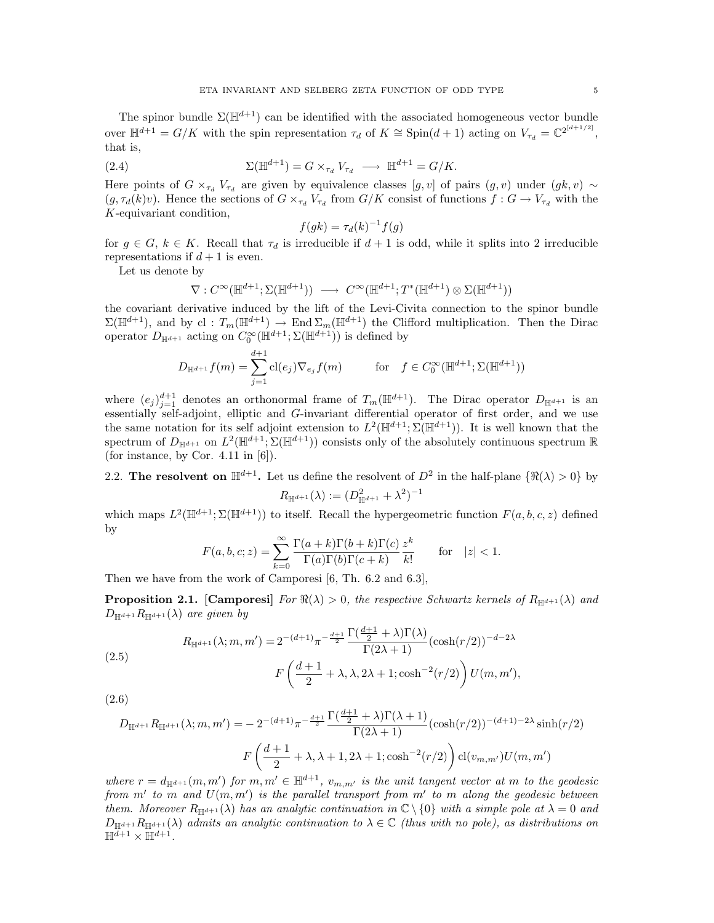The spinor bundle  $\Sigma(\mathbb{H}^{d+1})$  can be identified with the associated homogeneous vector bundle over  $\mathbb{H}^{d+1} = G/K$  with the spin representation  $\tau_d$  of  $K \cong \text{Spin}(d+1)$  acting on  $V_{\tau_d} = \mathbb{C}^{2^{[d+1/2]}},$ that is,

(2.4) 
$$
\Sigma(\mathbb{H}^{d+1}) = G \times_{\tau_d} V_{\tau_d} \longrightarrow \mathbb{H}^{d+1} = G/K.
$$

Here points of  $G \times_{\tau_d} V_{\tau_d}$  are given by equivalence classes  $[g, v]$  of pairs  $(g, v)$  under  $(gk, v) \sim$  $(g, \tau_d(k)v)$ . Hence the sections of  $G \times_{\tau_d} V_{\tau_d}$  from  $G/K$  consist of functions  $f : G \to V_{\tau_d}$  with the K-equivariant condition,

$$
f(gk) = \tau_d(k)^{-1} f(g)
$$

for  $g \in G$ ,  $k \in K$ . Recall that  $\tau_d$  is irreducible if  $d+1$  is odd, while it splits into 2 irreducible representations if  $d+1$  is even.

Let us denote by

$$
\nabla:C^{\infty}(\mathbb{H}^{d+1};\Sigma(\mathbb{H}^{d+1}))\;\longrightarrow\;C^{\infty}(\mathbb{H}^{d+1};T^*(\mathbb{H}^{d+1})\otimes\Sigma(\mathbb{H}^{d+1}))
$$

the covariant derivative induced by the lift of the Levi-Civita connection to the spinor bundle  $\Sigma(\mathbb{H}^{d+1})$ , and by cl :  $T_m(\mathbb{H}^{d+1}) \to \text{End }\Sigma_m(\mathbb{H}^{d+1})$  the Clifford multiplication. Then the Dirac operator  $D_{\mathbb{H}^{d+1}}$  acting on  $C_0^{\infty}(\mathbb{H}^{d+1}; \Sigma(\mathbb{H}^{d+1}))$  is defined by

$$
D_{\mathbb{H}^{d+1}} f(m) = \sum_{j=1}^{d+1} \mathrm{cl}(e_j) \nabla_{e_j} f(m) \quad \text{for} \quad f \in C_0^{\infty}(\mathbb{H}^{d+1}; \Sigma(\mathbb{H}^{d+1}))
$$

where  $(e_j)_{j=1}^{d+1}$  denotes an orthonormal frame of  $T_m(\mathbb{H}^{d+1})$ . The Dirac operator  $D_{\mathbb{H}^{d+1}}$  is an essentially self-adjoint, elliptic and G-invariant differential operator of first order, and we use the same notation for its self adjoint extension to  $L^2(\mathbb{H}^{d+1}; \Sigma(\mathbb{H}^{d+1}))$ . It is well known that the spectrum of  $D_{\mathbb{H}^{d+1}}$  on  $L^2(\mathbb{H}^{d+1}; \Sigma(\mathbb{H}^{d+1}))$  consists only of the absolutely continuous spectrum R (for instance, by Cor. 4.11 in  $[6]$ ).

2.2. The resolvent on  $\mathbb{H}^{d+1}$ . Let us define the resolvent of  $D^2$  in the half-plane  $\{\Re(\lambda) > 0\}$  by

$$
R_{\mathbb{H}^{d+1}}(\lambda) := (D_{\mathbb{H}^{d+1}}^2 + \lambda^2)^{-1}
$$

which maps  $L^2(\mathbb{H}^{d+1}; \Sigma(\mathbb{H}^{d+1}))$  to itself. Recall the hypergeometric function  $F(a, b, c, z)$  defined by

$$
F(a, b, c; z) = \sum_{k=0}^{\infty} \frac{\Gamma(a+k)\Gamma(b+k)\Gamma(c)}{\Gamma(a)\Gamma(b)\Gamma(c+k)} \frac{z^k}{k!} \quad \text{for} \quad |z| < 1.
$$

Then we have from the work of Camporesi [6, Th. 6.2 and 6.3],

**Proposition 2.1.** [Camporesi] For  $\Re(\lambda) > 0$ , the respective Schwartz kernels of  $R_{\mathbb{H}^{d+1}}(\lambda)$  and  $D_{\mathbb{H}^{d+1}}R_{\mathbb{H}^{d+1}}(\lambda)$  are given by

(2.5)  

$$
R_{\mathbb{H}^{d+1}}(\lambda; m, m') = 2^{-(d+1)} \pi^{-\frac{d+1}{2}} \frac{\Gamma(\frac{d+1}{2} + \lambda)\Gamma(\lambda)}{\Gamma(2\lambda + 1)} (\cosh(r/2))^{-d-2\lambda}
$$

$$
F\left(\frac{d+1}{2} + \lambda, \lambda, 2\lambda + 1; \cosh^{-2}(r/2)\right) U(m, m'),
$$

(2.6)

$$
D_{\mathbb{H}^{d+1}} R_{\mathbb{H}^{d+1}}(\lambda; m, m') = -2^{-(d+1)} \pi^{-\frac{d+1}{2}} \frac{\Gamma(\frac{d+1}{2} + \lambda)\Gamma(\lambda + 1)}{\Gamma(2\lambda + 1)} (\cosh(r/2))^{-(d+1)-2\lambda} \sinh(r/2)
$$

$$
F\left(\frac{d+1}{2} + \lambda, \lambda + 1, 2\lambda + 1; \cosh^{-2}(r/2)\right) \text{cl}(v_{m,m'}) U(m, m')
$$

where  $r = d_{\mathbb{H}^{d+1}}(m, m')$  for  $m, m' \in \mathbb{H}^{d+1}$ ,  $v_{m,m'}$  is the unit tangent vector at m to the geodesic from m' to m and  $U(m, m')$  is the parallel transport from m' to m along the geodesic between them. Moreover  $R_{\mathbb{H}^{d+1}}(\lambda)$  has an analytic continuation in  $\mathbb{C}\setminus\{0\}$  with a simple pole at  $\lambda=0$  and  $D_{\mathbb{H}^{d+1}}R_{\mathbb{H}^{d+1}}(\lambda)$  admits an analytic continuation to  $\lambda \in \mathbb{C}$  (thus with no pole), as distributions on  $\mathbb{H}^{\overline{d+1}} \times \mathbb{H}^{d+1}.$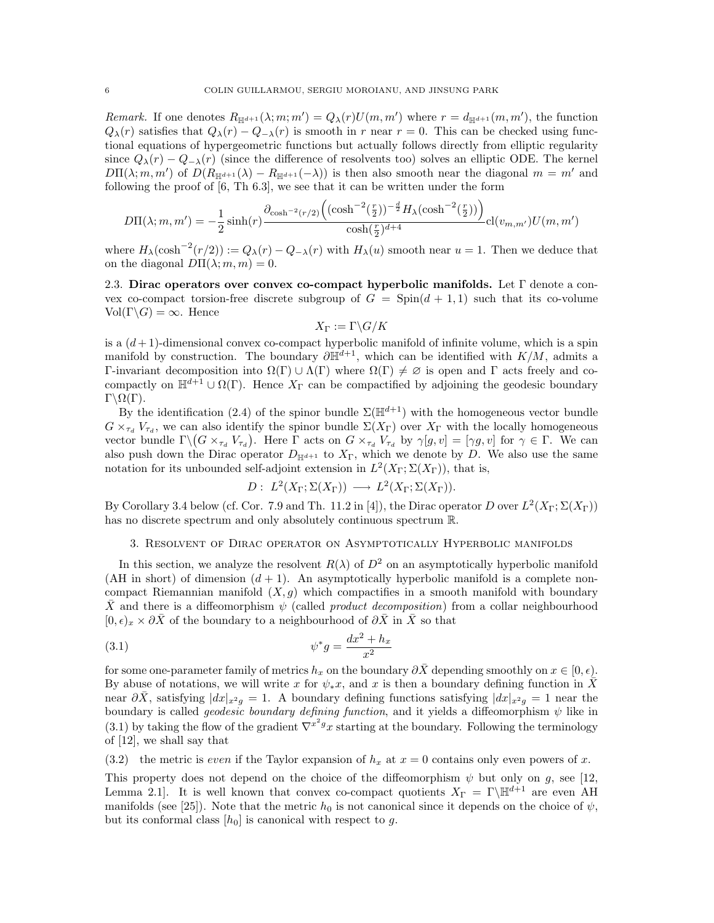Remark. If one denotes  $R_{\mathbb{H}^{d+1}}(\lambda; m; m') = Q_{\lambda}(r)U(m, m')$  where  $r = d_{\mathbb{H}^{d+1}}(m, m')$ , the function  $Q_{\lambda}(r)$  satisfies that  $Q_{\lambda}(r) - Q_{-\lambda}(r)$  is smooth in r near  $r = 0$ . This can be checked using functional equations of hypergeometric functions but actually follows directly from elliptic regularity since  $Q_{\lambda}(r) - Q_{-\lambda}(r)$  (since the difference of resolvents too) solves an elliptic ODE. The kernel  $D\Pi(\lambda; m, m')$  of  $D(R_{\mathbb{H}^{d+1}}(\lambda) - R_{\mathbb{H}^{d+1}}(-\lambda))$  is then also smooth near the diagonal  $m = m'$  and following the proof of [6, Th 6.3], we see that it can be written under the form

$$
D\Pi(\lambda; m, m') = -\frac{1}{2}\sinh(r)\frac{\partial_{\cosh^{-2}(r/2)}((\cosh^{-2}(\frac{r}{2}))^{-\frac{d}{2}}H_{\lambda}(\cosh^{-2}(\frac{r}{2}))}{\cosh(\frac{r}{2})^{d+4}}\mathrm{cl}(v_{m, m'})U(m, m')
$$

where  $H_\lambda(\cosh^{-2}(r/2)) := Q_\lambda(r) - Q_{-\lambda}(r)$  with  $H_\lambda(u)$  smooth near  $u = 1$ . Then we deduce that on the diagonal  $D\Pi(\lambda; m, m) = 0$ .

2.3. Dirac operators over convex co-compact hyperbolic manifolds. Let  $\Gamma$  denote a convex co-compact torsion-free discrete subgroup of  $G = Spin(d + 1, 1)$  such that its co-volume  $Vol(\Gamma \backslash G) = \infty$ . Hence

$$
X_\Gamma:=\Gamma\backslash G/K
$$

is a  $(d+1)$ -dimensional convex co-compact hyperbolic manifold of infinite volume, which is a spin manifold by construction. The boundary  $\partial \mathbb{H}^{d+1}$ , which can be identified with  $K/M$ , admits a Γ-invariant decomposition into  $Ω(Γ) ∪ Λ(Γ)$  where  $Ω(Γ) ≠ ∅$  is open and Γ acts freely and cocompactly on  $\mathbb{H}^{d+1} \cup \Omega(\Gamma)$ . Hence  $X_{\Gamma}$  can be compactified by adjoining the geodesic boundary  $\Gamma\backslash\Omega(\Gamma)$ .

By the identification (2.4) of the spinor bundle  $\Sigma(\mathbb{H}^{d+1})$  with the homogeneous vector bundle  $G \times_{\tau_d} V_{\tau_d}$ , we can also identify the spinor bundle  $\Sigma(X_{\Gamma})$  over  $X_{\Gamma}$  with the locally homogeneous vector bundle  $\Gamma \backslash (G \times_{\tau_d} V_{\tau_d})$ . Here  $\Gamma$  acts on  $G \times_{\tau_d} V_{\tau_d}$  by  $\gamma[g, v] = [\gamma g, v]$  for  $\gamma \in \Gamma$ . We can also push down the Dirac operator  $D_{\mathbb{H}^{d+1}}$  to  $X_{\Gamma}$ , which we denote by D. We also use the same notation for its unbounded self-adjoint extension in  $L^2(X_{\Gamma}; \Sigma(X_{\Gamma}))$ , that is,

$$
D: L^2(X_{\Gamma}; \Sigma(X_{\Gamma})) \longrightarrow L^2(X_{\Gamma}; \Sigma(X_{\Gamma})).
$$

By Corollary 3.4 below (cf. Cor. 7.9 and Th. 11.2 in [4]), the Dirac operator D over  $L^2(X_\Gamma;\Sigma(X_\Gamma))$ has no discrete spectrum and only absolutely continuous spectrum R.

# 3. Resolvent of Dirac operator on Asymptotically Hyperbolic manifolds

In this section, we analyze the resolvent  $R(\lambda)$  of  $D^2$  on an asymptotically hyperbolic manifold (AH in short) of dimension  $(d + 1)$ . An asymptotically hyperbolic manifold is a complete noncompact Riemannian manifold  $(X, g)$  which compactifies in a smooth manifold with boundary X and there is a diffeomorphism  $\psi$  (called *product decomposition*) from a collar neighbourhood  $[0, \epsilon)_x \times \partial \bar{X}$  of the boundary to a neighbourhood of  $\partial \bar{X}$  in  $\bar{X}$  so that

(3.1) 
$$
\psi^* g = \frac{dx^2 + h_x}{x^2}
$$

for some one-parameter family of metrics  $h_x$  on the boundary  $\partial X$  depending smoothly on  $x \in [0, \epsilon)$ . By abuse of notations, we will write x for  $\psi_*x$ , and x is then a boundary defining function in X near  $\partial \bar{X}$ , satisfying  $|dx|_{x^2g} = 1$ . A boundary defining functions satisfying  $|dx|_{x^2g} = 1$  near the boundary is called *geodesic boundary defining function*, and it yields a diffeomorphism  $\psi$  like in (3.1) by taking the flow of the gradient  $\nabla^{x^2 g} x$  starting at the boundary. Following the terminology of [12], we shall say that

(3.2) the metric is even if the Taylor expansion of  $h_x$  at  $x = 0$  contains only even powers of x.

This property does not depend on the choice of the diffeomorphism  $\psi$  but only on g, see [12, Lemma 2.1. It is well known that convex co-compact quotients  $X_{\Gamma} = \Gamma \backslash \mathbb{H}^{d+1}$  are even AH manifolds (see [25]). Note that the metric  $h_0$  is not canonical since it depends on the choice of  $\psi$ , but its conformal class  $[h_0]$  is canonical with respect to g.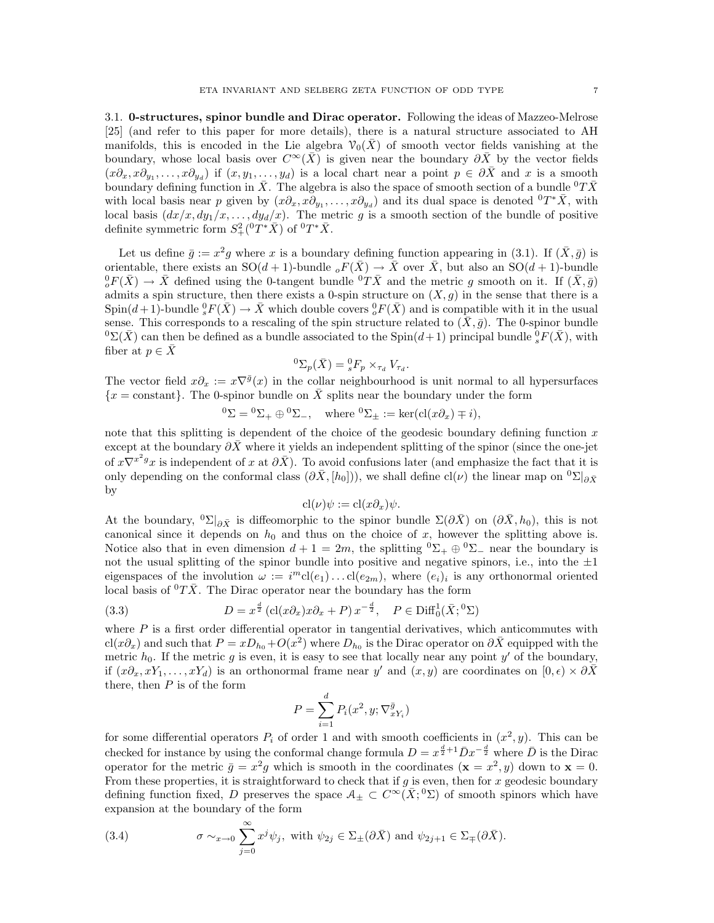3.1. 0-structures, spinor bundle and Dirac operator. Following the ideas of Mazzeo-Melrose [25] (and refer to this paper for more details), there is a natural structure associated to AH manifolds, this is encoded in the Lie algebra  $\mathcal{V}_0(X)$  of smooth vector fields vanishing at the boundary, whose local basis over  $C^{\infty}(\bar{X})$  is given near the boundary  $\partial \bar{X}$  by the vector fields  $(x\partial_x, x\partial_{y_1}, \ldots, x\partial_{y_d})$  if  $(x, y_1, \ldots, y_d)$  is a local chart near a point  $p \in \partial \overline{X}$  and x is a smooth boundary defining function in  $\bar{X}$ . The algebra is also the space of smooth section of a bundle  ${}^{0}T\bar{X}$ with local basis near p given by  $(x\partial_x, x\partial_{y_1}, \ldots, x\partial_{y_d})$  and its dual space is denoted  ${}^0T^*\bar{X}$ , with local basis  $(dx/x, dy_1/x, \ldots, dy_d/x)$ . The metric g is a smooth section of the bundle of positive definite symmetric form  $S^2_+(\degree T^*\bar{X})$  of  $\degree T^*\bar{X}$ .

Let us define  $\bar{g} := x^2 g$  where x is a boundary defining function appearing in (3.1). If  $(\bar{X}, \bar{g})$  is orientable, there exists an  $SO(d+1)$ -bundle  ${}_{o}F(\bar{X}) \to \bar{X}$  over  $\bar{X}$ , but also an  $SO(d+1)$ -bundle  ${}^0_oF(\bar{X}) \to \bar{X}$  defined using the 0-tangent bundle  ${}^0T\bar{X}$  and the metric g smooth on it. If  $(\bar{X}, \bar{g})$ admits a spin structure, then there exists a 0-spin structure on  $(X, g)$  in the sense that there is a  $\text{Spin}(d+1)$ -bundle  ${}^0_sF(\bar{X}) \to \bar{X}$  which double covers  ${}^0_oF(\bar{X})$  and is compatible with it in the usual sense. This corresponds to a rescaling of the spin structure related to  $(X, \bar{g})$ . The 0-spinor bundle  ${}^{0}\Sigma(\bar{X})$  can then be defined as a bundle associated to the Spin(d+1) principal bundle  ${}^{0}_{s}F(\bar{X})$ , with fiber at  $p \in \overline{X}$ 

$$
{}^{0}\Sigma_{p}(\bar{X}) = {}^{0}_{s}F_{p} \times_{\tau_{d}} V_{\tau_{d}}.
$$

The vector field  $x\partial_x := x\nabla^{\bar{g}}(x)$  in the collar neighbourhood is unit normal to all hypersurfaces  ${x = constant}$ . The 0-spinor bundle on  $\overline{X}$  splits near the boundary under the form

$$
{}^{0}\Sigma = {}^{0}\Sigma_{+} \oplus {}^{0}\Sigma_{-}, \quad \text{where } {}^{0}\Sigma_{\pm} := \ker(\text{cl}(x\partial_{x}) \mp i),
$$

note that this splitting is dependent of the choice of the geodesic boundary defining function  $x$ except at the boundary  $\partial \bar{X}$  where it yields an independent splitting of the spinor (since the one-jet of  $x\nabla^{x^2g}x$  is independent of x at  $\partial \bar{X}$ ). To avoid confusions later (and emphasize the fact that it is only depending on the conformal class  $(\partial \bar{X}, [h_0])$ , we shall define cl( $\nu$ ) the linear map on  ${}^0\Sigma|_{\partial \bar{X}}$ by

$$
cl(\nu)\psi := cl(x\partial_x)\psi.
$$

At the boundary,  ${}^0\Sigma|_{\partial \bar{X}}$  is diffeomorphic to the spinor bundle  $\Sigma(\partial \bar{X})$  on  $(\partial \bar{X}, h_0)$ , this is not canonical since it depends on  $h_0$  and thus on the choice of x, however the splitting above is. Notice also that in even dimension  $d + 1 = 2m$ , the splitting  ${}^0\Sigma_+ \oplus {}^0\Sigma_-$  near the boundary is not the usual splitting of the spinor bundle into positive and negative spinors, i.e., into the  $\pm 1$ eigenspaces of the involution  $\omega := i^{m} cl(e_1) \dots cl(e_{2m})$ , where  $(e_i)_i$  is any orthonormal oriented local basis of  ${}^{0}T\overline{X}$ . The Dirac operator near the boundary has the form

(3.3) 
$$
D = x^{\frac{d}{2}} \left( \text{cl}(x \partial_x) x \partial_x + P \right) x^{-\frac{d}{2}}, \quad P \in \text{Diff}_0^1(\bar{X}; {}^0\Sigma)
$$

where  $P$  is a first order differential operator in tangential derivatives, which anticommutes with  $\text{cl}(x\partial_x)$  and such that  $P = xD_{h_0} + O(x^2)$  where  $D_{h_0}$  is the Dirac operator on  $\partial \bar{X}$  equipped with the metric  $h_0$ . If the metric g is even, it is easy to see that locally near any point y' of the boundary, if  $(x\partial_x, xY_1, \ldots, xY_d)$  is an orthonormal frame near y' and  $(x, y)$  are coordinates on  $[0, \epsilon) \times \partial \overline{X}$ there, then  $P$  is of the form

$$
P = \sum_{i=1}^{d} P_i(x^2, y; \nabla_{xY_i}^{\bar{g}})
$$

for some differential operators  $P_i$  of order 1 and with smooth coefficients in  $(x^2, y)$ . This can be checked for instance by using the conformal change formula  $D = x^{\frac{d}{2}+1} \overline{D} x^{-\frac{d}{2}}$  where  $\overline{D}$  is the Dirac operator for the metric  $\bar{g} = x^2 g$  which is smooth in the coordinates  $(\mathbf{x} = x^2, y)$  down to  $\mathbf{x} = 0$ . From these properties, it is straightforward to check that if  $g$  is even, then for  $x$  geodesic boundary defining function fixed, D preserves the space  $A_{\pm} \subset C^{\infty}(\bar{X};^{0}\Sigma)$  of smooth spinors which have expansion at the boundary of the form

(3.4) 
$$
\sigma \sim_{x \to 0} \sum_{j=0}^{\infty} x^j \psi_j, \text{ with } \psi_{2j} \in \Sigma_{\pm}(\partial \bar{X}) \text{ and } \psi_{2j+1} \in \Sigma_{\mp}(\partial \bar{X}).
$$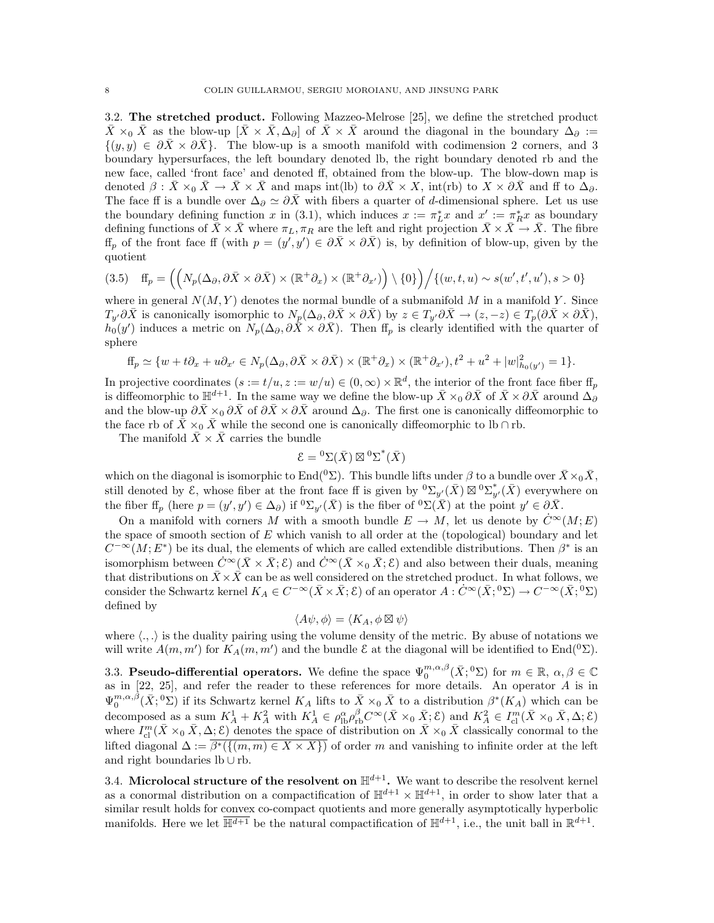3.2. The stretched product. Following Mazzeo-Melrose [25], we define the stretched product  $\bar{X} \times_0 \bar{X}$  as the blow-up  $[\bar{X} \times \bar{X}, \Delta_\partial]$  of  $\bar{X} \times \bar{X}$  around the diagonal in the boundary  $\Delta_\partial$  :=  $\{(y, y) \in \partial \bar{X} \times \partial \bar{X}\}\.$  The blow-up is a smooth manifold with codimension 2 corners, and 3 boundary hypersurfaces, the left boundary denoted lb, the right boundary denoted rb and the new face, called 'front face' and denoted ff, obtained from the blow-up. The blow-down map is denoted  $\beta$  :  $\bar{X} \times_0 \bar{X} \to \bar{X} \times \bar{X}$  and maps int(lb) to  $\partial \bar{X} \times X$ , int(rb) to  $X \times \partial \bar{X}$  and ff to  $\Delta_{\partial}$ . The face ff is a bundle over  $\Delta_{\partial} \simeq \partial \bar{X}$  with fibers a quarter of d-dimensional sphere. Let us use the boundary defining function x in (3.1), which induces  $x := \pi_L^* x$  and  $x' := \pi_R^* x$  as boundary defining functions of  $X \times X$  where  $\pi_L, \pi_R$  are the left and right projection  $X \times X \to X$ . The fibre  $\text{ff}_p$  of the front face ff (with  $p = (y', y') \in \partial \bar{X} \times \partial \bar{X}$ ) is, by definition of blow-up, given by the quotient

$$
(3.5) \quad \mathbf{ff}_p = \left( \left( N_p(\Delta_\partial, \partial \bar{X} \times \partial \bar{X}) \times (\mathbb{R}^+ \partial_x) \times (\mathbb{R}^+ \partial_{x'}) \right) \setminus \{0\} \right) / \left\{ (w, t, u) \sim s(w', t', u'), s > 0 \right\}
$$

where in general  $N(M, Y)$  denotes the normal bundle of a submanifold M in a manifold Y. Since  $T_{y'}\partial\bar{X}$  is canonically isomorphic to  $N_p(\Delta_\partial,\partial\bar{X}\times\partial\bar{X})$  by  $z\in T_{y'}\partial\bar{X}\to(z,-z)\in T_p(\partial\bar{X}\times\partial\bar{X}),$  $h_0(y')$  induces a metric on  $N_p(\Delta_\partial, \partial \overline{X} \times \partial \overline{X})$ . Then  $f\!f_p$  is clearly identified with the quarter of sphere

$$
ff_p \simeq \{w + t\partial_x + u\partial_{x'} \in N_p(\Delta_\partial, \partial \bar{X} \times \partial \bar{X}) \times (\mathbb{R}^+\partial_x) \times (\mathbb{R}^+\partial_{x'}), t^2 + u^2 + |w|^2_{h_0(y')} = 1\}.
$$

In projective coordinates  $(s := t/u, z := w/u) \in (0, \infty) \times \mathbb{R}^d$ , the interior of the front face fiber  $ff_p$ is diffeomorphic to  $\mathbb{H}^{d+1}$ . In the same way we define the blow-up  $\bar{X} \times_0 \partial \bar{X}$  of  $\bar{X} \times \partial \bar{X}$  around  $\Delta_{\partial}$ and the blow-up  $\partial \bar{X} \times_0 \partial \bar{X}$  of  $\partial \bar{X} \times_0 \partial \bar{X}$  around  $\Delta_{\partial}$ . The first one is canonically diffeomorphic to the face rb of  $\overline{X} \times_0 \overline{X}$  while the second one is canonically diffeomorphic to lb ∩ rb.

The manifold  $\bar{X} \times \bar{X}$  carries the bundle

$$
\mathcal{E} = {}^0\Sigma(\bar{X}) \boxtimes {}^0\Sigma^*(\bar{X})
$$

which on the diagonal is isomorphic to End(<sup>0</sup>Σ). This bundle lifts under  $\beta$  to a bundle over  $\bar{X} \times_0 \bar{X}$ , still denoted by  $\mathcal{E}$ , whose fiber at the front face ff is given by  ${}^0\Sigma_{y'}(\bar{X}) \boxtimes {}^0\Sigma_{y'}^*(\bar{X})$  everywhere on the fiber  $f\!f_p$  (here  $p = (y', y') \in \Delta_{\partial}$ ) if  ${}^0\Sigma_{y'}(\bar{X})$  is the fiber of  ${}^0\Sigma(\bar{X})$  at the point  $y' \in \partial \bar{X}$ .

On a manifold with corners M with a smooth bundle  $E \to M$ , let us denote by  $\ddot{C}^{\infty}(M;E)$ the space of smooth section of  $E$  which vanish to all order at the (topological) boundary and let  $C^{-\infty}(M; E^*)$  be its dual, the elements of which are called extendible distributions. Then  $\beta^*$  is an isomorphism between  $\dot{C}^{\infty}(\bar{X}\times\bar{X};\mathcal{E})$  and  $\dot{C}^{\infty}(\bar{X}\times_0\bar{X};\mathcal{E})$  and also between their duals, meaning that distributions on  $\bar{X}\times\bar{X}$  can be as well considered on the stretched product. In what follows, we consider the Schwartz kernel  $K_A \in C^{-\infty}(\bar{X} \times \bar{X}; \mathcal{E})$  of an operator  $A: C^{\infty}(\bar{X}; {}^0\Sigma) \to C^{-\infty}(\bar{X}; {}^0\Sigma)$ defined by

$$
\langle A\psi, \phi \rangle = \langle K_A, \phi \boxtimes \psi \rangle
$$

where  $\langle ., . \rangle$  is the duality pairing using the volume density of the metric. By abuse of notations we will write  $A(m, m')$  for  $K_A(m, m')$  and the bundle  $\mathcal E$  at the diagonal will be identified to End(<sup>0</sup> $\Sigma$ ).

3.3. Pseudo-differential operators. We define the space  $\Psi_0^{m,\alpha,\beta}(\bar{X};^0\Sigma)$  for  $m \in \mathbb{R}, \alpha,\beta \in \mathbb{C}$ as in  $[22, 25]$ , and refer the reader to these references for more details. An operator A is in  $\Psi_0^{m,\alpha,\beta}(\bar{X};^0\Sigma)$  if its Schwartz kernel  $K_A$  lifts to  $\bar{X}\times_0\bar{X}$  to a distribution  $\beta^*(K_A)$  which can be decomposed as a sum  $K_A^1 + K_A^2$  with  $K_A^1 \in \rho_{\text{lb}}^{\alpha} \rho_{\text{rb}}^{\beta} C^{\infty}(\bar{X} \times_0 \bar{X}; \mathcal{E})$  and  $K_A^2 \in I_{\text{cl}}^m(\bar{X} \times_0 \bar{X}, \Delta; \mathcal{E})$ where  $I_{\text{cl}}^m(\bar{X}\times_0\bar{X},\Delta;\mathcal{E})$  denotes the space of distribution on  $\bar{X}\times_0\bar{X}$  classically conormal to the lifted diagonal  $\Delta := \overline{\beta^*({(m, m) \in X \times X})}$  of order m and vanishing to infinite order at the left and right boundaries lb ∪ rb.

3.4. Microlocal structure of the resolvent on  $\mathbb{H}^{d+1}$ . We want to describe the resolvent kernel as a conormal distribution on a compactification of  $\mathbb{H}^{d+1} \times \mathbb{H}^{d+1}$ , in order to show later that a similar result holds for convex co-compact quotients and more generally asymptotically hyperbolic manifolds. Here we let  $\overline{\mathbb{H}^{d+1}}$  be the natural compactification of  $\mathbb{H}^{d+1}$ , i.e., the unit ball in  $\mathbb{R}^{d+1}$ .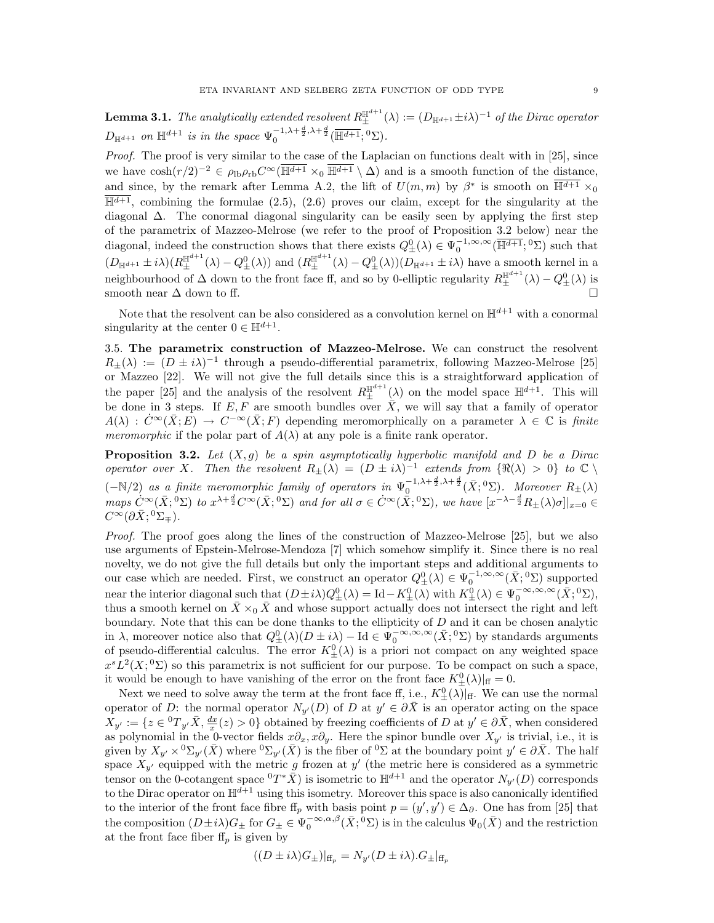**Lemma 3.1.** The analytically extended resolvent  $R_{\pm}^{\mathbb{H}^{d+1}}(\lambda) := (D_{\mathbb{H}^{d+1}} \pm i\lambda)^{-1}$  of the Dirac operator  $D_{\mathbb{H}^{d+1}}$  on  $\mathbb{H}^{d+1}$  is in the space  $\Psi_0^{-1,\lambda+\frac{d}{2},\lambda+\frac{d}{2}}(\overline{\mathbb{H}^{d+1}};{}^0\Sigma).$ 

Proof. The proof is very similar to the case of the Laplacian on functions dealt with in [25], since we have  $\cosh(r/2)^{-2} \in \rho_{\rm lb}\rho_{\rm rb}C^{\infty}(\overline{\mathbb{H}^{d+1}} \times_0 \overline{\mathbb{H}^{d+1}} \setminus \Delta)$  and is a smooth function of the distance, and since, by the remark after Lemma A.2, the lift of  $U(m, m)$  by  $\beta^*$  is smooth on  $\overline{\mathbb{H}^{d+1}} \times_0$  $\overline{\mathbb{H}^{d+1}}$ , combining the formulae (2.5), (2.6) proves our claim, except for the singularity at the diagonal ∆. The conormal diagonal singularity can be easily seen by applying the first step of the parametrix of Mazzeo-Melrose (we refer to the proof of Proposition 3.2 below) near the diagonal, indeed the construction shows that there exists  $Q_{\pm}^0(\lambda) \in \Psi_0^{-1,\infty,\infty}(\overline{\mathbb{H}^{d+1}};{}^0\Sigma)$  such that  $(D_{\mathbb{H}^{d+1}} \pm i\lambda)(R_{\pm}^{\mathbb{H}^{d+1}}(\lambda) - Q_{\pm}^{0}(\lambda))$  and  $(R_{\pm}^{\mathbb{H}^{d+1}}(\lambda) - Q_{\pm}^{0}(\lambda))(D_{\mathbb{H}^{d+1}} \pm i\lambda)$  have a smooth kernel in a neighbourhood of  $\Delta$  down to the front face ff, and so by 0-elliptic regularity  $R_{\pm}^{\mathbb{H}^{d+1}}(\lambda) - Q_{\pm}^0(\lambda)$  is smooth near  $\Delta$  down to ff.

Note that the resolvent can be also considered as a convolution kernel on  $\mathbb{H}^{d+1}$  with a conormal singularity at the center  $0 \in \mathbb{H}^{d+1}$ .

3.5. The parametrix construction of Mazzeo-Melrose. We can construct the resolvent  $R_{\pm}(\lambda) := (D \pm i\lambda)^{-1}$  through a pseudo-differential parametrix, following Mazzeo-Melrose [25] or Mazzeo [22]. We will not give the full details since this is a straightforward application of the paper [25] and the analysis of the resolvent  $R_{\pm}^{\mathbb{H}^{d+1}}(\lambda)$  on the model space  $\mathbb{H}^{d+1}$ . This will be done in 3 steps. If E, F are smooth bundles over  $\overrightarrow{X}$ , we will say that a family of operator  $A(\lambda) : \dot{C}^{\infty}(\bar{X}; E) \to C^{-\infty}(\bar{X}; F)$  depending meromorphically on a parameter  $\lambda \in \mathbb{C}$  is finite meromorphic if the polar part of  $A(\lambda)$  at any pole is a finite rank operator.

**Proposition 3.2.** Let  $(X, g)$  be a spin asymptotically hyperbolic manifold and D be a Dirac operator over X. Then the resolvent  $R_{\pm}(\lambda) = (D \pm i\lambda)^{-1}$  extends from  $\{\Re(\lambda) > 0\}$  to  $\mathbb{C}$  $(-N/2)$  as a finite meromorphic family of operators in  $\Psi_0^{-1,\lambda+\frac{d}{2},\lambda+\frac{d}{2}}(\bar{X};^0\Sigma)$ . Moreover  $R_{\pm}(\lambda)$ maps  $\dot{C}^{\infty}(\bar{X}; 0\Sigma)$  to  $x^{\lambda + \frac{d}{2}} C^{\infty}(\bar{X}; 0\Sigma)$  and for all  $\sigma \in \dot{C}^{\infty}(\bar{X}; 0\Sigma)$ , we have  $[x^{-\lambda - \frac{d}{2}} R_{\pm}(\lambda) \sigma] |_{x=0} \in$  $C^{\infty}(\partial\bar X; {}^0\Sigma_{\mp}).$ 

Proof. The proof goes along the lines of the construction of Mazzeo-Melrose [25], but we also use arguments of Epstein-Melrose-Mendoza [7] which somehow simplify it. Since there is no real novelty, we do not give the full details but only the important steps and additional arguments to our case which are needed. First, we construct an operator  $Q_{\pm}^0(\lambda) \in \Psi_0^{-1,\infty,\infty}(\bar{X};{}^0\Sigma)$  supported near the interior diagonal such that  $(D \pm i\lambda)Q_{\pm}^0(\lambda) = \mathrm{Id} - K_{\pm}^0(\lambda)$  with  $K_{\pm}^0(\lambda) \in \Psi_0^{-\infty,\infty,\infty}(\bar{X};^0\Sigma)$ , thus a smooth kernel on  $\bar{X} \times_0 \bar{X}$  and whose support actually does not intersect the right and left boundary. Note that this can be done thanks to the ellipticity of  $D$  and it can be chosen analytic in  $\lambda$ , moreover notice also that  $Q_{\pm}^0(\lambda)(D \pm i\lambda) - \text{Id} \in \Psi_0^{-\infty,\infty,\infty}(\bar{X};^{0}\Sigma)$  by standards arguments of pseudo-differential calculus. The error  $K_{\pm}^{0}(\lambda)$  is a priori not compact on any weighted space  $x^s L^2(X; {}^0\Sigma)$  so this parametrix is not sufficient for our purpose. To be compact on such a space, it would be enough to have vanishing of the error on the front face  $K_{\pm}^{0}(\lambda)|_{\text{ff}} = 0$ .

Next we need to solve away the term at the front face ff, i.e.,  $K_{\pm}^{0}(\lambda)|_{\text{ff}}$ . We can use the normal operator of D: the normal operator  $N_{y}(D)$  of D at  $y' \in \partial \overline{X}$  is an operator acting on the space  $X_{y'} := \{z \in {}^{0}T_{y'}\bar{X}, \frac{dx}{x}(z) > 0\}$  obtained by freezing coefficients of D at  $y' \in \partial \bar{X}$ , when considered as polynomial in the 0-vector fields  $x\partial_x, x\partial_y$ . Here the spinor bundle over  $X_{y'}$  is trivial, i.e., it is given by  $X_{y'} \times {}^0\Sigma_{y'}(\bar{X})$  where  ${}^0\Sigma_{y'}(\bar{X})$  is the fiber of  ${}^0\Sigma$  at the boundary point  $y' \in \partial \bar{X}$ . The half space  $X_{y'}$  equipped with the metric g frozen at y' (the metric here is considered as a symmetric tensor on the 0-cotangent space  ${}^0T^*\bar{X}$ ) is isometric to  $\mathbb{H}^{d+1}$  and the operator  $N_{y'}(D)$  corresponds to the Dirac operator on  $\mathbb{H}^{d+1}$  using this isometry. Moreover this space is also canonically identified to the interior of the front face fibre  $f_p$  with basis point  $p = (y', y') \in \Delta_{\partial}$ . One has from [25] that the composition  $(D\pm i\lambda)G_{\pm}$  for  $G_{\pm}\in \Psi_0^{-\infty,\alpha,\beta}(\bar{X};^0\Sigma)$  is in the calculus  $\Psi_0(\bar{X})$  and the restriction at the front face fiber  $f_{p}$  is given by

$$
((D \pm i\lambda)G_{\pm})|_{\text{ff}_p} = N_{y'}(D \pm i\lambda).G_{\pm}|_{\text{ff}_p}
$$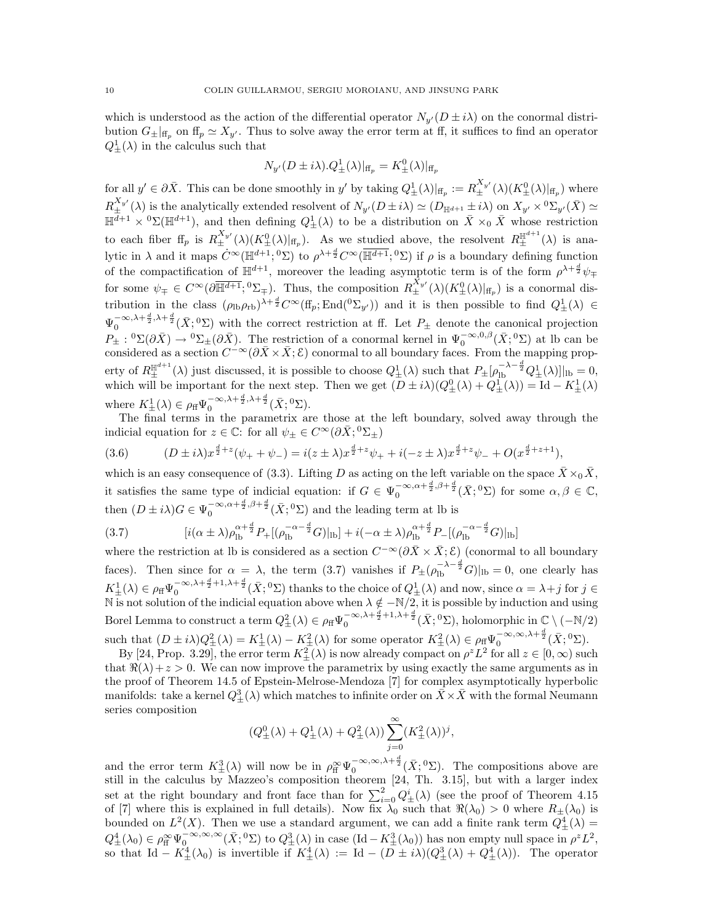which is understood as the action of the differential operator  $N_{y'}(D \pm i\lambda)$  on the conormal distribution  $G_{\pm}|_{\text{ff}_p}$  on  $\text{ff}_p \simeq X_{y'}$ . Thus to solve away the error term at ff, it suffices to find an operator  $Q_{\pm}^1(\lambda)$  in the calculus such that

$$
N_{y'}(D \pm i\lambda).Q^1_{\pm}(\lambda)|_{\mathrm{ff}_p} = K^0_{\pm}(\lambda)|_{\mathrm{ff}_p}
$$

for all  $y' \in \partial \bar{X}$ . This can be done smoothly in y' by taking  $Q_{\pm}^1(\lambda)|_{\text{ff}_p} := R_{\pm}^{X_{y'}}(\lambda)(K_{\pm}^0(\lambda)|_{\text{ff}_p})$  where  $R_{\pm}^{X_{y'}}(\lambda)$  is the analytically extended resolvent of  $N_{y'}(D \pm i\lambda) \simeq (D_{\mathbb{H}^{d+1}} \pm i\lambda)$  on  $X_{y'} \times {}^0\Sigma_{y'}(\bar{X}) \simeq$  $\mathbb{H}^{\overline{d}+1} \times {}^{0}\Sigma(\mathbb{H}^{d+1}),$  and then defining  $Q_{\pm}^{1}(\lambda)$  to be a distribution on  $\overline{X} \times_{0} \overline{X}$  whose restriction to each fiber  $f\!f_p$  is  $R_{\pm}^{X_{y'}}(\lambda)(K_{\pm}^0(\lambda)|_{f\!f_p})$ . As we studied above, the resolvent  $R_{\pm}^{\mathbb{H}^{d+1}}(\lambda)$  is analytic in  $\lambda$  and it maps  $\dot{C}^{\infty}(\mathbb{H}^{d+1}; \mathbb{I}^{\infty})$  to  $\rho^{\lambda+\frac{d}{2}}C^{\infty}(\overline{\mathbb{H}^{d+1}}; \mathbb{I}^{\infty})$  if  $\rho$  is a boundary defining function of the compactification of  $\mathbb{H}^{d+1}$ , moreover the leading asymptotic term is of the form  $\rho^{\lambda+\frac{d}{2}}\psi_{\mp}$ for some  $\psi_{\pm} \in C^{\infty}(\partial \overline{\mathbb{H}^{d+1}}; {}^{0}\Sigma_{\mp})$ . Thus, the composition  $R_{\pm}^{X_{y'}}(\lambda)(K_{\pm}^{0}(\lambda)|_{\text{ff}_p})$  is a conormal distribution in the class  $(\rho_{\rm lb}\rho_{\rm rb})^{\lambda+\frac{d}{2}}C^{\infty}(\text{ff}_p;\text{End}({}^0\Sigma_{y'}))$  and it is then possible to find  $Q_{\pm}^1(\lambda) \in$  $\Psi_0^{-\infty,\lambda+\frac{d}{2},\lambda+\frac{d}{2}}(\bar{X};{}^0\Sigma)$  with the correct restriction at ff. Let  $P_{\pm}$  denote the canonical projection  $P_{\pm}: {}^{0}\Sigma(\partial \bar{X}) \to {}^{0}\Sigma_{\pm}(\partial \bar{X})$ . The restriction of a conormal kernel in  $\Psi_{0}^{-\infty,0,\beta}(\bar{X};{}^{0}\Sigma)$  at lb can be considered as a section  $C^{-\infty}(\partial \bar{X}\times \bar{X}; \mathcal{E})$  conormal to all boundary faces. From the mapping property of  $R_{\pm}^{\mathbb{H}^{d+1}}(\lambda)$  just discussed, it is possible to choose  $Q_{\pm}^{1}(\lambda)$  such that  $P_{\pm}[\rho_{\text{lb}}^{-\lambda-\frac{d}{2}}Q_{\pm}^{1}(\lambda)]|_{\text{lb}}=0$ , which will be important for the next step. Then we get  $(D \pm i\lambda)(Q_{\pm}^0(\lambda) + Q_{\pm}^1(\lambda)) = \mathrm{Id} - K_{\pm}^1(\lambda)$ where  $K_{\pm}^{1}(\lambda) \in \rho_{\text{ff}} \Psi_{0}^{-\infty,\lambda+\frac{d}{2},\lambda+\frac{d}{2}}(\bar{X};^{0}\Sigma).$ 

The final terms in the parametrix are those at the left boundary, solved away through the indicial equation for  $z \in \mathbb{C}$ : for all  $\psi_{\pm} \in C^{\infty}(\partial \bar{X}; {}^{0}\Sigma_{\pm})$ 

(3.6) 
$$
(D \pm i\lambda)x^{\frac{d}{2}+z}(\psi_+ + \psi_-) = i(z \pm \lambda)x^{\frac{d}{2}+z}\psi_+ + i(-z \pm \lambda)x^{\frac{d}{2}+z}\psi_- + O(x^{\frac{d}{2}+z+1}),
$$

which is an easy consequence of (3.3). Lifting D as acting on the left variable on the space  $\bar{X}\times_0\bar{X}$ , it satisfies the same type of indicial equation: if  $G \in \Psi_0^{-\infty, \alpha + \frac{d}{2}, \beta + \frac{d}{2}}(\bar{X}; 0)$  for some  $\alpha, \beta \in \mathbb{C}$ , then  $(D \pm i\lambda)G \in \Psi_0^{-\infty,\alpha+\frac{d}{2},\beta+\frac{d}{2}}(\bar{X};^0\Sigma)$  and the leading term at lb is

$$
(3.7) \qquad [i(\alpha \pm \lambda)\rho_{\rm lb}^{\alpha + \frac{d}{2}}P_{+}[(\rho_{\rm lb}^{-\alpha - \frac{d}{2}}G)|_{\rm lb}] + i(-\alpha \pm \lambda)\rho_{\rm lb}^{\alpha + \frac{d}{2}}P_{-}[(\rho_{\rm lb}^{-\alpha - \frac{d}{2}}G)|_{\rm lb}]
$$

where the restriction at lb is considered as a section  $C^{-\infty}(\partial \bar{X}\times \bar{X}; \mathcal{E})$  (conormal to all boundary faces). Then since for  $\alpha = \lambda$ , the term (3.7) vanishes if  $P_{\pm}(\rho_{\text{lb}}^{-\lambda-\frac{d}{2}}G)|_{\text{lb}} = 0$ , one clearly has  $K_{\pm}^{1}(\lambda) \in \rho_{\text{ff}} \Psi_{0}^{-\infty,\lambda+\frac{d}{2}+1,\lambda+\frac{d}{2}}(\bar{X};^{0}\Sigma)$  thanks to the choice of  $Q_{\pm}^{1}(\lambda)$  and now, since  $\alpha = \lambda + j$  for  $j \in$ N is not solution of the indicial equation above when  $\lambda \notin -N/2$ , it is possible by induction and using Borel Lemma to construct a term  $Q^2_{\pm}(\lambda) \in \rho_{\rm ff} \Psi_0^{-\infty,\lambda + \frac{d}{2}+1,\lambda + \frac{d}{2}}(\bar{X};{}^0\Sigma)$ , holomorphic in  $\mathbb{C} \setminus (-\mathbb{N}/2)$ such that  $(D \pm i\lambda)Q_{\pm}^2(\lambda) = K_{\pm}^1(\lambda) - K_{\pm}^2(\lambda)$  for some operator  $K_{\pm}^2(\lambda) \in \rho_{\rm ff} \Psi_0^{-\infty,\infty,\lambda+\frac{d}{2}}(\bar{X};^0\Sigma)$ .

By [24, Prop. 3.29], the error term  $K_{\pm}^2(\lambda)$  is now already compact on  $\rho^z L^2$  for all  $z \in [0, \infty)$  such that  $\Re(\lambda)+z>0$ . We can now improve the parametrix by using exactly the same arguments as in the proof of Theorem 14.5 of Epstein-Melrose-Mendoza [7] for complex asymptotically hyperbolic manifolds: take a kernel  $Q^3_{\pm}(\lambda)$  which matches to infinite order on  $\bar{X} \times \bar{X}$  with the formal Neumann series composition

$$
(Q^0_\pm(\lambda)+Q^1_\pm(\lambda)+Q^2_\pm(\lambda))\sum_{j=0}^\infty(K^2_\pm(\lambda))^j,
$$

and the error term  $K^3_{\pm}(\lambda)$  will now be in  $\rho_{\rm ff}^{\infty} \Psi_0^{-\infty,\infty,\lambda+\frac{d}{2}}(\bar{X};{}^0\Sigma)$ . The compositions above are still in the calculus by Mazzeo's composition theorem [24, Th. 3.15], but with a larger index set at the right boundary and front face than for  $\sum_{i=0}^{2} Q_{\pm}^{i}(\lambda)$  (see the proof of Theorem 4.15 of [7] where this is explained in full details). Now fix  $\lambda_0$  such that  $\Re(\lambda_0) > 0$  where  $R_{\pm}(\lambda_0)$  is bounded on  $L^2(X)$ . Then we use a standard argument, we can add a finite rank term  $Q^4_{\pm}(\lambda)$  =  $Q_{\pm}^4(\lambda_0) \in \rho_{\rm ff}^{\infty} \Psi_0^{-\infty,\infty,\infty}(\bar{X};{}^0\Sigma)$  to  $Q_{\pm}^3(\lambda)$  in case  $({\rm Id}-K_{\pm}^3(\lambda_0))$  has non empty null space in  $\rho^2 L^2$ , so that Id –  $K_{\pm}^{4}(\lambda_0)$  is invertible if  $K_{\pm}^{4}(\lambda) := \text{Id} - (D \pm i\lambda)(Q_{\pm}^{3}(\lambda) + Q_{\pm}^{4}(\lambda))$ . The operator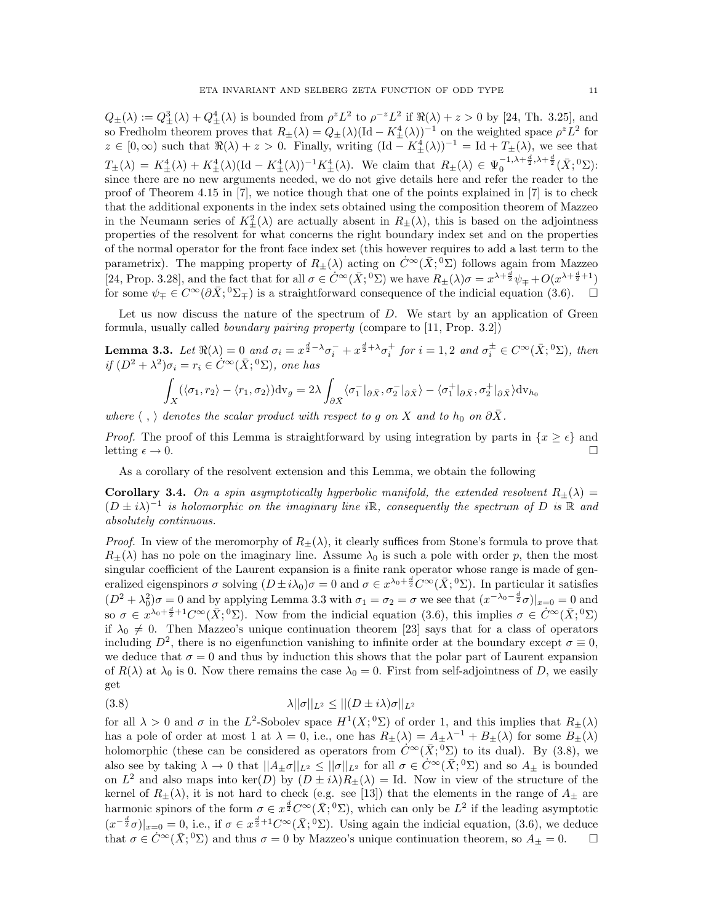$Q_{\pm}(\lambda) := Q_{\pm}^3(\lambda) + Q_{\pm}^4(\lambda)$  is bounded from  $\rho^z L^2$  to  $\rho^{-z} L^2$  if  $\Re(\lambda) + z > 0$  by [24, Th. 3.25], and so Fredholm theorem proves that  $R_{\pm}(\lambda) = Q_{\pm}(\lambda)(\text{Id} - K_{\pm}^{4}(\lambda))^{-1}$  on the weighted space  $\rho^{z}L^{2}$  for  $z \in [0, \infty)$  such that  $\Re(\lambda) + z > 0$ . Finally, writing  $(\text{Id} - K_{\pm}^{4}(\lambda))^{-1} = \text{Id} + T_{\pm}(\lambda)$ , we see that  $T_{\pm}(\lambda) = K_{\pm}^{4}(\lambda) + K_{\pm}^{4}(\lambda)(\mathrm{Id} - K_{\pm}^{4}(\lambda))^{-1} K_{\pm}^{4}(\lambda).$  We claim that  $R_{\pm}(\lambda) \in \Psi_{0}^{-1,\lambda + \frac{d}{2},\lambda + \frac{d}{2}}(\bar{X};^{0}\Sigma)$ : since there are no new arguments needed, we do not give details here and refer the reader to the proof of Theorem 4.15 in [7], we notice though that one of the points explained in [7] is to check that the additional exponents in the index sets obtained using the composition theorem of Mazzeo in the Neumann series of  $K_{\pm}^2(\lambda)$  are actually absent in  $R_{\pm}(\lambda)$ , this is based on the adjointness properties of the resolvent for what concerns the right boundary index set and on the properties of the normal operator for the front face index set (this however requires to add a last term to the parametrix). The mapping property of  $R_{\pm}(\lambda)$  acting on  $\dot{C}^{\infty}(\bar{X};^{0}\Sigma)$  follows again from Mazzeo [24, Prop. 3.28], and the fact that for all  $\sigma \in \dot{C}^{\infty}(\bar{X}; ^0\Sigma)$  we have  $R_{\pm}(\lambda)\sigma = x^{\lambda + \frac{d}{2}}\psi_{\mp} + O(x^{\lambda + \frac{d}{2}+1})$ for some  $\psi_{\pm} \in C^{\infty}(\partial \bar{X}; {}^{0}\Sigma_{\mp})$  is a straightforward consequence of the indicial equation (3.6).  $\Box$ 

Let us now discuss the nature of the spectrum of  $D$ . We start by an application of Green formula, usually called boundary pairing property (compare to [11, Prop. 3.2])

**Lemma 3.3.** Let  $\Re(\lambda) = 0$  and  $\sigma_i = x^{\frac{d}{2}-\lambda}\sigma_i^- + x^{\frac{d}{2}+\lambda}\sigma_i^+$  for  $i = 1, 2$  and  $\sigma_i^{\pm} \in C^{\infty}(\bar{X}; {}^0\Sigma)$ , then if  $(D^2 + \lambda^2)\sigma_i = r_i \in C^\infty(\bar{X}; {}^0\Sigma)$ , one has

$$
\int_X (\langle \sigma_1, r_2 \rangle - \langle r_1, \sigma_2 \rangle) \mathrm{dv}_g = 2\lambda \int_{\partial \bar{X}} \langle \sigma_1^- |_{\partial \bar{X}}, \sigma_2^- |_{\partial \bar{X}} \rangle - \langle \sigma_1^+ |_{\partial \bar{X}}, \sigma_2^+ |_{\partial \bar{X}} \rangle \mathrm{dv}_{h_0}
$$

where  $\langle , \rangle$  denotes the scalar product with respect to g on X and to  $h_0$  on  $\partial \bar{X}$ .

*Proof.* The proof of this Lemma is straightforward by using integration by parts in  $\{x \geq \epsilon\}$  and letting  $\epsilon \to 0$ .

As a corollary of the resolvent extension and this Lemma, we obtain the following

**Corollary 3.4.** On a spin asymptotically hyperbolic manifold, the extended resolvent  $R_{\pm}(\lambda)$  =  $(D \pm i\lambda)^{-1}$  is holomorphic on the imaginary line iR, consequently the spectrum of D is R and absolutely continuous.

*Proof.* In view of the meromorphy of  $R_{\pm}(\lambda)$ , it clearly suffices from Stone's formula to prove that  $R_{\pm}(\lambda)$  has no pole on the imaginary line. Assume  $\lambda_0$  is such a pole with order p, then the most singular coefficient of the Laurent expansion is a finite rank operator whose range is made of generalized eigenspinors  $\sigma$  solving  $(D \pm i\lambda_0)\sigma = 0$  and  $\sigma \in x^{\lambda_0 + \frac{d}{2}} C^{\infty}(\bar{X}; {}^0\Sigma)$ . In particular it satisfies  $(D^2 + \lambda_0^2)\sigma = 0$  and by applying Lemma 3.3 with  $\sigma_1 = \sigma_2 = \sigma$  we see that  $(x^{-\lambda_0 - \frac{d}{2}}\sigma)|_{x=0} = 0$  and so  $\sigma \in x^{\lambda_0 + \frac{d}{2} + 1} C^{\infty}(\bar{X}; {}^0\Sigma)$ . Now from the indicial equation (3.6), this implies  $\sigma \in C^{\infty}(\bar{X}; {}^0\Sigma)$ if  $\lambda_0 \neq 0$ . Then Mazzeo's unique continuation theorem [23] says that for a class of operators including  $D^2$ , there is no eigenfunction vanishing to infinite order at the boundary except  $\sigma \equiv 0$ , we deduce that  $\sigma = 0$  and thus by induction this shows that the polar part of Laurent expansion of  $R(\lambda)$  at  $\lambda_0$  is 0. Now there remains the case  $\lambda_0 = 0$ . First from self-adjointness of D, we easily get

$$
\lambda ||\sigma||_{L^2} \le ||(D \pm i\lambda)\sigma||_{L^2}
$$

for all  $\lambda > 0$  and  $\sigma$  in the L<sup>2</sup>-Sobolev space  $H^1(X; {}^0\Sigma)$  of order 1, and this implies that  $R_{\pm}(\lambda)$ has a pole of order at most 1 at  $\lambda = 0$ , i.e., one has  $R_{\pm}(\lambda) = A_{\pm}\lambda^{-1} + B_{\pm}(\lambda)$  for some  $B_{\pm}(\lambda)$ holomorphic (these can be considered as operators from  $\dot{C}^{\infty}(\bar{X}; {}^{0}\Sigma)$  to its dual). By (3.8), we also see by taking  $\lambda \to 0$  that  $||A_{\pm}\sigma||_{L^2} \le ||\sigma||_{L^2}$  for all  $\sigma \in C^{\infty}(\overline{X}; {}^0\Sigma)$  and so  $A_{\pm}$  is bounded on  $L^2$  and also maps into ker(D) by  $(D \pm i\lambda)R_{\pm}(\lambda) =$  Id. Now in view of the structure of the kernel of  $R_{\pm}(\lambda)$ , it is not hard to check (e.g. see [13]) that the elements in the range of  $A_{\pm}$  are harmonic spinors of the form  $\sigma \in x^{\frac{d}{2}} C^{\infty}(\bar{X}; {}^{0}\Sigma)$ , which can only be  $L^{2}$  if the leading asymptotic  $(x^{-\frac{d}{2}}\sigma)|_{x=0} = 0$ , i.e., if  $\sigma \in x^{\frac{d}{2}+1}C^{\infty}(\bar{X};^{0}\Sigma)$ . Using again the indicial equation, (3.6), we deduce that  $\sigma \in \dot{C}^{\infty}(\bar{X}; {}^{0}\Sigma)$  and thus  $\sigma = 0$  by Mazzeo's unique continuation theorem, so  $A_{\pm} = 0$ .  $\square$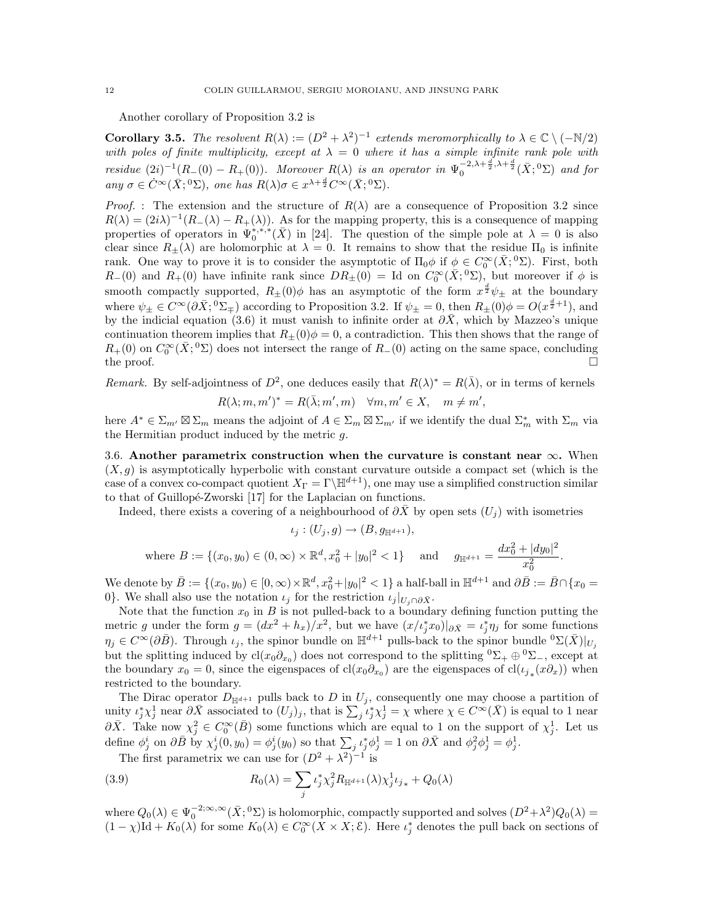Another corollary of Proposition 3.2 is

**Corollary 3.5.** The resolvent  $R(\lambda) := (D^2 + \lambda^2)^{-1}$  extends meromorphically to  $\lambda \in \mathbb{C} \setminus (-\mathbb{N}/2)$ with poles of finite multiplicity, except at  $\lambda = 0$  where it has a simple infinite rank pole with residue  $(2i)^{-1}(R_-(0) - R_+(0))$ . Moreover  $R(\lambda)$  is an operator in  $\Psi_0^{-2,\lambda + \frac{d}{2},\lambda + \frac{d}{2}}(\bar{X};0\Sigma)$  and for any  $\sigma \in \dot{C}^{\infty}(\bar{X}; ^0\Sigma)$ , one has  $R(\lambda)\sigma \in x^{\lambda+\frac{d}{2}}C^{\infty}(\bar{X}; ^0\Sigma)$ .

*Proof.* : The extension and the structure of  $R(\lambda)$  are a consequence of Proposition 3.2 since  $R(\lambda) = (2i\lambda)^{-1}(R_-(\lambda) - R_+(\lambda)).$  As for the mapping property, this is a consequence of mapping properties of operators in  $\Psi_0^{*,*,*}(\bar{X})$  in [24]. The question of the simple pole at  $\lambda = 0$  is also clear since  $R_{\pm}(\lambda)$  are holomorphic at  $\lambda = 0$ . It remains to show that the residue  $\Pi_0$  is infinite rank. One way to prove it is to consider the asymptotic of  $\Pi_0 \phi$  if  $\phi \in C_0^{\infty}(\bar{X}; {}^0\Sigma)$ . First, both  $R_{-}(0)$  and  $R_{+}(0)$  have infinite rank since  $DR_{+}(0) =$  Id on  $C_0^{\infty}(\bar{X}; {}^0\Sigma)$ , but moreover if  $\phi$  is smooth compactly supported,  $R_{\pm}(0)\phi$  has an asymptotic of the form  $x^{\frac{d}{2}}\psi_{\pm}$  at the boundary where  $\psi_{\pm} \in C^{\infty}(\partial \bar{X}; {}^{0}\Sigma_{\mp})$  according to Proposition 3.2. If  $\psi_{\pm} = 0$ , then  $R_{\pm}(0)\phi = O(x^{\frac{d}{2}+1})$ , and by the indicial equation (3.6) it must vanish to infinite order at  $\partial \bar{X}$ , which by Mazzeo's unique continuation theorem implies that  $R_{+}(0)\phi = 0$ , a contradiction. This then shows that the range of  $R_+(0)$  on  $C_0^{\infty}(\bar{X};{}^0\Sigma)$  does not intersect the range of  $R_-(0)$  acting on the same space, concluding the proof.  $\Box$ 

Remark. By self-adjointness of  $D^2$ , one deduces easily that  $R(\lambda)^* = R(\overline{\lambda})$ , or in terms of kernels  $R(\lambda; m, m')^* = R(\bar{\lambda}; m', m) \quad \forall m, m' \in X, \quad m \neq m',$ 

here  $A^* \in \Sigma_{m'} \boxtimes \Sigma_m$  means the adjoint of  $A \in \Sigma_m \boxtimes \Sigma_{m'}$  if we identify the dual  $\Sigma_m^*$  with  $\Sigma_m$  via the Hermitian product induced by the metric g.

3.6. Another parametrix construction when the curvature is constant near  $\infty$ . When  $(X, g)$  is asymptotically hyperbolic with constant curvature outside a compact set (which is the case of a convex co-compact quotient  $X_{\Gamma} = \Gamma \backslash \mathbb{H}^{d+1}$ , one may use a simplified construction similar to that of Guillopé-Zworski [17] for the Laplacian on functions.

Indeed, there exists a covering of a neighbourhood of  $\partial \bar{X}$  by open sets  $(U_i)$  with isometries

$$
\iota_j: (U_j, g) \to (B, g_{\mathbb{H}^{d+1}}),
$$
  
where 
$$
B := \{(x_0, y_0) \in (0, \infty) \times \mathbb{R}^d, x_0^2 + |y_0|^2 < 1\}
$$
 and 
$$
g_{\mathbb{H}^{d+1}} = \frac{dx_0^2 + |dy_0|^2}{x_0^2}
$$

.

We denote by  $\overline{B} := \{(x_0, y_0) \in [0, \infty) \times \mathbb{R}^d, x_0^2 + |y_0|^2 < 1\}$  a half-ball in  $\mathbb{H}^{d+1}$  and  $\partial \overline{B} := \overline{B} \cap \{x_0 = 0\}$ 0}. We shall also use the notation  $\iota_i$  for the restriction  $\iota_i|_{U_i\cap\partial\bar{X}}$ .

Note that the function  $x_0$  in B is not pulled-back to a boundary defining function putting the metric g under the form  $g = (dx^2 + h_x)/x^2$ , but we have  $(x/t_j^*x_0)|_{\partial \bar{X}} = t_j^*\eta_j$  for some functions  $\eta_i \in C^{\infty}(\partial \bar{B})$ . Through  $\iota_i$ , the spinor bundle on  $\mathbb{H}^{d+1}$  pulls-back to the spinor bundle  ${}^0\Sigma(\bar{X})|_{U_i}$ but the splitting induced by  $cl(x_0\partial_{x_0})$  does not correspond to the splitting  ${}^0\Sigma_+ \oplus {}^0\Sigma_-$ , except at the boundary  $x_0 = 0$ , since the eigenspaces of cl( $x_0 \partial_{x_0}$ ) are the eigenspaces of cl( $\iota_{j*}(x \partial_x)$ ) when restricted to the boundary.

The Dirac operator  $D_{\mathbb{H}^{d+1}}$  pulls back to D in  $U_j$ , consequently one may choose a partition of unity  $\iota_j^*\chi_j^1$  near  $\partial \bar{X}$  associated to  $(U_j)_j$ , that is  $\sum_j \iota_j^*\chi_j^1 = \chi$  where  $\chi \in C^{\infty}(\bar{X})$  is equal to 1 near  $\partial \bar{X}$ . Take now  $\chi_j^2 \in C_0^{\infty}(\bar{B})$  some functions which are equal to 1 on the support of  $\chi_j^1$ . Let us define  $\phi_j^i$  on  $\partial \bar{B}$  by  $\chi_j^i(0, y_0) = \phi_j^i(y_0)$  so that  $\sum_j \iota_j^* \phi_j^1 = 1$  on  $\partial \bar{X}$  and  $\phi_j^2 \phi_j^1 = \phi_j^1$ .

The first parametrix we can use for  $(D^2 + \lambda^2)^{-1}$  is

(3.9) 
$$
R_0(\lambda) = \sum_j \iota_j^* \chi_j^2 R_{\mathbb{H}^{d+1}}(\lambda) \chi_j^1 \iota_{j*} + Q_0(\lambda)
$$

where  $Q_0(\lambda) \in \Psi_0^{-2;\infty,\infty}(\bar{X};0\Sigma)$  is holomorphic, compactly supported and solves  $(D^2 + \lambda^2)Q_0(\lambda) =$  $(1-\chi) \mathrm{Id} + K_0(\lambda)$  for some  $K_0(\lambda) \in C_0^{\infty}(X \times X; \mathcal{E})$ . Here  $\iota_j^*$  denotes the pull back on sections of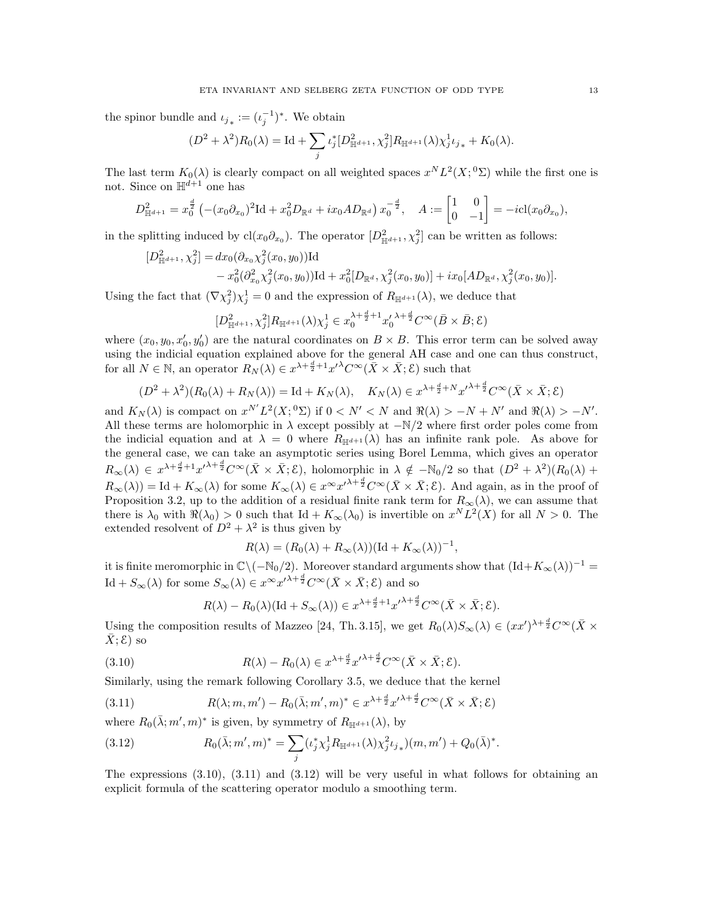the spinor bundle and  $\iota_{j_*} := (\iota_j^{-1})^*$ . We obtain

$$
(D^2 + \lambda^2)R_0(\lambda) = \mathrm{Id} + \sum_j \iota_j^* [D^2_{\mathbb{H}^{d+1}}, \chi_j^2] R_{\mathbb{H}^{d+1}}(\lambda) \chi_j^1 \iota_{j_*} + K_0(\lambda).
$$

The last term  $K_0(\lambda)$  is clearly compact on all weighted spaces  $x^N L^2(X; {}^0\Sigma)$  while the first one is not. Since on  $\mathbb{H}^{d+1}$  one has

$$
D_{\mathbb{H}^{d+1}}^2 = x_0^{\frac{d}{2}} \left( -(x_0 \partial_{x_0})^2 \mathrm{Id} + x_0^2 D_{\mathbb{R}^d} + ix_0 A D_{\mathbb{R}^d} \right) x_0^{-\frac{d}{2}}, \quad A := \begin{bmatrix} 1 & 0 \\ 0 & -1 \end{bmatrix} = -i \mathrm{cl}(x_0 \partial_{x_0}),
$$

in the splitting induced by  $cl(x_0\partial_{x_0})$ . The operator  $[D^2_{\mathbb{H}^{d+1}}, \chi_j^2]$  can be written as follows:

$$
[D_{\mathbb{H}^{d+1}}^2, \chi_j^2] = dx_0(\partial_{x_0}\chi_j^2(x_0, y_0))\mathrm{Id}-x_0^2(\partial_{x_0}^2\chi_j^2(x_0, y_0))\mathrm{Id} + x_0^2[D_{\mathbb{R}^d}, \chi_j^2(x_0, y_0)] + ix_0[AD_{\mathbb{R}^d}, \chi_j^2(x_0, y_0)].
$$

Using the fact that  $(\nabla \chi_j^2)\chi_j^1 = 0$  and the expression of  $R_{\mathbb{H}^{d+1}}(\lambda)$ , we deduce that

$$
[D_{\mathbb{H}^{d+1}}^2, \chi_j^2] R_{\mathbb{H}^{d+1}}(\lambda) \chi_j^1 \in x_0^{\lambda + \frac{d}{2} + 1} x_0^{\lambda + \frac{d}{2}} C^{\infty}(\bar{B} \times \bar{B}; \mathcal{E})
$$

where  $(x_0, y_0, x'_0, y'_0)$  are the natural coordinates on  $B \times B$ . This error term can be solved away using the indicial equation explained above for the general AH case and one can thus construct, for all  $N \in \mathbb{N}$ , an operator  $R_N(\lambda) \in x^{\lambda + \frac{d}{2} + 1} x'^{\lambda} C^{\infty}(\bar{X} \times \bar{X}; \mathcal{E})$  such that

$$
(D^2 + \lambda^2)(R_0(\lambda) + R_N(\lambda)) = \text{Id} + K_N(\lambda), \quad K_N(\lambda) \in x^{\lambda + \frac{d}{2} + N} x^{\lambda + \frac{d}{2}} C^\infty(\bar{X} \times \bar{X}; \mathcal{E})
$$

and  $K_N(\lambda)$  is compact on  $x^{N'}L^2(X; {}^0\Sigma)$  if  $0 < N' < N$  and  $\Re(\lambda) > -N + N'$  and  $\Re(\lambda) > -N'$ . All these terms are holomorphic in  $\lambda$  except possibly at  $-N/2$  where first order poles come from the indicial equation and at  $\lambda = 0$  where  $R_{\mathbb{H}^{d+1}}(\lambda)$  has an infinite rank pole. As above for the general case, we can take an asymptotic series using Borel Lemma, which gives an operator  $R_{\infty}(\lambda) \in x^{\lambda + \frac{d}{2} + 1} x'^{\lambda + \frac{d}{2}} C^{\infty}(\bar{X} \times \bar{X}; \mathcal{E})$ , holomorphic in  $\lambda \notin -\mathbb{N}_0/2$  so that  $(D^2 + \lambda^2)(R_0(\lambda) +$  $R_{\infty}(\lambda) = \text{Id} + K_{\infty}(\lambda)$  for some  $K_{\infty}(\lambda) \in x^{\infty} x^{\lambda + \frac{d}{2}} C^{\infty}(\bar{X} \times \bar{X}; \mathcal{E})$ . And again, as in the proof of Proposition 3.2, up to the addition of a residual finite rank term for  $R_{\infty}(\lambda)$ , we can assume that there is  $\lambda_0$  with  $\Re(\lambda_0) > 0$  such that Id +  $K_\infty(\lambda_0)$  is invertible on  $x^N L^2(X)$  for all  $N > 0$ . The extended resolvent of  $D^2 + \lambda^2$  is thus given by

$$
R(\lambda) = (R_0(\lambda) + R_\infty(\lambda))(\text{Id} + K_\infty(\lambda))^{-1},
$$

it is finite meromorphic in  $\mathbb{C}\setminus(-\mathbb{N}_0/2)$ . Moreover standard arguments show that  $(\mathrm{Id}+K_{\infty}(\lambda))^{-1}$ Id +  $S_{\infty}(\lambda)$  for some  $S_{\infty}(\lambda) \in x^{\infty} x'^{\lambda + \frac{d}{2}} C^{\infty}(\bar{X} \times \bar{X}; \mathcal{E})$  and so

$$
R(\lambda) - R_0(\lambda)(\text{Id} + S_{\infty}(\lambda)) \in x^{\lambda + \frac{d}{2} + 1} x'^{\lambda + \frac{d}{2}} C^{\infty}(\bar{X} \times \bar{X}; \mathcal{E}).
$$

Using the composition results of Mazzeo [24, Th. 3.15], we get  $R_0(\lambda)S_\infty(\lambda) \in (xx')^{\lambda + \frac{d}{2}}C^\infty(\bar{X} \times$  $\bar{X}; \mathcal{E}$ ) so

(3.10) 
$$
R(\lambda) - R_0(\lambda) \in x^{\lambda + \frac{d}{2}} x'^{\lambda + \frac{d}{2}} C^{\infty}(\bar{X} \times \bar{X}; \mathcal{E}).
$$

Similarly, using the remark following Corollary 3.5, we deduce that the kernel

(3.11) 
$$
R(\lambda; m, m') - R_0(\bar{\lambda}; m', m)^* \in x^{\lambda + \frac{d}{2}} x'^{\lambda + \frac{d}{2}} C^\infty(\bar{X} \times \bar{X}; \mathcal{E})
$$

where  $R_0(\bar{\lambda}; m', m)^*$  is given, by symmetry of  $R_{\mathbb{H}^{d+1}}(\lambda)$ , by

(3.12) 
$$
R_0(\bar{\lambda}; m', m)^* = \sum_j (\iota_j^* \chi_j^1 R_{\mathbb{H}^{d+1}}(\lambda) \chi_j^2 \iota_{j*}) (m, m') + Q_0(\bar{\lambda})^*.
$$

The expressions  $(3.10)$ ,  $(3.11)$  and  $(3.12)$  will be very useful in what follows for obtaining an explicit formula of the scattering operator modulo a smoothing term.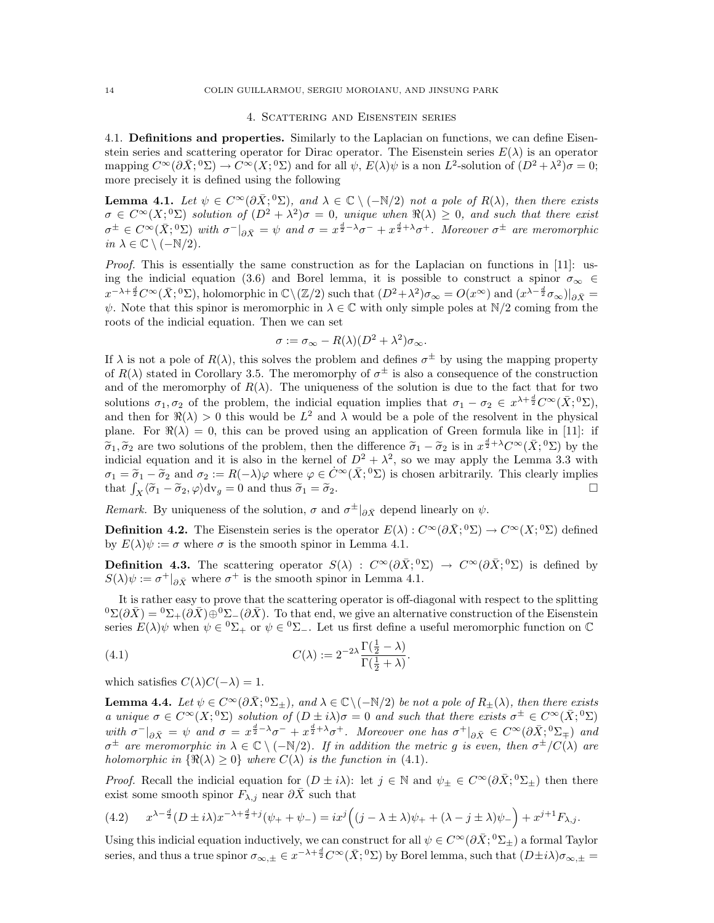### 4. Scattering and Eisenstein series

4.1. Definitions and properties. Similarly to the Laplacian on functions, we can define Eisenstein series and scattering operator for Dirac operator. The Eisenstein series  $E(\lambda)$  is an operator mapping  $C^{\infty}(\partial \bar{X}; {}^{0}\Sigma) \to \overline{C^{\infty}}(X; {}^{0}\Sigma)$  and for all  $\psi$ ,  $E(\lambda)\psi$  is a non  $L^{2}$ -solution of  $(D^{2} + \lambda^{2})\sigma = 0$ ; more precisely it is defined using the following

**Lemma 4.1.** Let  $\psi \in C^{\infty}(\partial \bar{X}; {}^{0}\Sigma)$ , and  $\lambda \in \mathbb{C} \setminus (-\mathbb{N}/2)$  not a pole of  $R(\lambda)$ , then there exists  $\sigma \in C^{\infty}(X; {}^{0}\Sigma)$  solution of  $(D^{2} + \lambda^{2})\sigma = 0$ , unique when  $\Re(\lambda) \geq 0$ , and such that there exist  $\sigma^{\pm} \in C^{\infty}(\bar{X}; 0)$  with  $\sigma^{-}|_{\partial \bar{X}} = \psi$  and  $\sigma = x^{\frac{d}{2}-\lambda}\sigma^{-} + x^{\frac{d}{2}+\lambda}\sigma^{+}$ . Moreover  $\sigma^{\pm}$  are meromorphic in  $\lambda \in \mathbb{C} \setminus (-\mathbb{N}/2)$ .

Proof. This is essentially the same construction as for the Laplacian on functions in [11]: using the indicial equation (3.6) and Borel lemma, it is possible to construct a spinor  $\sigma_{\infty} \in$  $x^{-\lambda+\frac{d}{2}}C^{\infty}(\bar{X};{}^{0}\Sigma)$ , holomorphic in  $\mathbb{C}\backslash(\mathbb{Z}/2)$  such that  $(D^{2}+\lambda^{2})\sigma_{\infty}=O(x^{\infty})$  and  $(x^{\lambda-\frac{d}{2}}\sigma_{\infty})|_{\partial \bar{X}}=$  $\psi$ . Note that this spinor is meromorphic in  $\lambda \in \mathbb{C}$  with only simple poles at  $\mathbb{N}/2$  coming from the roots of the indicial equation. Then we can set

$$
\sigma := \sigma_{\infty} - R(\lambda)(D^2 + \lambda^2)\sigma_{\infty}.
$$

If  $\lambda$  is not a pole of  $R(\lambda)$ , this solves the problem and defines  $\sigma^{\pm}$  by using the mapping property of  $R(\lambda)$  stated in Corollary 3.5. The meromorphy of  $\sigma^{\pm}$  is also a consequence of the construction and of the meromorphy of  $R(\lambda)$ . The uniqueness of the solution is due to the fact that for two solutions  $\sigma_1, \sigma_2$  of the problem, the indicial equation implies that  $\sigma_1 - \sigma_2 \in x^{\lambda + \frac{d}{2}} C^{\infty}(\bar{X}; {}^{0}\Sigma)$ , and then for  $\Re(\lambda) > 0$  this would be  $L^2$  and  $\lambda$  would be a pole of the resolvent in the physical plane. For  $\Re(\lambda) = 0$ , this can be proved using an application of Green formula like in [11]: if  $\tilde{\sigma}_1$ ,  $\tilde{\sigma}_2$  are two solutions of the problem, then the difference  $\tilde{\sigma}_1 - \tilde{\sigma}_2$  is in  $x^{\frac{d}{2} + \lambda} C^{\infty}(\bar{X}; {}^0\Sigma)$  by the indicial ocustion and it is also in the korpol of  $D^2 + \lambda^2$  so we way apply the L indicial equation and it is also in the kernel of  $D^2 + \lambda^2$ , so we may apply the Lemma 3.3 with  $\sigma_1 = \tilde{\sigma}_1 - \tilde{\sigma}_2$  and  $\sigma_2 := R(-\lambda)\varphi$  where  $\varphi \in \dot{C}^{\infty}(\bar{X}; 0)$  is chosen arbitrarily. This clearly implies that  $\int_X \langle \tilde{\sigma}_1 - \tilde{\sigma}_2, \varphi \rangle dv_g = 0$  and thus  $\tilde{\sigma}_1 = \tilde{\sigma}_2$ .

Remark. By uniqueness of the solution,  $\sigma$  and  $\sigma^{\pm}|_{\partial \bar{X}}$  depend linearly on  $\psi$ .

**Definition 4.2.** The Eisenstein series is the operator  $E(\lambda): C^{\infty}(\partial \bar{X}; {}^{0}\Sigma) \to C^{\infty}(X; {}^{0}\Sigma)$  defined by  $E(\lambda)\psi := \sigma$  where  $\sigma$  is the smooth spinor in Lemma 4.1.

**Definition 4.3.** The scattering operator  $S(\lambda)$  :  $C^{\infty}(\partial \bar{X}; {}^{0}\Sigma) \to C^{\infty}(\partial \bar{X}; {}^{0}\Sigma)$  is defined by  $S(\lambda)\psi := \sigma^+|_{\partial \bar{X}}$  where  $\sigma^+$  is the smooth spinor in Lemma 4.1.

It is rather easy to prove that the scattering operator is off-diagonal with respect to the splitting  ${}^0\Sigma(\partial \bar{X}) = {}^0\Sigma_+(\partial \bar{X})\oplus {}^0\Sigma_-(\partial \bar{X})$ . To that end, we give an alternative construction of the Eisenstein series  $E(\lambda)\psi$  when  $\psi \in {}^0\Sigma_+$  or  $\psi \in {}^0\Sigma_-$ . Let us first define a useful meromorphic function on  $\mathbb C$ 

(4.1) 
$$
C(\lambda) := 2^{-2\lambda} \frac{\Gamma(\frac{1}{2} - \lambda)}{\Gamma(\frac{1}{2} + \lambda)}.
$$

which satisfies  $C(\lambda)C(-\lambda) = 1$ .

**Lemma 4.4.** Let  $\psi \in C^{\infty}(\partial \bar{X}; {}^{0}\Sigma_{\pm})$ , and  $\lambda \in \mathbb{C} \setminus (-\mathbb{N}/2)$  be not a pole of  $R_{\pm}(\lambda)$ , then there exists a unique  $\sigma \in C^{\infty}(X; {}^{0} \Sigma)$  solution of  $(D \pm i\lambda)\sigma = 0$  and such that there exists  $\sigma^{\pm} \in C^{\infty}(\bar{X}; {}^{0} \Sigma)$ with  $\sigma^{-}|_{\partial \bar{X}} = \psi$  and  $\sigma = x^{\frac{d}{2}-\lambda}\sigma^{-} + x^{\frac{d}{2}+\lambda}\sigma^{+}$ . Moreover one has  $\sigma^{+}|_{\partial \bar{X}} \in C^{\infty}(\partial \bar{X}; ^{0}\Sigma_{\mp})$  and  $\sigma^{\pm}$  are meromorphic in  $\lambda \in \mathbb{C} \setminus (-\mathbb{N}/2)$ . If in addition the metric g is even, then  $\sigma^{\pm}/C(\lambda)$  are holomorphic in  $\{\Re(\lambda) \geq 0\}$  where  $C(\lambda)$  is the function in (4.1).

*Proof.* Recall the indicial equation for  $(D \pm i\lambda)$ : let  $j \in \mathbb{N}$  and  $\psi_{\pm} \in C^{\infty}(\partial \bar{X}; {}^{0}\Sigma_{\pm})$  then there exist some smooth spinor  $F_{\lambda,j}$  near  $\partial \bar{X}$  such that

$$
(4.2) \qquad x^{\lambda - \frac{d}{2}} (D \pm i\lambda) x^{-\lambda + \frac{d}{2} + j} (\psi_+ + \psi_-) = ix^j \Big( (j - \lambda \pm \lambda) \psi_+ + (\lambda - j \pm \lambda) \psi_- \Big) + x^{j+1} F_{\lambda, j}.
$$

Using this indicial equation inductively, we can construct for all  $\psi \in C^{\infty}(\partial \bar{X}; ^0\Sigma_{\pm})$  a formal Taylor series, and thus a true spinor  $\sigma_{\infty,\pm} \in x^{-\lambda+\frac{d}{2}} C^{\infty}(\bar{X};{}^{0}\Sigma)$  by Borel lemma, such that  $(D\pm i\lambda)\sigma_{\infty,\pm} =$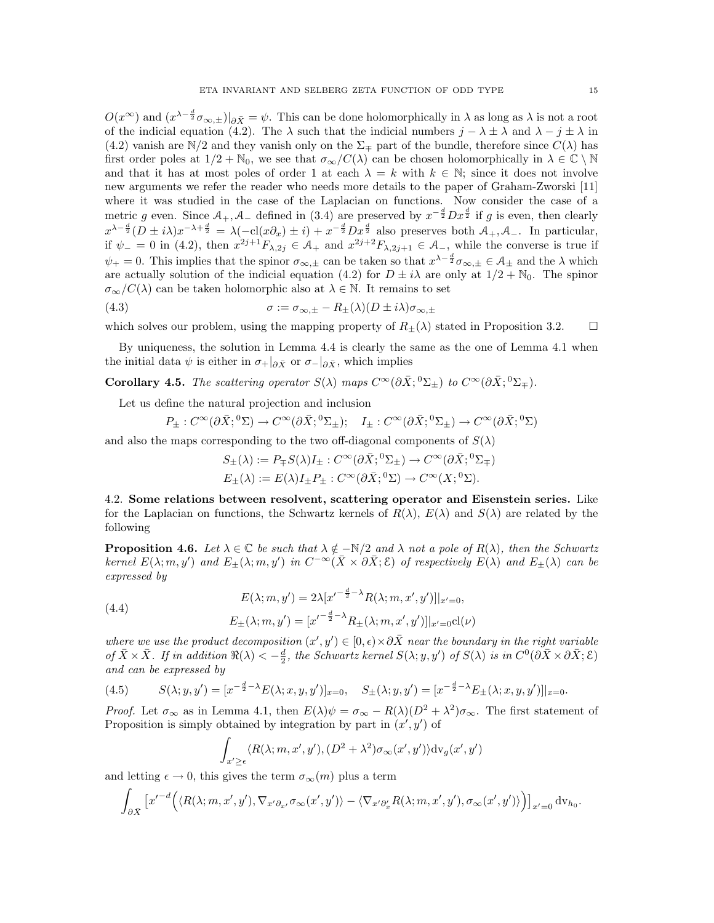$O(x^{\infty})$  and  $(x^{\lambda - \frac{d}{2}} \sigma_{\infty,\pm})|_{\partial \bar{X}} = \psi$ . This can be done holomorphically in  $\lambda$  as long as  $\lambda$  is not a root of the indicial equation (4.2). The  $\lambda$  such that the indicial numbers  $j - \lambda \pm \lambda$  and  $\lambda - j \pm \lambda$  in (4.2) vanish are N/2 and they vanish only on the  $\Sigma_{\pm}$  part of the bundle, therefore since  $C(\lambda)$  has first order poles at  $1/2 + N_0$ , we see that  $\sigma_{\infty}/C(\lambda)$  can be chosen holomorphically in  $\lambda \in \mathbb{C} \setminus \mathbb{N}$ and that it has at most poles of order 1 at each  $\lambda = k$  with  $k \in \mathbb{N}$ ; since it does not involve new arguments we refer the reader who needs more details to the paper of Graham-Zworski [11] where it was studied in the case of the Laplacian on functions. Now consider the case of a metric g even. Since  $A_+, A_-$  defined in (3.4) are preserved by  $x^{-\frac{d}{2}}Dx^{\frac{d}{2}}$  if g is even, then clearly  $x^{\lambda - \frac{d}{2}}(D \pm i\lambda)x^{-\lambda + \frac{d}{2}} = \lambda(-\text{cl}(x\partial_x) \pm i) + x^{-\frac{d}{2}}Dx^{\frac{d}{2}}$  also preserves both  $\mathcal{A}_+, \mathcal{A}_-$ . In particular, if  $\psi = 0$  in (4.2), then  $x^{2j+1}F_{\lambda,2j} \in \mathcal{A}_+$  and  $x^{2j+2}F_{\lambda,2j+1} \in \mathcal{A}_-$ , while the converse is true if  $\psi_+ = 0$ . This implies that the spinor  $\sigma_{\infty,\pm}$  can be taken so that  $x^{\lambda - \frac{d}{2}} \sigma_{\infty,\pm} \in \mathcal{A}_{\pm}$  and the  $\lambda$  which are actually solution of the indicial equation (4.2) for  $D \pm i\lambda$  are only at  $1/2 + \mathbb{N}_0$ . The spinor  $\sigma_{\infty}/C(\lambda)$  can be taken holomorphic also at  $\lambda \in \mathbb{N}$ . It remains to set

(4.3) 
$$
\sigma := \sigma_{\infty, \pm} - R_{\pm}(\lambda)(D \pm i\lambda)\sigma_{\infty, \pm}
$$

which solves our problem, using the mapping property of  $R_{\pm}(\lambda)$  stated in Proposition 3.2.

By uniqueness, the solution in Lemma 4.4 is clearly the same as the one of Lemma 4.1 when the initial data  $\psi$  is either in  $\sigma_+|_{\partial \bar{X}}$  or  $\sigma_-|_{\partial \bar{X}}$ , which implies

Corollary 4.5. The scattering operator  $S(\lambda)$  maps  $C^{\infty}(\partial \bar{X}; {}^{0}\Sigma_{\pm})$  to  $C^{\infty}(\partial \bar{X}; {}^{0}\Sigma_{\mp}).$ 

Let us define the natural projection and inclusion

$$
P_{\pm}: C^{\infty}(\partial \bar{X}; {}^{0}\Sigma) \to C^{\infty}(\partial \bar{X}; {}^{0}\Sigma_{\pm}); \quad I_{\pm}: C^{\infty}(\partial \bar{X}; {}^{0}\Sigma_{\pm}) \to C^{\infty}(\partial \bar{X}; {}^{0}\Sigma)
$$

and also the maps corresponding to the two off-diagonal components of  $S(\lambda)$ 

$$
S_{\pm}(\lambda) := P_{\mp}S(\lambda)I_{\pm} : C^{\infty}(\partial \bar{X}; {}^{0}\Sigma_{\pm}) \to C^{\infty}(\partial \bar{X}; {}^{0}\Sigma_{\mp})
$$
  

$$
E_{\pm}(\lambda) := E(\lambda)I_{\pm}P_{\pm} : C^{\infty}(\partial \bar{X}; {}^{0}\Sigma) \to C^{\infty}(X; {}^{0}\Sigma).
$$

4.2. Some relations between resolvent, scattering operator and Eisenstein series. Like for the Laplacian on functions, the Schwartz kernels of  $R(\lambda)$ ,  $E(\lambda)$  and  $S(\lambda)$  are related by the following

**Proposition 4.6.** Let  $\lambda \in \mathbb{C}$  be such that  $\lambda \notin -\mathbb{N}/2$  and  $\lambda$  not a pole of  $R(\lambda)$ , then the Schwartz kernel  $E(\lambda; m, y')$  and  $E_{\pm}(\lambda; m, y')$  in  $C^{-\infty}(\bar{X} \times \partial \bar{X}; \mathcal{E})$  of respectively  $E(\lambda)$  and  $E_{\pm}(\lambda)$  can be expressed by

(4.4)  

$$
E(\lambda; m, y') = 2\lambda [x'^{-\frac{d}{2}-\lambda} R(\lambda; m, x', y')]|_{x'=0},
$$

$$
E_{\pm}(\lambda; m, y') = [x'^{-\frac{d}{2}-\lambda} R_{\pm}(\lambda; m, x', y')]|_{x'=0} cl(\nu)
$$

where we use the product decomposition  $(x', y') \in [0, \epsilon) \times \partial \bar{X}$  near the boundary in the right variable of  $\bar{X}\times\bar{X}$ . If in addition  $\Re(\lambda)<-\frac{d}{2}$ , the Schwartz kernel  $S(\lambda; y, y')$  of  $S(\lambda)$  is in  $C^0(\partial \bar{X}\times \partial \bar{X}; \mathcal{E})$ and can be expressed by

(4.5) 
$$
S(\lambda; y, y') = [x^{-\frac{d}{2}-\lambda} E(\lambda; x, y, y')]_{x=0}, \quad S_{\pm}(\lambda; y, y') = [x^{-\frac{d}{2}-\lambda} E_{\pm}(\lambda; x, y, y')]|_{x=0}.
$$

*Proof.* Let  $\sigma_{\infty}$  as in Lemma 4.1, then  $E(\lambda)\psi = \sigma_{\infty} - R(\lambda)(D^2 + \lambda^2)\sigma_{\infty}$ . The first statement of Proposition is simply obtained by integration by part in  $(x', y')$  of

$$
\int_{x' \ge \epsilon} \langle R(\lambda; m, x', y'), (D^2 + \lambda^2) \sigma_{\infty}(x', y') \rangle \mathrm{dv}_g(x', y')
$$

and letting  $\epsilon \to 0$ , this gives the term  $\sigma_{\infty}(m)$  plus a term

$$
\int_{\partial \bar{X}} \left[ x'^{-d} \Big( \langle R(\lambda; m, x', y'), \nabla_{x' \partial_{x'}} \sigma_{\infty}(x', y') \rangle - \langle \nabla_{x' \partial_x'} R(\lambda; m, x', y'), \sigma_{\infty}(x', y') \rangle \Big) \right]_{x'=0} dv_{h_0}.
$$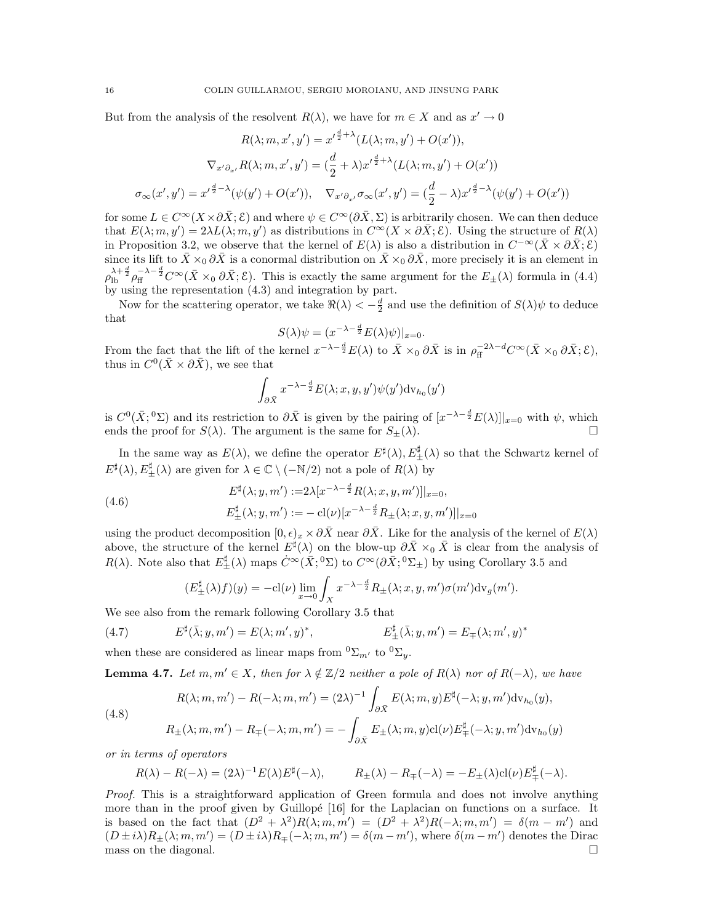But from the analysis of the resolvent  $R(\lambda)$ , we have for  $m \in X$  and as  $x' \to 0$ 

$$
R(\lambda; m, x', y') = x'^{\frac{d}{2} + \lambda} (L(\lambda; m, y') + O(x')),
$$

$$
\nabla_{x' \partial_{x'}} R(\lambda; m, x', y') = (\frac{d}{2} + \lambda) x'^{\frac{d}{2} + \lambda} (L(\lambda; m, y') + O(x'))
$$

$$
\sigma_{\infty}(x', y') = x'^{\frac{d}{2} - \lambda} (\psi(y') + O(x')), \quad \nabla_{x' \partial_{x'}} \sigma_{\infty}(x', y') = (\frac{d}{2} - \lambda) x'^{\frac{d}{2} - \lambda} (\psi(y') + O(x'))
$$

for some  $L \in C^{\infty}(X \times \partial \bar{X}; \mathcal{E})$  and where  $\psi \in C^{\infty}(\partial \bar{X}; \Sigma)$  is arbitrarily chosen. We can then deduce that  $E(\lambda; m, y') = 2\lambda L(\lambda; m, y')$  as distributions in  $C^{\infty}(X \times \partial \bar{X}; \mathcal{E})$ . Using the structure of  $R(\lambda)$ in Proposition 3.2, we observe that the kernel of  $E(\lambda)$  is also a distribution in  $C^{-\infty}(\bar{X}\times\partial\bar{X}; \mathcal{E})$ since its lift to  $\bar{X} \times_0 \partial \bar{X}$  is a conormal distribution on  $\bar{X} \times_0 \partial \bar{X}$ , more precisely it is an element in  $\rho_{\text{lb}}^{\lambda+\frac{d}{2}}\rho_{\text{ff}}^{-\lambda-\frac{d}{2}}C^{\infty}(\bar{X}\times_0\partial\bar{X};\mathcal{E})$ . This is exactly the same argument for the  $E_{\pm}(\lambda)$  formula in (4.4) by using the representation (4.3) and integration by part.

Now for the scattering operator, we take  $\Re(\lambda) < -\frac{d}{2}$  and use the definition of  $S(\lambda)\psi$  to deduce that

$$
S(\lambda)\psi = (x^{-\lambda - \frac{d}{2}}E(\lambda)\psi)|_{x=0}.
$$

From the fact that the lift of the kernel  $x^{-\lambda-\frac{d}{2}}E(\lambda)$  to  $\bar{X} \times_0 \partial \bar{X}$  is in  $\rho_{\text{ff}}^{-2\lambda-d} C^{\infty}(\bar{X} \times_0 \partial \bar{X}; \mathcal{E}),$ thus in  $C^0(\bar{X} \times \partial \bar{X})$ , we see that

$$
\int_{\partial \bar{X}} x^{-\lambda - \frac{d}{2}} E(\lambda; x, y, y') \psi(y') \mathrm{dv}_{h_0}(y')
$$

is  $C^0(\bar{X}; {}^0\Sigma)$  and its restriction to  $\partial \bar{X}$  is given by the pairing of  $[x^{-\lambda-\frac{d}{2}}E(\lambda)]|_{x=0}$  with  $\psi$ , which ends the proof for  $S(\lambda)$ . The argument is the same for  $S_{\pm}(\lambda)$ .

In the same way as  $E(\lambda)$ , we define the operator  $E^{\sharp}(\lambda), E_{\pm}^{\sharp}(\lambda)$  so that the Schwartz kernel of  $E^{\sharp}(\lambda), E_{\pm}^{\sharp}(\lambda)$  are given for  $\lambda \in \mathbb{C} \setminus (-\mathbb{N}/2)$  not a pole of  $R(\lambda)$  by

(4.6) 
$$
E^{\sharp}(\lambda; y, m') := 2\lambda [x^{-\lambda - \frac{d}{2}} R(\lambda; x, y, m')]|_{x=0},
$$

$$
E^{\sharp}_{\pm}(\lambda; y, m') := -\operatorname{cl}(\nu)[x^{-\lambda - \frac{d}{2}} R_{\pm}(\lambda; x, y, m')]|_{x=0}
$$

using the product decomposition  $[0, \epsilon)_x \times \partial \bar{X}$  near  $\partial \bar{X}$ . Like for the analysis of the kernel of  $E(\lambda)$ above, the structure of the kernel  $E^{\sharp}(\lambda)$  on the blow-up  $\partial \bar{X} \times_0 \bar{X}$  is clear from the analysis of  $R(\lambda)$ . Note also that  $E_{\pm}^{\sharp}(\lambda)$  maps  $\dot{C}^{\infty}(\bar{X}; {}^{0}\Sigma)$  to  $C^{\infty}(\partial \bar{X}; {}^{0}\Sigma_{\pm})$  by using Corollary 3.5 and

$$
(E_{\pm}^{\sharp}(\lambda)f)(y) = -\mathrm{cl}(\nu)\lim_{x \to 0} \int_{X} x^{-\lambda - \frac{d}{2}} R_{\pm}(\lambda; x, y, m') \sigma(m') \mathrm{d}v_{g}(m').
$$

We see also from the remark following Corollary 3.5 that

(4.7) 
$$
E^{\sharp}(\bar{\lambda}; y, m') = E(\lambda; m', y)^{*}, \qquad E_{\pm}^{\sharp}(\bar{\lambda}; y, m') = E_{\mp}(\lambda; m', y)^{*}
$$

when these are considered as linear maps from  ${}^0\Sigma_{m'}$  to  ${}^0\Sigma_y$ .

**Lemma 4.7.** Let  $m, m' \in X$ , then for  $\lambda \notin \mathbb{Z}/2$  neither a pole of  $R(\lambda)$  nor of  $R(-\lambda)$ , we have

(4.8)  
\n
$$
R(\lambda; m, m') - R(-\lambda; m, m') = (2\lambda)^{-1} \int_{\partial \bar{X}} E(\lambda; m, y) E^{\sharp}(-\lambda; y, m') \mathrm{d}v_{h_0}(y),
$$
\n
$$
R_{\pm}(\lambda; m, m') - R_{\mp}(-\lambda; m, m') = - \int_{\partial \bar{X}} E_{\pm}(\lambda; m, y) \mathrm{cl}(\nu) E_{\mp}^{\sharp}(-\lambda; y, m') \mathrm{d}v_{h_0}(y)
$$

or in terms of operators

$$
R(\lambda) - R(-\lambda) = (2\lambda)^{-1} E(\lambda) E^{\sharp}(-\lambda), \qquad R_{\pm}(\lambda) - R_{\mp}(-\lambda) = -E_{\pm}(\lambda) \operatorname{cl}(\nu) E_{\mp}^{\sharp}(-\lambda).
$$

Proof. This is a straightforward application of Green formula and does not involve anything more than in the proof given by Guillopé  $[16]$  for the Laplacian on functions on a surface. It is based on the fact that  $(D^2 + \lambda^2)R(\lambda; m, m') = (D^2 + \lambda^2)R(-\lambda; m, m') = \delta(m - m')$  and  $(D \pm i\lambda)R_{\pm}(\lambda; m, m') = (D \pm i\lambda)R_{\mp}(-\lambda; m, m') = \delta(m - m')$ , where  $\delta(m - m')$  denotes the Dirac mass on the diagonal.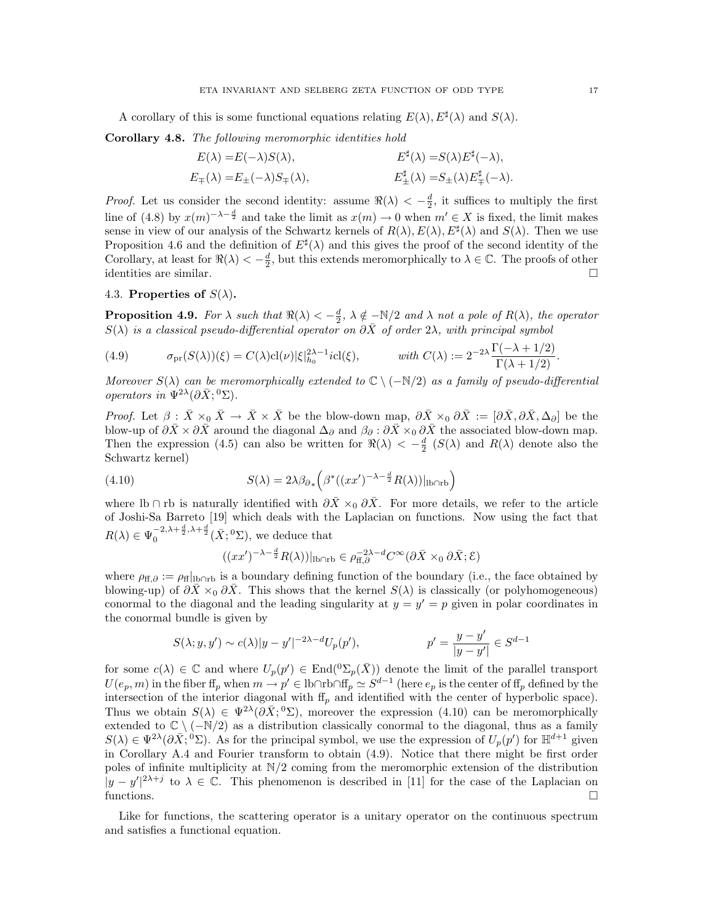A corollary of this is some functional equations relating  $E(\lambda)$ ,  $E^{\sharp}(\lambda)$  and  $S(\lambda)$ .

Corollary 4.8. The following meromorphic identities hold

$$
E(\lambda) = E(-\lambda)S(\lambda), \qquad E^{\sharp}(\lambda) = S(\lambda)E^{\sharp}(-\lambda),
$$
  
\n
$$
E_{\pm}(\lambda) = E_{\pm}(-\lambda)S_{\mp}(\lambda), \qquad E_{\pm}^{\sharp}(\lambda) = S_{\pm}(\lambda)E_{\mp}^{\sharp}(-\lambda).
$$

*Proof.* Let us consider the second identity: assume  $\Re(\lambda) < -\frac{d}{2}$ , it suffices to multiply the first 2 line of (4.8) by  $x(m)^{-\lambda-\frac{d}{2}}$  and take the limit as  $x(m) \to 0$  when  $m' \in X$  is fixed, the limit makes sense in view of our analysis of the Schwartz kernels of  $R(\lambda), E(\lambda), E^{\sharp}(\lambda)$  and  $S(\lambda)$ . Then we use Proposition 4.6 and the definition of  $E^{\sharp}(\lambda)$  and this gives the proof of the second identity of the Corollary, at least for  $\Re(\lambda) < -\frac{d}{2}$ , but this extends meromorphically to  $\lambda \in \mathbb{C}$ . The proofs of other identities are similar.

# 4.3. Properties of  $S(\lambda)$ .

**Proposition 4.9.** For  $\lambda$  such that  $\Re(\lambda) < -\frac{d}{2}$ ,  $\lambda \notin \lfloor N/2 \rfloor$  and  $\lambda$  not a pole of  $R(\lambda)$ , the operator  $S(\lambda)$  is a classical pseudo-differential operator on  $\partial \overline{X}$  of order  $2\lambda$ , with principal symbol

(4.9) 
$$
\sigma_{\text{pr}}(S(\lambda))(\xi) = C(\lambda) \operatorname{cl}(\nu) |\xi|_{h_0}^{2\lambda - 1} i \operatorname{cl}(\xi), \qquad \text{with } C(\lambda) := 2^{-2\lambda} \frac{\Gamma(-\lambda + 1/2)}{\Gamma(\lambda + 1/2)}.
$$

Moreover  $S(\lambda)$  can be meromorphically extended to  $\mathbb{C} \setminus (-\mathbb{N}/2)$  as a family of pseudo-differential operators in  $\Psi^{2\lambda}(\partial \bar{X}; {}^0\Sigma)$ .

*Proof.* Let  $\beta : \bar{X} \times_0 \bar{X} \to \bar{X} \times \bar{X}$  be the blow-down map,  $\partial \bar{X} \times_0 \partial \bar{X} := [\partial \bar{X}, \partial \bar{X}, \Delta_{\partial}]$  be the blow-up of  $\partial \bar{X} \times \partial \bar{X}$  around the diagonal  $\Delta_{\partial}$  and  $\beta_{\partial} : \partial \bar{X} \times_0 \partial \bar{X}$  the associated blow-down map. Then the expression (4.5) can also be written for  $\Re(\lambda) < -\frac{d}{2}$  ( $S(\lambda)$  and  $R(\lambda)$  denote also the Schwartz kernel)

(4.10) 
$$
S(\lambda) = 2\lambda \beta_{\partial*} \left( \beta^* ((xx')^{-\lambda - \frac{d}{2}} R(\lambda))|_{\text{lborb}} \right)
$$

where lb ∩ rb is naturally identified with  $\partial \bar{X} \times_0 \partial \bar{X}$ . For more details, we refer to the article of Joshi-Sa Barreto [19] which deals with the Laplacian on functions. Now using the fact that  $R(\lambda) \in \Psi_0^{-2,\lambda + \frac{d}{2},\lambda + \frac{d}{2}}(\bar{X}; {}^0\Sigma)$ , we deduce that

$$
((xx')^{-\lambda-\frac{d}{2}}R(\lambda))|_{\text{lb}\cap\text{rb}} \in \rho_{\text{ff},\partial}^{-2\lambda-d}C^{\infty}(\partial\bar{X}\times_0\partial\bar{X};\mathcal{E})
$$

where  $\rho_{ff,∂} := \rho_{ff}|_{lb∩rb}$  is a boundary defining function of the boundary (i.e., the face obtained by blowing-up) of  $\partial \bar{X} \times_0 \partial \bar{X}$ . This shows that the kernel  $S(\lambda)$  is classically (or polyhomogeneous) conormal to the diagonal and the leading singularity at  $y = y' = p$  given in polar coordinates in the conormal bundle is given by

$$
S(\lambda; y, y') \sim c(\lambda)|y - y'|^{-2\lambda - d}U_p(p'),
$$
  $p' = \frac{y - y'}{|y - y'|} \in S^{d-1}$ 

for some  $c(\lambda) \in \mathbb{C}$  and where  $U_p(p') \in \text{End}({}^0\Sigma_p(\bar{X}))$  denote the limit of the parallel transport  $U(e_p, m)$  in the fiber  $\text{ff}_p$  when  $m \to p' \in \text{lb} \cap \text{rb} \cap \text{ff}_p \simeq S^{d-1}$  (here  $e_p$  is the center of  $\text{ff}_p$  defined by the intersection of the interior diagonal with  $ff_p$  and identified with the center of hyperbolic space). Thus we obtain  $S(\lambda) \in \Psi^{2\lambda}(\partial \bar{X}; {}^0\Sigma)$ , moreover the expression (4.10) can be meromorphically extended to  $\mathbb{C} \setminus (-\mathbb{N}/2)$  as a distribution classically conormal to the diagonal, thus as a family  $S(\lambda) \in \Psi^{2\lambda}(\partial \bar{X}; 0\Sigma)$ . As for the principal symbol, we use the expression of  $U_p(p')$  for  $\mathbb{H}^{d+1}$  given in Corollary A.4 and Fourier transform to obtain (4.9). Notice that there might be first order poles of infinite multiplicity at  $N/2$  coming from the meromorphic extension of the distribution  $|y-y'|^{2\lambda+j}$  to  $\lambda \in \mathbb{C}$ . This phenomenon is described in [11] for the case of the Laplacian on functions.

Like for functions, the scattering operator is a unitary operator on the continuous spectrum and satisfies a functional equation.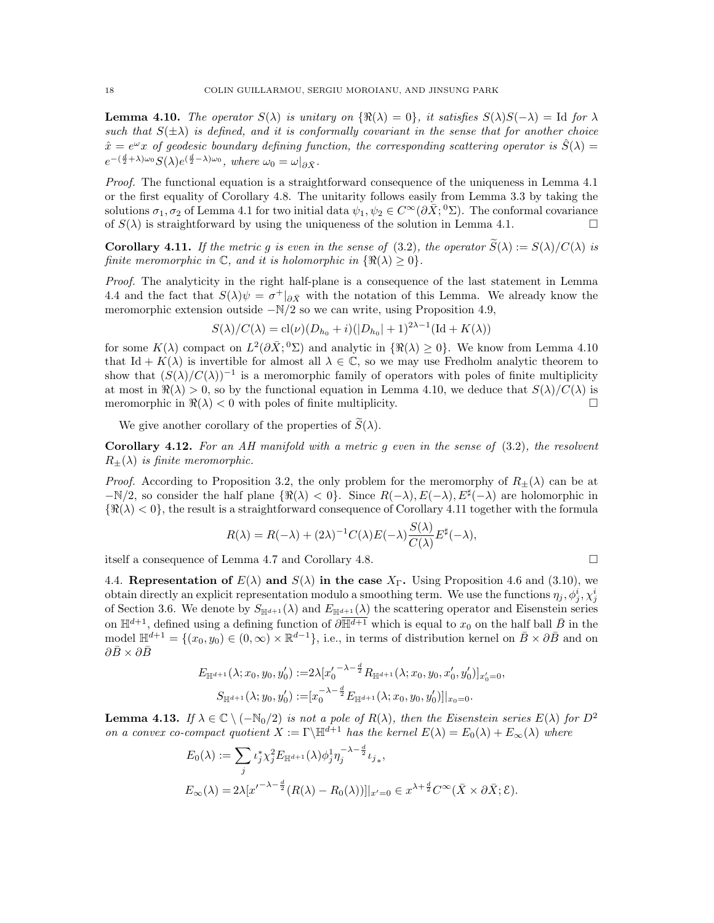**Lemma 4.10.** The operator  $S(\lambda)$  is unitary on  $\{\Re(\lambda) = 0\}$ , it satisfies  $S(\lambda)S(-\lambda) = \text{Id}$  for  $\lambda$ such that  $S(\pm\lambda)$  is defined, and it is conformally covariant in the sense that for another choice  $\hat{x} = e^{\omega}x$  of geodesic boundary defining function, the corresponding scattering operator is  $\hat{S}(\lambda) =$  $e^{-(\frac{d}{2}+\lambda)\omega_0}S(\lambda)e^{(\frac{d}{2}-\lambda)\omega_0},$  where  $\omega_0=\omega|_{\partial \bar{X}}.$ 

Proof. The functional equation is a straightforward consequence of the uniqueness in Lemma 4.1 or the first equality of Corollary 4.8. The unitarity follows easily from Lemma 3.3 by taking the solutions  $\sigma_1, \sigma_2$  of Lemma 4.1 for two initial data  $\psi_1, \psi_2 \in C^\infty(\partial \bar{X}; {}^0\Sigma)$ . The conformal covariance of  $S(\lambda)$  is straightforward by using the uniqueness of the solution in Lemma 4.1.

**Corollary 4.11.** If the metric g is even in the sense of (3.2), the operator  $\widetilde{S}(\lambda) := S(\lambda)/C(\lambda)$  is finite meromorphic in  $\mathbb{C}$ , and it is holomorphic in  $\{\Re(\lambda) \geq 0\}$ .

Proof. The analyticity in the right half-plane is a consequence of the last statement in Lemma 4.4 and the fact that  $S(\lambda)\psi = \sigma^+|_{\partial \bar{X}}$  with the notation of this Lemma. We already know the meromorphic extension outside  $-N/2$  so we can write, using Proposition 4.9,

$$
S(\lambda)/C(\lambda) = \text{cl}(\nu)(D_{h_0} + i)(|D_{h_0}| + 1)^{2\lambda - 1}(\text{Id} + K(\lambda))
$$

for some  $K(\lambda)$  compact on  $L^2(\partial \bar{X}; {}^0\Sigma)$  and analytic in  $\{\Re(\lambda) \geq 0\}$ . We know from Lemma 4.10 that Id +  $K(\lambda)$  is invertible for almost all  $\lambda \in \mathbb{C}$ , so we may use Fredholm analytic theorem to show that  $(S(\lambda)/C(\lambda))^{-1}$  is a meromorphic family of operators with poles of finite multiplicity at most in  $\Re(\lambda) > 0$ , so by the functional equation in Lemma 4.10, we deduce that  $S(\lambda)/C(\lambda)$  is meromorphic in  $\Re(\lambda) < 0$  with poles of finite multiplicity.

We give another corollary of the properties of  $\widetilde{S}(\lambda)$ .

**Corollary 4.12.** For an AH manifold with a metric q even in the sense of  $(3.2)$ , the resolvent  $R_{\pm}(\lambda)$  is finite meromorphic.

*Proof.* According to Proposition 3.2, the only problem for the meromorphy of  $R_{\pm}(\lambda)$  can be at  $-\mathbb{N}/2$ , so consider the half plane  $\{\Re(\lambda) < 0\}$ . Since  $R(-\lambda), E(-\lambda), E^{\sharp}(-\lambda)$  are holomorphic in  $\{\Re(\lambda) < 0\}$ , the result is a straightforward consequence of Corollary 4.11 together with the formula

$$
R(\lambda) = R(-\lambda) + (2\lambda)^{-1} C(\lambda) E(-\lambda) \frac{S(\lambda)}{C(\lambda)} E^{\sharp}(-\lambda),
$$

itself a consequence of Lemma 4.7 and Corollary 4.8.

4.4. Representation of  $E(\lambda)$  and  $S(\lambda)$  in the case  $X_{\Gamma}$ . Using Proposition 4.6 and (3.10), we obtain directly an explicit representation modulo a smoothing term. We use the functions  $\eta_j, \phi^i_j, \chi^i_j$ of Section 3.6. We denote by  $S_{\mathbb{H}^{d+1}}(\lambda)$  and  $E_{\mathbb{H}^{d+1}}(\lambda)$  the scattering operator and Eisenstein series on  $\mathbb{H}^{d+1}$ , defined using a defining function of  $\overline{\partial \mathbb{H}^{d+1}}$  which is equal to  $x_0$  on the half ball  $\overline{B}$  in the model  $\mathbb{H}^{d+1} = \{(x_0, y_0) \in (0, \infty) \times \mathbb{R}^{d-1}\},\$ i.e., in terms of distribution kernel on  $\bar{B} \times \partial \bar{B}$  and on  $\partial \bar B \times \partial \bar B$ 

$$
E_{\mathbb{H}^{d+1}}(\lambda; x_0, y_0, y'_0) := 2\lambda [x'_0^{-\lambda - \frac{d}{2}} R_{\mathbb{H}^{d+1}}(\lambda; x_0, y_0, x'_0, y'_0)]_{x'_0 = 0},
$$
  

$$
S_{\mathbb{H}^{d+1}}(\lambda; y_0, y'_0) := [x_0^{-\lambda - \frac{d}{2}} E_{\mathbb{H}^{d+1}}(\lambda; x_0, y_0, y'_0)]|_{x_0 = 0}.
$$

**Lemma 4.13.** If  $\lambda \in \mathbb{C} \setminus (-\mathbb{N}_0/2)$  is not a pole of  $R(\lambda)$ , then the Eisenstein series  $E(\lambda)$  for  $D^2$ on a convex co-compact quotient  $X := \Gamma^{d+1}$  has the kernel  $E(\lambda) = E_0(\lambda) + E_{\infty}(\lambda)$  where

$$
E_0(\lambda) := \sum_j \iota_j^* \chi_j^2 E_{\mathbb{H}^{d+1}}(\lambda) \phi_j^1 \eta_j^{-\lambda - \frac{d}{2}} \iota_{j_*},
$$
  

$$
E_{\infty}(\lambda) = 2\lambda [x'^{-\lambda - \frac{d}{2}} (R(\lambda) - R_0(\lambda))]|_{x'=0} \in x^{\lambda + \frac{d}{2}} C^{\infty}(\bar{X} \times \partial \bar{X}; \mathcal{E}).
$$

$$
\Box
$$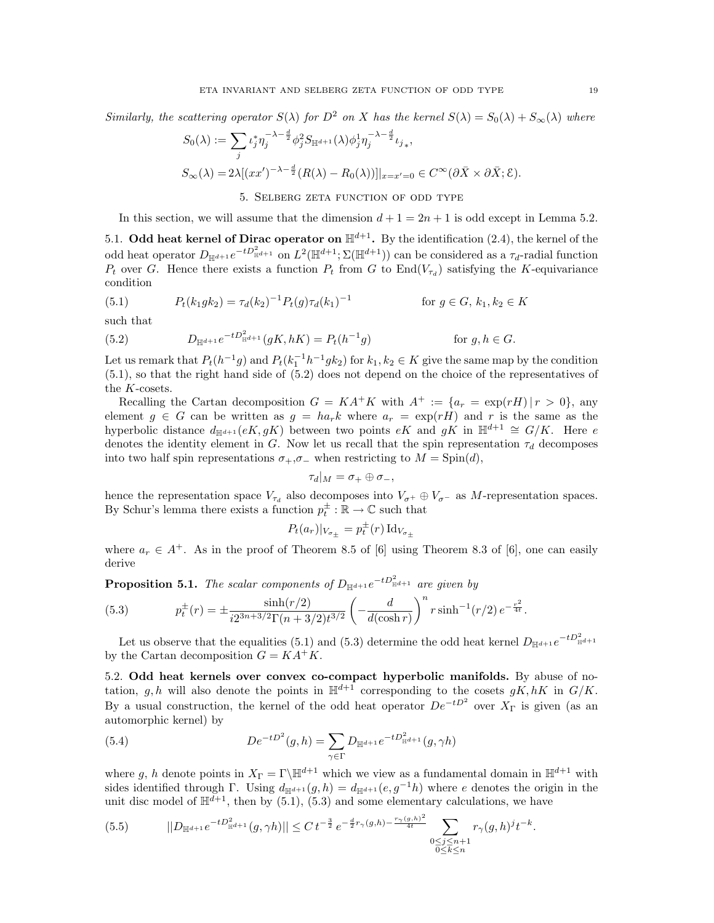Similarly, the scattering operator  $S(\lambda)$  for  $D^2$  on X has the kernel  $S(\lambda) = S_0(\lambda) + S_{\infty}(\lambda)$  where

$$
S_0(\lambda) := \sum_j \iota_j^* \eta_j^{-\lambda - \frac{d}{2}} \phi_j^2 S_{\mathbb{H}^{d+1}}(\lambda) \phi_j^1 \eta_j^{-\lambda - \frac{d}{2}} \iota_{j_*},
$$
  

$$
S_\infty(\lambda) = 2\lambda [(xx')^{-\lambda - \frac{d}{2}} (R(\lambda) - R_0(\lambda))]|_{x = x' = 0} \in C^\infty(\partial \bar{X} \times \partial \bar{X}; \mathcal{E}).
$$

5. Selberg zeta function of odd type

In this section, we will assume that the dimension  $d+1=2n+1$  is odd except in Lemma 5.2.

5.1. Odd heat kernel of Dirac operator on  $\mathbb{H}^{d+1}$ . By the identification (2.4), the kernel of the odd heat operator  $D_{\mathbb{H}^{d+1}}e^{-tD_{\mathbb{H}^{d+1}}^2}$  on  $L^2(\mathbb{H}^{d+1}; \Sigma(\mathbb{H}^{d+1}))$  can be considered as a  $\tau_d$ -radial function  $P_t$  over G. Hence there exists a function  $P_t$  from G to End $(V_{\tau_d})$  satisfying the K-equivariance condition

(5.1) 
$$
P_t(k_1 g k_2) = \tau_d(k_2)^{-1} P_t(g) \tau_d(k_1)^{-1} \qquad \text{for } g \in G, k_1, k_2 \in K
$$

such that

(5.2) 
$$
D_{\mathbb{H}^{d+1}}e^{-tD_{\mathbb{H}^{d+1}}^2}(gK,hK) = P_t(h^{-1}g) \quad \text{for } g, h \in G.
$$

Let us remark that  $P_t(h^{-1}g)$  and  $P_t(k_1^{-1}h^{-1}g k_2)$  for  $k_1, k_2 \in K$  give the same map by the condition (5.1), so that the right hand side of (5.2) does not depend on the choice of the representatives of the  $K\mbox{-}\mathrm{cosets}.$ 

Recalling the Cartan decomposition  $G = KA^+K$  with  $A^+ := \{a_r = \exp(rH) | r > 0\}$ , any element  $g \in G$  can be written as  $g = ha_r k$  where  $a_r = \exp(rH)$  and r is the same as the hyperbolic distance  $d_{\mathbb{H}^{d+1}}(eK, gK)$  between two points  $eK$  and  $gK$  in  $\mathbb{H}^{d+1} \cong G/K$ . Here e denotes the identity element in G. Now let us recall that the spin representation  $\tau_d$  decomposes into two half spin representations  $\sigma_+,\sigma_-$  when restricting to  $M = \text{Spin}(d)$ ,

$$
\tau_d|_M=\sigma_+\oplus\sigma_-,
$$

hence the representation space  $V_{\tau_d}$  also decomposes into  $V_{\sigma^+} \oplus V_{\sigma^-}$  as M-representation spaces. By Schur's lemma there exists a function  $p_t^{\pm}:\mathbb{R}\to\mathbb{C}$  such that

$$
P_t(a_r)|_{V_{\sigma_{\pm}}} = p_t^{\pm}(r) \operatorname{Id}_{V_{\sigma_{\pm}}}
$$

where  $a_r \in A^+$ . As in the proof of Theorem 8.5 of [6] using Theorem 8.3 of [6], one can easily derive

**Proposition 5.1.** The scalar components of  $D_{\mathbb{H}^{d+1}}e^{-tD_{\mathbb{H}^{d+1}}^2}$  are given by

(5.3) 
$$
p_t^{\pm}(r) = \pm \frac{\sinh(r/2)}{i2^{3n+3/2}\Gamma(n+3/2)t^{3/2}} \left(-\frac{d}{d(\cosh r)}\right)^n r \sinh^{-1}(r/2) e^{-\frac{r^2}{4t}}.
$$

Let us observe that the equalities (5.1) and (5.3) determine the odd heat kernel  $D_{\mathbb{H}^{d+1}}e^{-tD_{\mathbb{H}^{d+1}}^2}$ by the Cartan decomposition  $G = KA^+K$ .

5.2. Odd heat kernels over convex co-compact hyperbolic manifolds. By abuse of notation, g, h will also denote the points in  $\mathbb{H}^{d+1}$  corresponding to the cosets gK, hK in  $G/K$ . By a usual construction, the kernel of the odd heat operator  $De^{-tD^2}$  over  $X_{\Gamma}$  is given (as an automorphic kernel) by

(5.4) 
$$
De^{-tD^2}(g,h) = \sum_{\gamma \in \Gamma} D_{\mathbb{H}^{d+1}} e^{-tD_{\mathbb{H}^{d+1}}^2}(g,\gamma h)
$$

where g, h denote points in  $X_{\Gamma} = \Gamma \backslash \mathbb{H}^{d+1}$  which we view as a fundamental domain in  $\mathbb{H}^{d+1}$  with sides identified through Γ. Using  $d_{\mathbb{H}^{d+1}}(g,h) = d_{\mathbb{H}^{d+1}}(e,g^{-1}h)$  where e denotes the origin in the unit disc model of  $\mathbb{H}^{\tilde{d}+1}$ , then by (5.1), (5.3) and some elementary calculations, we have

$$
(5.5) \qquad ||D_{\mathbb{H}^{d+1}}e^{-tD_{\mathbb{H}^{d+1}}^2}(g,\gamma h)|| \leq C \, t^{-\frac{3}{2}} \, e^{-\frac{d}{2}r_{\gamma}(g,h)-\frac{r_{\gamma}(g,h)^2}{4t}} \sum_{\substack{0\leq j\leq n+1\\0\leq k\leq n}} r_{\gamma}(g,h)^j t^{-k}.
$$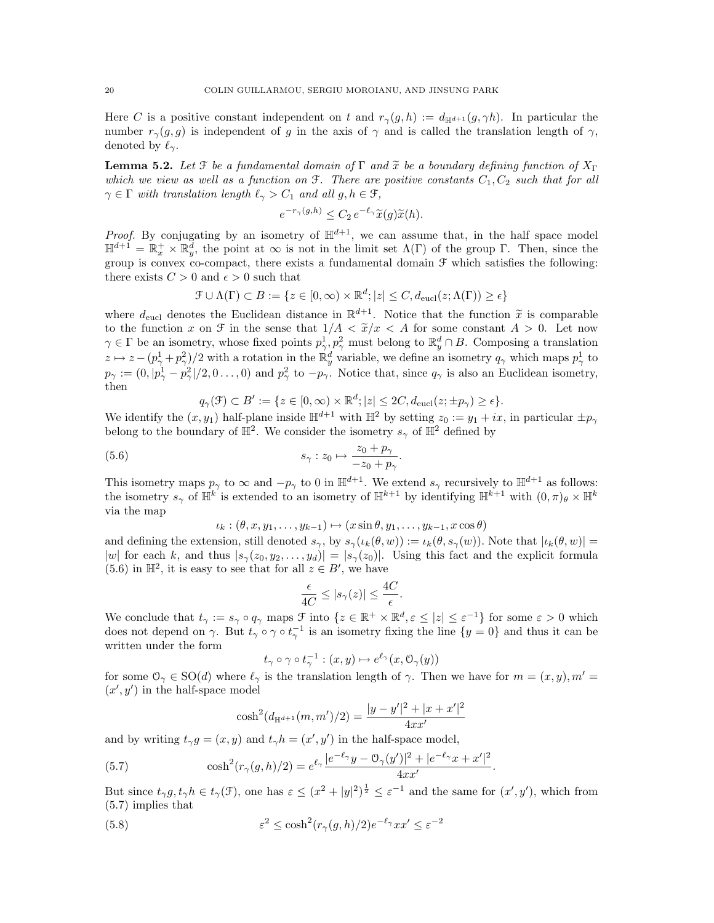Here C is a positive constant independent on t and  $r_{\gamma}(g, h) := d_{\mathbb{H}^{d+1}}(g, \gamma h)$ . In particular the number  $r_{\gamma}(q, q)$  is independent of g in the axis of  $\gamma$  and is called the translation length of  $\gamma$ , denoted by  $\ell_{\gamma}$ .

**Lemma 5.2.** Let  $\mathcal{F}$  be a fundamental domain of  $\Gamma$  and  $\tilde{x}$  be a boundary defining function of  $X_{\Gamma}$ which we view as well as a function on  $\mathfrak{F}$ . There are positive constants  $C_1, C_2$  such that for all  $\gamma \in \Gamma$  with translation length  $\ell_{\gamma} > C_1$  and all  $g, h \in \mathcal{F}$ ,

$$
e^{-r_{\gamma}(g,h)} \leq C_2 \, e^{-\ell_{\gamma}} \widetilde{x}(g) \widetilde{x}(h).
$$

*Proof.* By conjugating by an isometry of  $\mathbb{H}^{d+1}$ , we can assume that, in the half space model  $\mathbb{H}^{d+1} = \mathbb{R}_x^+ \times \mathbb{R}_y^d$ , the point at  $\infty$  is not in the limit set  $\Lambda(\Gamma)$  of the group  $\Gamma$ . Then, since the group is convex co-compact, there exists a fundamental domain  $\mathcal F$  which satisfies the following: there exists  $C > 0$  and  $\epsilon > 0$  such that

$$
\mathcal{F} \cup \Lambda(\Gamma) \subset B := \{ z \in [0, \infty) \times \mathbb{R}^d; |z| \le C, d_{\text{eucl}}(z; \Lambda(\Gamma)) \ge \epsilon \}
$$

where  $d_{\text{eucl}}$  denotes the Euclidean distance in  $\mathbb{R}^{d+1}$ . Notice that the function  $\tilde{x}$  is comparable<br>to the function  $x$  on  $\mathcal{F}$  in the sense that  $1/4 \leq \tilde{x}/x \leq 4$  for some constant  $A > 0$ . Let now to the function x on  $\mathcal F$  in the sense that  $1/A < \tilde x/x < A$  for some constant  $A > 0$ . Let now  $\gamma \in \Gamma$  be an isometry, whose fixed points  $p_{\gamma}^1, p_{\gamma}^2$  must belong to  $\mathbb{R}_y^d \cap B$ . Composing a translation  $z \mapsto z - (p_\gamma^1 + p_\gamma^2)/2$  with a rotation in the  $\mathbb{R}^d_y$  variable, we define an isometry  $q_\gamma$  which maps  $p_\gamma^1$  to  $p_{\gamma} := (0, |p_{\gamma}^1 - p_{\gamma}^2|/2, 0 \dots, 0)$  and  $p_{\gamma}^2$  to  $-p_{\gamma}$ . Notice that, since  $q_{\gamma}$  is also an Euclidean isometry, then

$$
q_{\gamma}(\mathcal{F}) \subset B' := \{ z \in [0, \infty) \times \mathbb{R}^d; |z| \leq 2C, d_{\text{eucl}}(z; \pm p_{\gamma}) \geq \epsilon \}.
$$

We identify the  $(x, y_1)$  half-plane inside  $\mathbb{H}^{d+1}$  with  $\mathbb{H}^2$  by setting  $z_0 := y_1 + ix$ , in particular  $\pm p_\gamma$ belong to the boundary of  $\mathbb{H}^2$ . We consider the isometry  $s_{\gamma}$  of  $\mathbb{H}^2$  defined by

(5.6) 
$$
s_{\gamma}: z_0 \mapsto \frac{z_0 + p_{\gamma}}{-z_0 + p_{\gamma}}.
$$

This isometry maps  $p_{\gamma}$  to  $\infty$  and  $-p_{\gamma}$  to 0 in  $\mathbb{H}^{d+1}$ . We extend  $s_{\gamma}$  recursively to  $\mathbb{H}^{d+1}$  as follows: the isometry  $s_{\gamma}$  of  $\mathbb{H}^k$  is extended to an isometry of  $\mathbb{H}^{k+1}$  by identifying  $\mathbb{H}^{k+1}$  with  $(0, \pi)_{\theta} \times \mathbb{H}^k$ via the map

$$
\iota_k: (\theta, x, y_1, \dots, y_{k-1}) \mapsto (x \sin \theta, y_1, \dots, y_{k-1}, x \cos \theta)
$$

and defining the extension, still denoted  $s_{\gamma}$ , by  $s_{\gamma}(\iota_k(\theta, w)) := \iota_k(\theta, s_{\gamma}(w))$ . Note that  $|\iota_k(\theta, w)| =$ |w| for each k, and thus  $|s_{\gamma}(z_0, y_2, \ldots, y_d)| = |s_{\gamma}(z_0)|$ . Using this fact and the explicit formula  $(5.6)$  in  $\mathbb{H}^2$ , it is easy to see that for all  $z \in B'$ , we have

$$
\frac{\epsilon}{4C} \le |s_\gamma(z)| \le \frac{4C}{\epsilon}.
$$

We conclude that  $t_{\gamma} := s_{\gamma} \circ q_{\gamma}$  maps  $\mathcal{F}$  into  $\{z \in \mathbb{R}^+ \times \mathbb{R}^d, \varepsilon \leq |z| \leq \varepsilon^{-1}\}$  for some  $\varepsilon > 0$  which does not depend on  $\gamma$ . But  $t_{\gamma} \circ \gamma \circ t_{\gamma}^{-1}$  is an isometry fixing the line  $\{y=0\}$  and thus it can be written under the form

$$
t_{\gamma} \circ \gamma \circ t_{\gamma}^{-1} : (x, y) \mapsto e^{\ell_{\gamma}}(x, \mathcal{O}_{\gamma}(y))
$$

for some  $\mathcal{O}_{\gamma} \in SO(d)$  where  $\ell_{\gamma}$  is the translation length of  $\gamma$ . Then we have for  $m = (x, y), m' =$  $(x', y')$  in the half-space model

$$
\cosh^2(d_{\mathbb{H}^{d+1}}(m, m')/2) = \frac{|y - y'|^2 + |x + x'|^2}{4xx'}
$$

and by writing  $t_{\gamma}g = (x, y)$  and  $t_{\gamma}h = (x', y')$  in the half-space model,

(5.7) 
$$
\cosh^2(r_\gamma(g,h)/2) = e^{\ell_\gamma} \frac{|e^{-\ell_\gamma}y - \mathcal{O}_\gamma(y')|^2 + |e^{-\ell_\gamma}x + x'|^2}{4xx'}.
$$

But since  $t_{\gamma}g, t_{\gamma}h \in t_{\gamma}(\mathcal{F})$ , one has  $\varepsilon \leq (x^2 + |y|^2)^{\frac{1}{2}} \leq \varepsilon^{-1}$  and the same for  $(x', y')$ , which from (5.7) implies that

(5.8) 
$$
\varepsilon^2 \leq \cosh^2(r_\gamma(g, h)/2) e^{-\ell_\gamma} x x' \leq \varepsilon^{-2}
$$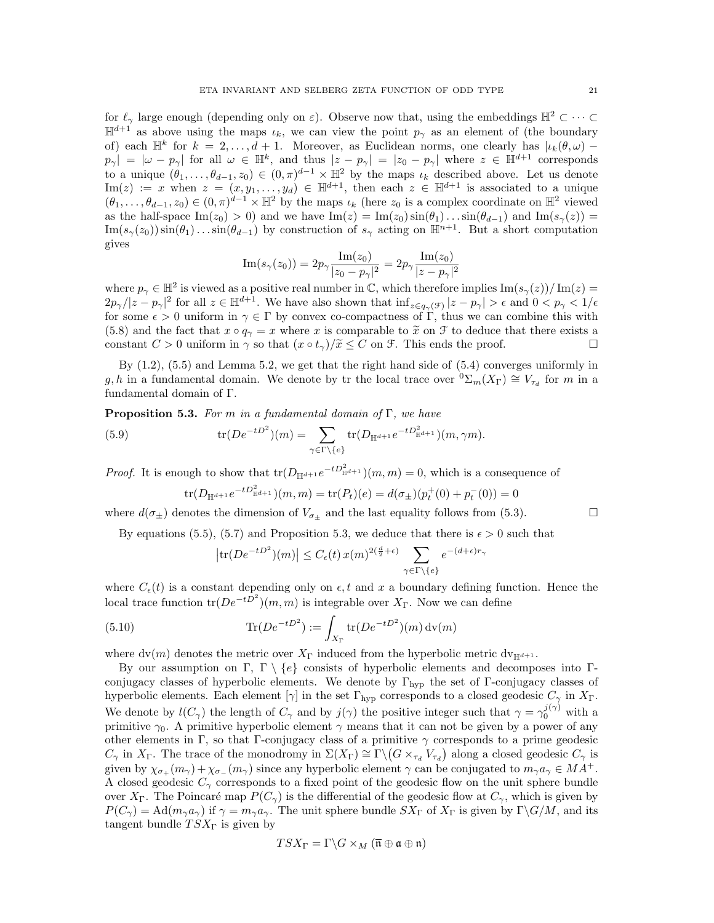for  $\ell_{\gamma}$  large enough (depending only on  $\varepsilon$ ). Observe now that, using the embeddings  $\mathbb{H}^2 \subset \cdots \subset$  $\mathbb{H}^{d+1}$  as above using the maps  $\iota_k$ , we can view the point  $p_\gamma$  as an element of (the boundary of) each  $\mathbb{H}^k$  for  $k = 2, \ldots, d + 1$ . Moreover, as Euclidean norms, one clearly has  $|\iota_k(\theta, \omega)$  $p_{\gamma}| = |\omega - p_{\gamma}|$  for all  $\omega \in \mathbb{H}^{k}$ , and thus  $|z - p_{\gamma}| = |z_0 - p_{\gamma}|$  where  $z \in \mathbb{H}^{d+1}$  corresponds to a unique  $(\theta_1,\ldots,\theta_{d-1},z_0)\in (0,\pi)^{d-1}\times\mathbb{H}^2$  by the maps  $\iota_k$  described above. Let us denote Im(z) := x when  $z = (x, y_1, \ldots, y_d) \in \mathbb{H}^{d+1}$ , then each  $z \in \mathbb{H}^{d+1}$  is associated to a unique  $(\theta_1,\ldots,\theta_{d-1},z_0)\in (0,\pi)^{d-1}\times \mathbb{H}^2$  by the maps  $\iota_k$  (here  $z_0$  is a complex coordinate on  $\mathbb{H}^2$  viewed as the half-space Im(z<sub>0</sub>) > 0) and we have Im(z) = Im(z<sub>0</sub>)  $\sin(\theta_1) \dots \sin(\theta_{d-1})$  and Im(s<sub> $\gamma$ </sub>(z)) =  $\text{Im}(s_\gamma(z_0))\sin(\theta_1)\dots\sin(\theta_{d-1})$  by construction of  $s_\gamma$  acting on  $\mathbb{H}^{n+1}$ . But a short computation gives

$$
\mathrm{Im}(s_{\gamma}(z_{0})) = 2p_{\gamma} \frac{\mathrm{Im}(z_{0})}{|z_{0} - p_{\gamma}|^{2}} = 2p_{\gamma} \frac{\mathrm{Im}(z_{0})}{|z - p_{\gamma}|^{2}}
$$

where  $p_{\gamma} \in \mathbb{H}^2$  is viewed as a positive real number in C, which therefore implies  $\text{Im}(s_{\gamma}(z))/\text{Im}(z)$  $2p_\gamma/|z-p_\gamma|^2$  for all  $z \in \mathbb{H}^{d+1}$ . We have also shown that  $\inf_{z \in q_\gamma(\mathcal{F})} |z-p_\gamma| > \epsilon$  and  $0 < p_\gamma < 1/\epsilon$ for some  $\epsilon > 0$  uniform in  $\gamma \in \Gamma$  by convex co-compactness of  $\Gamma$ , thus we can combine this with (5.8) and the fact that  $x \circ q_{\gamma} = x$  where x is comparable to  $\tilde{x}$  on  $\mathcal{F}$  to deduce that there exists a constant  $C > 0$  uniform in  $\gamma$  so that  $(x \circ t_{\gamma})/\tilde{x} \leq C$  on  $\mathcal{F}$ . This ends the proof. constant  $C > 0$  uniform in  $\gamma$  so that  $(x \circ t_{\gamma})/\widetilde{x} \leq C$  on  $\mathcal{F}$ . This ends the proof.

By (1.2), (5.5) and Lemma 5.2, we get that the right hand side of (5.4) converges uniformly in g, h in a fundamental domain. We denote by tr the local trace over  ${}^0\Sigma_m(X_{\Gamma}) \cong V_{\tau_d}$  for m in a fundamental domain of Γ.

**Proposition 5.3.** For m in a fundamental domain of  $\Gamma$ , we have

(5.9) 
$$
\text{tr}(De^{-tD^2})(m) = \sum_{\gamma \in \Gamma \setminus \{e\}} \text{tr}(D_{\mathbb{H}^{d+1}}e^{-tD_{\mathbb{H}^{d+1}}^2})(m, \gamma m).
$$

*Proof.* It is enough to show that  $tr(D_{\mathbb{H}^{d+1}}e^{-tD_{\mathbb{H}^{d+1}}^2})(m,m) = 0$ , which is a consequence of

$$
\text{tr}(D_{\mathbb{H}^{d+1}}e^{-tD_{\mathbb{H}^{d+1}}^2})(m,m) = \text{tr}(P_t)(e) = d(\sigma_{\pm})(p_t^+(0) + p_t^-(0)) = 0
$$

where  $d(\sigma_{\pm})$  denotes the dimension of  $V_{\sigma_{+}}$  and the last equality follows from (5.3).

By equations (5.5), (5.7) and Proposition 5.3, we deduce that there is  $\epsilon > 0$  such that

$$
\left| \text{tr}(De^{-tD^2})(m) \right| \le C_{\epsilon}(t) x(m)^{2(\frac{d}{2}+\epsilon)} \sum_{\gamma \in \Gamma \setminus \{e\}} e^{-(d+\epsilon)r_{\gamma}}
$$

where  $C_{\epsilon}(t)$  is a constant depending only on  $\epsilon$ , t and x a boundary defining function. Hence the local trace function  $tr(De^{-tD^2})(m, m)$  is integrable over  $X_{\Gamma}$ . Now we can define

(5.10) 
$$
\text{Tr}(De^{-tD^2}) := \int_{X_{\Gamma}} \text{tr}(De^{-tD^2})(m) \, \text{dv}(m)
$$

where  $dv(m)$  denotes the metric over  $X_{\Gamma}$  induced from the hyperbolic metric  $dv_{\mathbb{H}^{d+1}}$ .

By our assumption on Γ, Γ  $\{e\}$  consists of hyperbolic elements and decomposes into Γconjugacy classes of hyperbolic elements. We denote by  $\Gamma_{\rm hvp}$  the set of Γ-conjugacy classes of hyperbolic elements. Each element  $[\gamma]$  in the set  $\Gamma_{\text{hyp}}$  corresponds to a closed geodesic  $C_{\gamma}$  in  $X_{\Gamma}$ . We denote by  $l(C_{\gamma})$  the length of  $C_{\gamma}$  and by  $j(\gamma)$  the positive integer such that  $\gamma = \gamma_0^{j(\gamma)}$  with a primitive  $\gamma_0$ . A primitive hyperbolic element  $\gamma$  means that it can not be given by a power of any other elements in Γ, so that Γ-conjugacy class of a primitive  $\gamma$  corresponds to a prime geodesic  $C_{\gamma}$  in  $X_{\Gamma}$ . The trace of the monodromy in  $\Sigma(X_{\Gamma}) \cong \Gamma \backslash (G \times_{\tau_d} V_{\tau_d})$  along a closed geodesic  $C_{\gamma}$  is given by  $\chi_{\sigma_+}(m_\gamma) + \chi_{\sigma_-}(m_\gamma)$  since any hyperbolic element  $\gamma$  can be conjugated to  $m_\gamma a_\gamma \in M A^+$ . A closed geodesic  $C_{\gamma}$  corresponds to a fixed point of the geodesic flow on the unit sphere bundle over  $X_{\Gamma}$ . The Poincaré map  $P(C_{\gamma})$  is the differential of the geodesic flow at  $C_{\gamma}$ , which is given by  $P(C_{\gamma}) = \text{Ad}(m_{\gamma}a_{\gamma})$  if  $\gamma = m_{\gamma}a_{\gamma}$ . The unit sphere bundle  $SX_{\Gamma}$  of  $X_{\Gamma}$  is given by  $\Gamma\backslash G/M$ , and its tangent bundle  $TSX_{\Gamma}$  is given by

$$
TSX_{\Gamma}=\Gamma\backslash G\times_M(\overline{\mathfrak{n}}\oplus\mathfrak{a}\oplus\mathfrak{n})
$$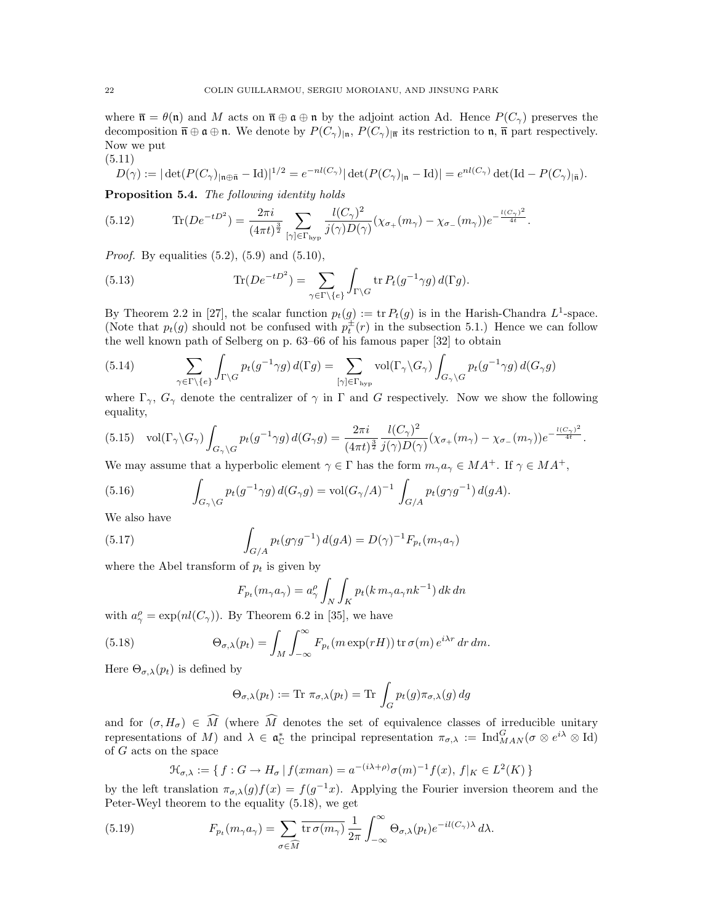where  $\bar{\mathfrak{n}} = \theta(\mathfrak{n})$  and M acts on  $\bar{\mathfrak{n}} \oplus \mathfrak{a} \oplus \mathfrak{n}$  by the adjoint action Ad. Hence  $P(C_{\gamma})$  preserves the decomposition  $\overline{\mathfrak{n}} \oplus \mathfrak{a} \oplus \mathfrak{n}$ . We denote by  $P(C_{\gamma})_{|\mathfrak{n}}$ ,  $P(C_{\gamma})_{|\overline{\mathfrak{n}}}$  its restriction to  $\mathfrak{n}$ ,  $\overline{\mathfrak{n}}$  part respectively. Now we put

(5.11)

$$
D(\gamma) := |\det(P(C_{\gamma})_{|\mathfrak{n}\oplus\bar{\mathfrak{n}}}-\mathrm{Id})|^{1/2} = e^{-nl(C_{\gamma})}|\det(P(C_{\gamma})_{|\mathfrak{n}}-\mathrm{Id})| = e^{nl(C_{\gamma})}\det(\mathrm{Id} - P(C_{\gamma})_{|\bar{\mathfrak{n}}}).
$$

Proposition 5.4. The following identity holds

(5.12) 
$$
\text{Tr}(De^{-tD^2}) = \frac{2\pi i}{(4\pi t)^{\frac{3}{2}}} \sum_{[\gamma] \in \Gamma_{\text{hyp}}} \frac{l(C_{\gamma})^2}{j(\gamma)D(\gamma)} (\chi_{\sigma_+}(m_{\gamma}) - \chi_{\sigma_-}(m_{\gamma}))e^{-\frac{l(C_{\gamma})^2}{4t}}.
$$

*Proof.* By equalities  $(5.2)$ ,  $(5.9)$  and  $(5.10)$ ,

(5.13) 
$$
\text{Tr}(De^{-tD^2}) = \sum_{\gamma \in \Gamma \setminus \{e\}} \int_{\Gamma \setminus G} \text{tr} \, P_t(g^{-1} \gamma g) \, d(\Gamma g).
$$

By Theorem 2.2 in [27], the scalar function  $p_t(g) := \text{tr } P_t(g)$  is in the Harish-Chandra  $L^1$ -space. (Note that  $p_t(g)$  should not be confused with  $p_t^{\pm}(r)$  in the subsection 5.1.) Hence we can follow the well known path of Selberg on p. 63–66 of his famous paper [32] to obtain

(5.14) 
$$
\sum_{\gamma \in \Gamma \setminus \{e\}} \int_{\Gamma \setminus G} p_t(g^{-1} \gamma g) d(\Gamma g) = \sum_{[\gamma] \in \Gamma_{\text{hyp}}} \text{vol}(\Gamma_{\gamma} \setminus G_{\gamma}) \int_{G_{\gamma} \setminus G} p_t(g^{-1} \gamma g) d(G_{\gamma} g)
$$

where  $\Gamma_{\gamma}$ ,  $G_{\gamma}$  denote the centralizer of  $\gamma$  in  $\Gamma$  and  $G$  respectively. Now we show the following equality,

$$
(5.15) \quad \text{vol}(\Gamma_{\gamma} \backslash G_{\gamma}) \int_{G_{\gamma} \backslash G} p_t(g^{-1} \gamma g) d(G_{\gamma} g) = \frac{2\pi i}{(4\pi t)^{\frac{3}{2}}} \frac{l(C_{\gamma})^2}{j(\gamma)D(\gamma)} (\chi_{\sigma_+}(m_{\gamma}) - \chi_{\sigma_-}(m_{\gamma})) e^{-\frac{l(C_{\gamma})^2}{4t}}.
$$

We may assume that a hyperbolic element  $\gamma \in \Gamma$  has the form  $m_{\gamma}a_{\gamma} \in MA^{+}$ . If  $\gamma \in MA^{+}$ ,

(5.16) 
$$
\int_{G_{\gamma}\backslash G} p_t(g^{-1}\gamma g) d(G_{\gamma}g) = \text{vol}(G_{\gamma}/A)^{-1} \int_{G/A} p_t(g\gamma g^{-1}) d(gA).
$$

We also have

(5.17) 
$$
\int_{G/A} p_t(g\gamma g^{-1}) d(gA) = D(\gamma)^{-1} F_{p_t}(m_\gamma a_\gamma)
$$

where the Abel transform of  $p_t$  is given by

$$
F_{p_t}(m_\gamma a_\gamma) = a_\gamma^\rho \int_N \int_K p_t(k \, m_\gamma a_\gamma n k^{-1}) \, dk \, dn
$$

with  $a_{\gamma}^{\rho} = \exp(nl(C_{\gamma}))$ . By Theorem 6.2 in [35], we have

(5.18) 
$$
\Theta_{\sigma,\lambda}(p_t) = \int_M \int_{-\infty}^{\infty} F_{p_t}(m \exp(rH)) \operatorname{tr} \sigma(m) e^{i\lambda r} dr dm.
$$

Here  $\Theta_{\sigma,\lambda}(p_t)$  is defined by

$$
\Theta_{\sigma,\lambda}(p_t) := \text{Tr } \pi_{\sigma,\lambda}(p_t) = \text{Tr } \int_G p_t(g) \pi_{\sigma,\lambda}(g) dg
$$

and for  $(\sigma, H_{\sigma}) \in \widehat{M}$  (where  $\widehat{M}$  denotes the set of equivalence classes of irreducible unitary representations of M) and  $\lambda \in \mathfrak{a}_{\mathbb{C}}^*$  the principal representation  $\pi_{\sigma,\lambda} := \text{Ind}_{MAN}^G(\sigma \otimes e^{i\lambda} \otimes \text{Id})$ of G acts on the space

$$
\mathcal{H}_{\sigma,\lambda} := \{ f : G \to H_{\sigma} \mid f(xman) = a^{-(i\lambda + \rho)} \sigma(m)^{-1} f(x), f|_{K} \in L^{2}(K) \}
$$

by the left translation  $\pi_{\sigma,\lambda}(g)f(x) = f(g^{-1}x)$ . Applying the Fourier inversion theorem and the Peter-Weyl theorem to the equality (5.18), we get

(5.19) 
$$
F_{p_t}(m_\gamma a_\gamma) = \sum_{\sigma \in \widehat{M}} \overline{\text{tr}\,\sigma(m_\gamma)} \, \frac{1}{2\pi} \int_{-\infty}^{\infty} \Theta_{\sigma,\lambda}(p_t) e^{-il(C_\gamma)\lambda} \, d\lambda.
$$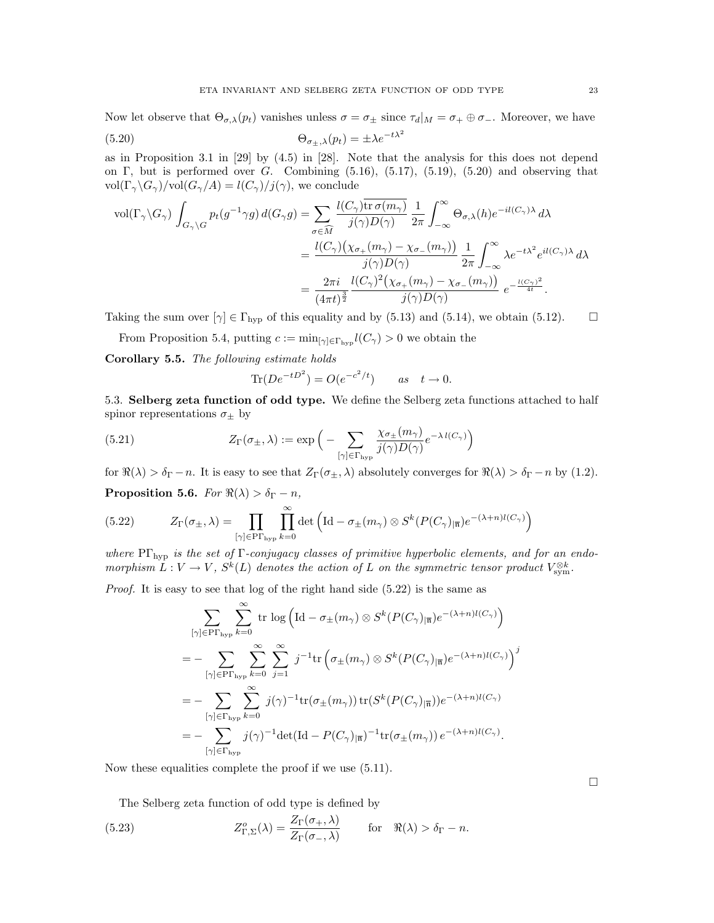Now let observe that  $\Theta_{\sigma,\lambda}(p_t)$  vanishes unless  $\sigma = \sigma_{\pm}$  since  $\tau_d|_M = \sigma_+ \oplus \sigma_-$ . Moreover, we have (5.20)  $\Theta_{\sigma_{\pm},\lambda}(p_t) = \pm \lambda e^{-t\lambda^2}$ 

as in Proposition 3.1 in [29] by (4.5) in [28]. Note that the analysis for this does not depend on Γ, but is performed over G. Combining  $(5.16)$ ,  $(5.17)$ ,  $(5.19)$ ,  $(5.20)$  and observing that  $vol(\Gamma_{\gamma} \backslash G_{\gamma})/vol(G_{\gamma}/A) = l(C_{\gamma})/j(\gamma)$ , we conclude

$$
\text{vol}(\Gamma_{\gamma} \backslash G_{\gamma}) \int_{G_{\gamma} \backslash G} p_t(g^{-1}\gamma g) d(G_{\gamma}g) = \sum_{\sigma \in \widehat{M}} \frac{l(C_{\gamma}) \overline{\text{tr }\sigma(m_{\gamma})}}{j(\gamma)D(\gamma)} \frac{1}{2\pi} \int_{-\infty}^{\infty} \Theta_{\sigma,\lambda}(h) e^{-il(C_{\gamma})\lambda} d\lambda
$$

$$
= \frac{l(C_{\gamma}) \left(\chi_{\sigma_+}(m_{\gamma}) - \chi_{\sigma_-}(m_{\gamma})\right)}{j(\gamma)D(\gamma)} \frac{1}{2\pi} \int_{-\infty}^{\infty} \lambda e^{-t\lambda^2} e^{il(C_{\gamma})\lambda} d\lambda
$$

$$
= \frac{2\pi i}{(4\pi t)^{\frac{3}{2}}} \frac{l(C_{\gamma})^2 \left(\chi_{\sigma_+}(m_{\gamma}) - \chi_{\sigma_-}(m_{\gamma})\right)}{j(\gamma)D(\gamma)} e^{-\frac{l(C_{\gamma})^2}{4t}}.
$$

Taking the sum over  $[\gamma] \in \Gamma_{\text{hyp}}$  of this equality and by (5.13) and (5.14), we obtain (5.12).  $\Box$ 

From Proposition 5.4, putting  $c := \min_{[\gamma] \in \Gamma_{\text{hyp}}} l(C_{\gamma}) > 0$  we obtain the

Corollary 5.5. The following estimate holds

$$
\text{Tr}(De^{-tD^2}) = O(e^{-c^2/t}) \qquad as \quad t \to 0.
$$

5.3. Selberg zeta function of odd type. We define the Selberg zeta functions attached to half spinor representations  $\sigma_{\pm}$  by

(5.21) 
$$
Z_{\Gamma}(\sigma_{\pm}, \lambda) := \exp\Big(-\sum_{[\gamma] \in \Gamma_{\text{hyp}}} \frac{\chi_{\sigma_{\pm}}(m_{\gamma})}{j(\gamma)D(\gamma)} e^{-\lambda l(C_{\gamma})}\Big)
$$

for  $\Re(\lambda) > \delta_{\Gamma} - n$ . It is easy to see that  $Z_{\Gamma}(\sigma_{\pm}, \lambda)$  absolutely converges for  $\Re(\lambda) > \delta_{\Gamma} - n$  by (1.2).

**Proposition 5.6.** For  $\Re(\lambda) > \delta_{\Gamma} - n$ ,

(5.22) 
$$
Z_{\Gamma}(\sigma_{\pm}, \lambda) = \prod_{[\gamma] \in \text{PT}_{\text{hyp}}} \prod_{k=0}^{\infty} \det \left( \text{Id} - \sigma_{\pm}(m_{\gamma}) \otimes S^{k}(P(C_{\gamma})_{|\overline{\mathfrak{n}}}) e^{-(\lambda + n)l(C_{\gamma})} \right)
$$

where  $\Pr_{\text{hyp}}$  is the set of  $\Gamma$ -conjugacy classes of primitive hyperbolic elements, and for an endomorphism  $L: V \to V$ ,  $S^k(L)$  denotes the action of L on the symmetric tensor product  $V_{sym}^{\otimes k}$ .

Proof. It is easy to see that log of the right hand side  $(5.22)$  is the same as

$$
\sum_{[\gamma] \in \text{P}\Gamma_{\text{hyp}}} \sum_{k=0}^{\infty} \text{tr} \log \left( \text{Id} - \sigma_{\pm}(m_{\gamma}) \otimes S^{k}(P(C_{\gamma})_{|\overline{n}}) e^{-(\lambda+n)l(C_{\gamma})} \right)
$$
\n
$$
= - \sum_{[\gamma] \in \text{P}\Gamma_{\text{hyp}}} \sum_{k=0}^{\infty} \sum_{j=1}^{\infty} j^{-1} \text{tr} \left( \sigma_{\pm}(m_{\gamma}) \otimes S^{k}(P(C_{\gamma})_{|\overline{n}}) e^{-(\lambda+n)l(C_{\gamma})} \right)^{j}
$$
\n
$$
= - \sum_{[\gamma] \in \Gamma_{\text{hyp}}} \sum_{k=0}^{\infty} j(\gamma)^{-1} \text{tr}(\sigma_{\pm}(m_{\gamma})) \text{tr}(S^{k}(P(C_{\gamma})_{|\overline{n}})) e^{-(\lambda+n)l(C_{\gamma})}
$$
\n
$$
= - \sum_{[\gamma] \in \Gamma_{\text{hyp}}} j(\gamma)^{-1} \text{det}(\text{Id} - P(C_{\gamma})_{|\overline{n}})^{-1} \text{tr}(\sigma_{\pm}(m_{\gamma})) e^{-(\lambda+n)l(C_{\gamma})}.
$$

Now these equalities complete the proof if we use (5.11).

The Selberg zeta function of odd type is defined by

(5.23) 
$$
Z_{\Gamma,\Sigma}^o(\lambda) = \frac{Z_{\Gamma}(\sigma_+,\lambda)}{Z_{\Gamma}(\sigma_-,\lambda)} \quad \text{for} \quad \Re(\lambda) > \delta_{\Gamma} - n.
$$

 $\hfill \square$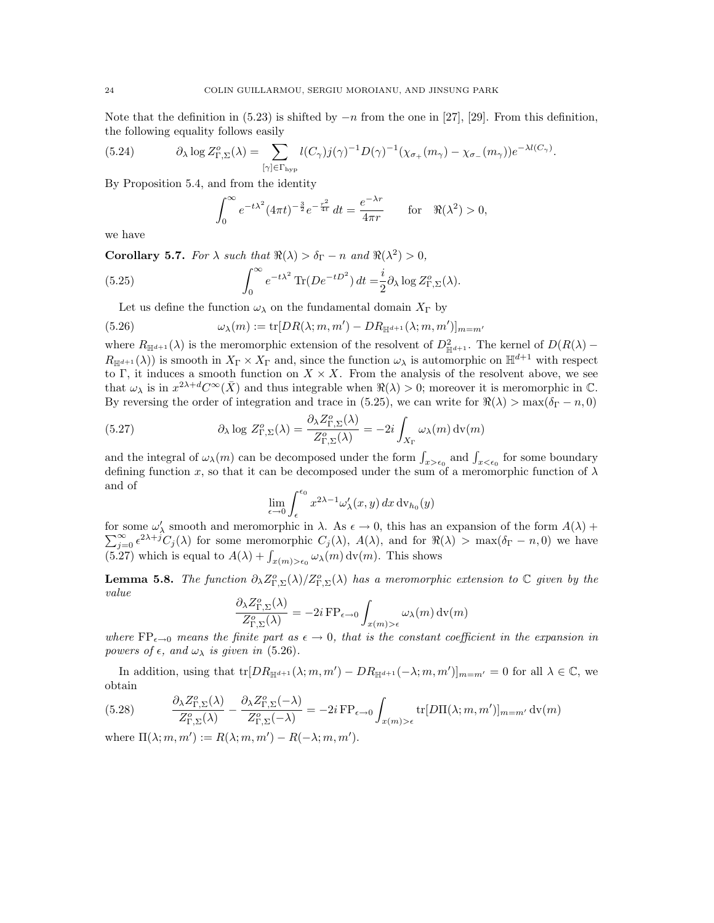Note that the definition in  $(5.23)$  is shifted by  $-n$  from the one in [27], [29]. From this definition, the following equality follows easily

(5.24) 
$$
\partial_{\lambda} \log Z_{\Gamma,\Sigma}^o(\lambda) = \sum_{[\gamma] \in \Gamma_{\text{hyp}}} l(C_{\gamma}) j(\gamma)^{-1} D(\gamma)^{-1} (\chi_{\sigma_+}(m_{\gamma}) - \chi_{\sigma_-}(m_{\gamma})) e^{-\lambda l(C_{\gamma})}.
$$

By Proposition 5.4, and from the identity

$$
\int_0^{\infty} e^{-t\lambda^2} (4\pi t)^{-\frac{3}{2}} e^{-\frac{r^2}{4t}} dt = \frac{e^{-\lambda r}}{4\pi r} \quad \text{for} \quad \Re(\lambda^2) > 0,
$$

we have

**Corollary 5.7.** For  $\lambda$  such that  $\Re(\lambda) > \delta_{\Gamma} - n$  and  $\Re(\lambda^2) > 0$ ,

(5.25) 
$$
\int_0^\infty e^{-t\lambda^2} \text{Tr}(De^{-tD^2}) dt = \frac{i}{2} \partial_\lambda \log Z^o_{\Gamma, \Sigma}(\lambda).
$$

Let us define the function  $\omega_{\lambda}$  on the fundamental domain  $X_{\Gamma}$  by

(5.26) 
$$
\omega_{\lambda}(m) := \text{tr}[DR(\lambda; m, m') - DR_{\mathbb{H}^{d+1}}(\lambda; m, m')]_{m=m'}
$$

where  $R_{\mathbb{H}^{d+1}}(\lambda)$  is the meromorphic extension of the resolvent of  $D_{\mathbb{H}^{d+1}}^2$ . The kernel of  $D(R(\lambda) R_{\mathbb{H}^{d+1}}(\lambda)$  is smooth in  $X_{\Gamma} \times X_{\Gamma}$  and, since the function  $\omega_{\lambda}$  is automorphic on  $\mathbb{H}^{d+1}$  with respect to Γ, it induces a smooth function on  $X \times X$ . From the analysis of the resolvent above, we see that  $\omega_{\lambda}$  is in  $x^{2\lambda+d}C^{\infty}(\bar{X})$  and thus integrable when  $\Re(\lambda) > 0$ ; moreover it is meromorphic in C. By reversing the order of integration and trace in (5.25), we can write for  $\Re(\lambda) > \max(\delta_{\Gamma} - n, 0)$ 

(5.27) 
$$
\partial_{\lambda} \log Z_{\Gamma,\Sigma}^{o}(\lambda) = \frac{\partial_{\lambda} Z_{\Gamma,\Sigma}^{o}(\lambda)}{Z_{\Gamma,\Sigma}^{o}(\lambda)} = -2i \int_{X_{\Gamma}} \omega_{\lambda}(m) \, \mathrm{dv}(m)
$$

and the integral of  $\omega_{\lambda}(m)$  can be decomposed under the form  $\int_{x>\epsilon_0}$  and  $\int_{x<\epsilon_0}$  for some boundary defining function x, so that it can be decomposed under the sum of a meromorphic function of  $\lambda$ and of

$$
\lim_{\epsilon\to 0}\int_\epsilon^{\epsilon_0}x^{2\lambda-1}\omega'_\lambda(x,y)\,dx\,\text{\rm d}\mathbf{v}_{h_0}(y)
$$

for some  $\omega'_{\lambda}$  smooth and meromorphic in  $\lambda$ . As  $\epsilon \to 0$ , this has an expansion of the form  $A(\lambda)$  +  $\sum_{j=0}^{\infty} \epsilon^{2\lambda+j}C_j(\lambda)$  for some meromorphic  $C_j(\lambda)$ ,  $A(\lambda)$ , and for  $\Re(\lambda) > \max(\delta_{\Gamma} - n, 0)$  we have (5.27) which is equal to  $A(\lambda) + \int_{x(m) > \epsilon_0} \omega_{\lambda}(m) dv(m)$ . This shows

**Lemma 5.8.** The function  $\partial_{\lambda}Z_{\Gamma,\Sigma}^o(\lambda)/Z_{\Gamma,\Sigma}^o(\lambda)$  has a meromorphic extension to  $\mathbb C$  given by the value

$$
\frac{\partial_{\lambda} Z^o_{\Gamma, \Sigma}(\lambda)}{Z^o_{\Gamma, \Sigma}(\lambda)} = -2i \operatorname{FP}_{\epsilon \to 0} \int_{x(m) > \epsilon} \omega_{\lambda}(m) \operatorname{dv}(m)
$$

where  $FP_{\epsilon \to 0}$  means the finite part as  $\epsilon \to 0$ , that is the constant coefficient in the expansion in powers of  $\epsilon$ , and  $\omega_{\lambda}$  is given in (5.26).

In addition, using that  $tr[DR_{\mathbb{H}^{d+1}}(\lambda; m, m') - DR_{\mathbb{H}^{d+1}}(-\lambda; m, m')]_{m=m'} = 0$  for all  $\lambda \in \mathbb{C}$ , we obtain

(5.28) 
$$
\frac{\partial_{\lambda} Z_{\Gamma,\Sigma}^o(\lambda)}{Z_{\Gamma,\Sigma}^o(\lambda)} - \frac{\partial_{\lambda} Z_{\Gamma,\Sigma}^o(-\lambda)}{Z_{\Gamma,\Sigma}^o(-\lambda)} = -2i \operatorname{FP}_{\epsilon \to 0} \int_{x(m) > \epsilon} \operatorname{tr}[D\Pi(\lambda; m, m')]_{m=m'} \operatorname{dv}(m)
$$

where  $\Pi(\lambda; m, m') := R(\lambda; m, m') - R(-\lambda; m, m').$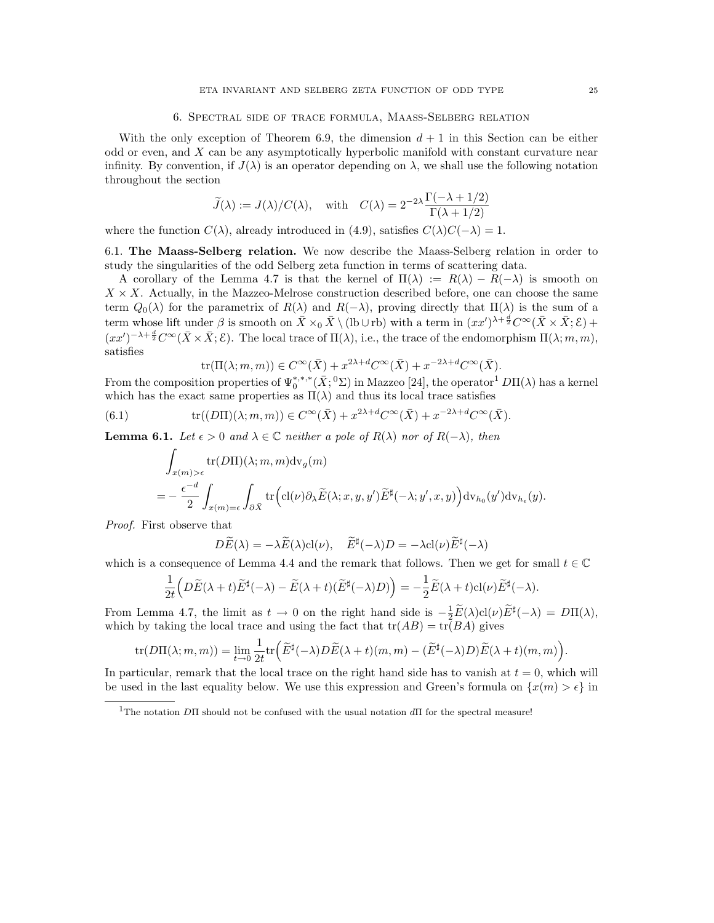#### 6. Spectral side of trace formula, Maass-Selberg relation

With the only exception of Theorem 6.9, the dimension  $d+1$  in this Section can be either odd or even, and X can be any asymptotically hyperbolic manifold with constant curvature near infinity. By convention, if  $J(\lambda)$  is an operator depending on  $\lambda$ , we shall use the following notation throughout the section

$$
\widetilde{J}(\lambda) := J(\lambda)/C(\lambda)
$$
, with  $C(\lambda) = 2^{-2\lambda} \frac{\Gamma(-\lambda + 1/2)}{\Gamma(\lambda + 1/2)}$ 

where the function  $C(\lambda)$ , already introduced in (4.9), satisfies  $C(\lambda)C(-\lambda) = 1$ .

6.1. The Maass-Selberg relation. We now describe the Maass-Selberg relation in order to study the singularities of the odd Selberg zeta function in terms of scattering data.

A corollary of the Lemma 4.7 is that the kernel of  $\Pi(\lambda) := R(\lambda) - R(-\lambda)$  is smooth on  $X \times X$ . Actually, in the Mazzeo-Melrose construction described before, one can choose the same term  $Q_0(\lambda)$  for the parametrix of  $R(\lambda)$  and  $R(-\lambda)$ , proving directly that  $\Pi(\lambda)$  is the sum of a term whose lift under  $\beta$  is smooth on  $\bar{X} \times_0 \bar{X} \setminus (\text{lb} \cup \text{rb})$  with a term in  $(xx')^{\lambda + \frac{d}{2}} C^{\infty}(\bar{X} \times \bar{X}; \mathcal{E})$  +  $(xx')^{-\lambda+\frac{d}{2}}C^{\infty}(\bar{X}\times\bar{X};\mathcal{E})$ . The local trace of  $\Pi(\lambda)$ , i.e., the trace of the endomorphism  $\Pi(\lambda; m, m)$ , satisfies

$$
\mathrm{tr}(\Pi(\lambda;m,m))\in C^\infty(\bar{X})+x^{2\lambda+d}C^\infty(\bar{X})+x^{-2\lambda+d}C^\infty(\bar{X}).
$$

From the composition properties of  $\Psi_0^{*,*,*}(\bar{X}; ^0\Sigma)$  in Mazzeo [24], the operator<sup>1</sup>  $D\Pi(\lambda)$  has a kernel which has the exact same properties as  $\Pi(\lambda)$  and thus its local trace satisfies

(6.1) 
$$
\operatorname{tr}((D\Pi)(\lambda; m, m)) \in C^{\infty}(\bar{X}) + x^{2\lambda + d}C^{\infty}(\bar{X}) + x^{-2\lambda + d}C^{\infty}(\bar{X}).
$$

**Lemma 6.1.** Let  $\epsilon > 0$  and  $\lambda \in \mathbb{C}$  neither a pole of  $R(\lambda)$  nor of  $R(-\lambda)$ , then

$$
\int_{x(m) > \epsilon} \text{tr}(D\Pi)(\lambda; m, m) \text{d}v_g(m)
$$
\n
$$
= -\frac{\epsilon^{-d}}{2} \int_{x(m) = \epsilon} \int_{\partial \bar{X}} \text{tr} \Big( \text{cl}(\nu) \partial_{\lambda} \tilde{E}(\lambda; x, y, y') \tilde{E}^{\sharp}(-\lambda; y', x, y) \Big) \text{d}v_{h_0}(y') \text{d}v_{h_{\epsilon}}(y).
$$

Proof. First observe that

$$
D\widetilde{E}(\lambda) = -\lambda \widetilde{E}(\lambda) \operatorname{cl}(\nu), \quad \widetilde{E}^{\sharp}(-\lambda)D = -\lambda \operatorname{cl}(\nu) \widetilde{E}^{\sharp}(-\lambda)
$$

which is a consequence of Lemma 4.4 and the remark that follows. Then we get for small  $t \in \mathbb{C}$ 

$$
\frac{1}{2t}\Big(D\widetilde{E}(\lambda+t)\widetilde{E}^{\sharp}(-\lambda)-\widetilde{E}(\lambda+t)(\widetilde{E}^{\sharp}(-\lambda)D)\Big)=-\frac{1}{2}\widetilde{E}(\lambda+t)\mathrm{cl}(\nu)\widetilde{E}^{\sharp}(-\lambda).
$$

From Lemma 4.7, the limit as  $t \to 0$  on the right hand side is  $-\frac{1}{2}\widetilde{E}(\lambda)cl(\nu)\widetilde{E}^{\sharp}(-\lambda) = D\Pi(\lambda)$ , which by taking the local trace and using the fact that  $tr(AB) = tr(BA)$  gives

$$
\text{tr}(D\Pi(\lambda; m, m)) = \lim_{t \to 0} \frac{1}{2t} \text{tr}\Big( \widetilde{E}^{\sharp}(-\lambda) D\widetilde{E}(\lambda + t)(m, m) - (\widetilde{E}^{\sharp}(-\lambda) D)\widetilde{E}(\lambda + t)(m, m) \Big).
$$

In particular, remark that the local trace on the right hand side has to vanish at  $t = 0$ , which will be used in the last equality below. We use this expression and Green's formula on  $\{x(m) > \epsilon\}$  in

<sup>&</sup>lt;sup>1</sup>The notation  $D\Pi$  should not be confused with the usual notation  $d\Pi$  for the spectral measure!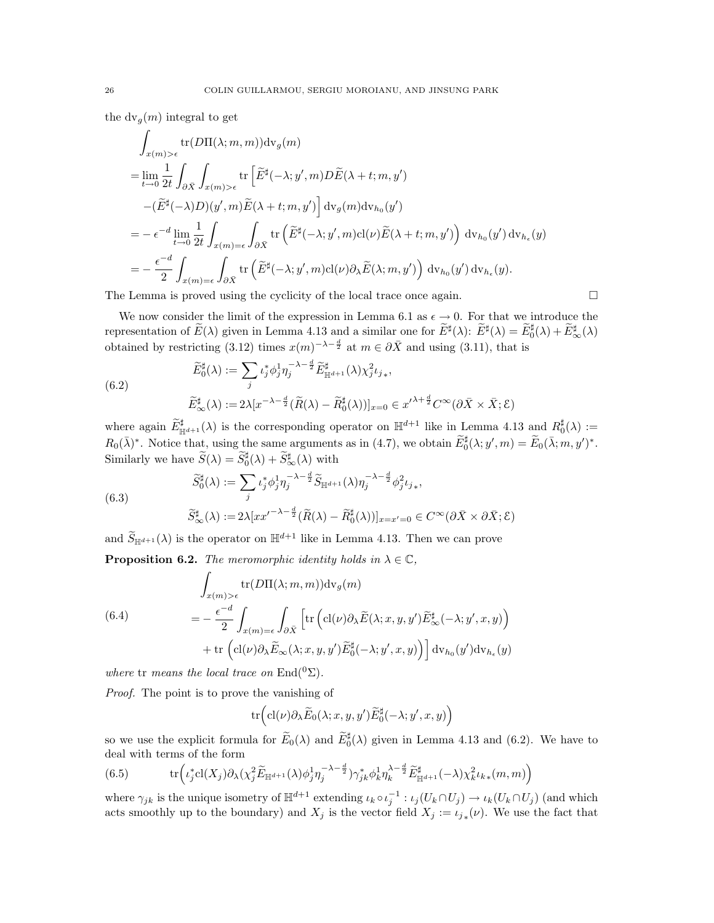the  $dv_q(m)$  integral to get

$$
\int_{x(m)>\epsilon} \text{tr}(D\Pi(\lambda; m, m)) \text{dv}_g(m)
$$
\n
$$
= \lim_{t \to 0} \frac{1}{2t} \int_{\partial \bar{X}} \int_{x(m)>\epsilon} \text{tr}\left[\tilde{E}^{\sharp}(-\lambda; y', m) D\tilde{E}(\lambda + t; m, y')\right]
$$
\n
$$
- (\tilde{E}^{\sharp}(-\lambda)D)(y', m) \tilde{E}(\lambda + t; m, y') \Big] \text{dv}_g(m) \text{dv}_{h_0}(y')
$$
\n
$$
= -\epsilon^{-d} \lim_{t \to 0} \frac{1}{2t} \int_{x(m)=\epsilon} \int_{\partial \bar{X}} \text{tr}\left(\tilde{E}^{\sharp}(-\lambda; y', m) \text{cl}(\nu) \tilde{E}(\lambda + t; m, y')\right) \text{dv}_{h_0}(y') \text{dv}_{h_{\epsilon}}(y)
$$
\n
$$
= -\frac{\epsilon^{-d}}{2} \int_{x(m)=\epsilon} \int_{\partial \bar{X}} \text{tr}\left(\tilde{E}^{\sharp}(-\lambda; y', m) \text{cl}(\nu) \partial_{\lambda} \tilde{E}(\lambda; m, y')\right) \text{dv}_{h_0}(y') \text{dv}_{h_{\epsilon}}(y).
$$

The Lemma is proved using the cyclicity of the local trace once again.  $\Box$ 

We now consider the limit of the expression in Lemma 6.1 as  $\epsilon \to 0$ . For that we introduce the representation of  $\widetilde{E}(\lambda)$  given in Lemma 4.13 and a similar one for  $\widetilde{E}^{\sharp}(\lambda)$ :  $\widetilde{E}^{\sharp}(\lambda) = \widetilde{E}^{\sharp}_{0}(\lambda) + \widetilde{E}^{\sharp}_{\infty}(\lambda)$ obtained by restricting (3.12) times  $x(m)^{-\lambda - \frac{d}{2}}$  at  $m \in \partial \overline{X}$  and using (3.11), that is

(6.2)  
\n
$$
\widetilde{E}_{0}^{\sharp}(\lambda) := \sum_{j} \iota_{j}^{*} \phi_{j}^{1} \eta_{j}^{-\lambda - \frac{d}{2}} \widetilde{E}_{\mathbb{H}^{d+1}}^{\sharp}(\lambda) \chi_{j}^{2} \iota_{j*},
$$
\n
$$
\widetilde{E}_{\infty}^{\sharp}(\lambda) := 2\lambda [x^{-\lambda - \frac{d}{2}} (\widetilde{R}(\lambda) - \widetilde{R}_{0}^{\sharp}(\lambda))]_{x=0} \in x'^{\lambda + \frac{d}{2}} C^{\infty} (\partial \bar{X} \times \bar{X}; \mathcal{E})
$$

where again  $\widetilde{E}_{\mathbb{H}^{d+1}}^{\sharp}(\lambda)$  is the corresponding operator on  $\mathbb{H}^{d+1}$  like in Lemma 4.13 and  $R_0^{\sharp}(\lambda) :=$  $R_0(\bar{\lambda})^*$ . Notice that, using the same arguments as in (4.7), we obtain  $\widetilde{E}_0^{\sharp}(\lambda; y', m) = \widetilde{E}_0(\bar{\lambda}; m, y')^*$ . Similarly we have  $\widetilde{S}(\lambda) = \widetilde{S}_0^{\sharp}(\lambda) + \widetilde{S}_{\infty}^{\sharp}(\lambda)$  with

$$
\widetilde{S}_{0}^{\sharp}(\lambda) := \sum_{j} \iota_{j}^{*} \phi_{j}^{1} \eta_{j}^{-\lambda - \frac{d}{2}} \widetilde{S}_{\mathbb{H}^{d+1}}(\lambda) \eta_{j}^{-\lambda - \frac{d}{2}} \phi_{j}^{2} \iota_{j*},
$$
  

$$
\widetilde{S}_{+}^{\sharp}(\lambda) := 2\lambda [r r^{\prime - \lambda - \frac{d}{2}} (\widetilde{R}(\lambda) - \widetilde{R}_{+}^{\sharp}(\lambda))]_{-\pi - \lambda} \in C^{\infty}(\partial \overline{X} \times \partial \overline{X} \cdot \mathcal{E})
$$

(6.3)

$$
\widetilde{S}_{\infty}^{\sharp}(\lambda) := 2\lambda [xx'^{-\lambda - \frac{d}{2}}(\widetilde{R}(\lambda) - \widetilde{R}_0^{\sharp}(\lambda))]_{x = x' = 0} \in C^{\infty}(\partial \overline{X} \times \partial \overline{X}; \mathcal{E})
$$

and  $\widetilde{S}_{\mathbb{H}^{d+1}}(\lambda)$  is the operator on  $\mathbb{H}^{d+1}$  like in Lemma 4.13. Then we can prove

**Proposition 6.2.** The meromorphic identity holds in  $\lambda \in \mathbb{C}$ ,

(6.4)  
\n
$$
\int_{x(m) > \epsilon} tr(D\Pi(\lambda; m, m)) dv_g(m)
$$
\n
$$
= -\frac{\epsilon^{-d}}{2} \int_{x(m) = \epsilon} \int_{\partial \bar{X}} \left[ tr\left( cl(\nu) \partial_{\lambda} \tilde{E}(\lambda; x, y, y') \tilde{E}_{\infty}^{\sharp}(-\lambda; y', x, y) \right) + tr\left( cl(\nu) \partial_{\lambda} \tilde{E}_{\infty}(\lambda; x, y, y') \tilde{E}_{0}^{\sharp}(-\lambda; y', x, y) \right) \right] dv_{h_0}(y') dv_{h_{\epsilon}}(y)
$$

where tr means the local trace on  $\text{End}({}^0\Sigma)$ .

Proof. The point is to prove the vanishing of

$$
\operatorname{tr}\Bigl(\operatorname{cl}(\nu)\partial_\lambda \widetilde E_0(\lambda;x,y,y')\widetilde E_0^\sharp(-\lambda;y',x,y)\Bigr)
$$

so we use the explicit formula for  $\widetilde{E}_0(\lambda)$  and  $\widetilde{E}_0^{\sharp}(\lambda)$  given in Lemma 4.13 and (6.2). We have to deal with terms of the form

(6.5) 
$$
\operatorname{tr}\left(\iota_j^*\operatorname{cl}(X_j)\partial_\lambda(\chi_j^2\widetilde{E}_{\mathbb{H}^{d+1}}(\lambda)\phi_j^1\eta_j^{-\lambda-\frac{d}{2}})\gamma_{jk}^*\phi_k^1\eta_k^{\lambda-\frac{d}{2}}\widetilde{E}_{\mathbb{H}^{d+1}}^{\sharp}(-\lambda)\chi_k^2\iota_{k*}(m,m)\right)
$$

where  $\gamma_{jk}$  is the unique isometry of  $\mathbb{H}^{d+1}$  extending  $\iota_k \circ \iota_j^{-1} : \iota_j(U_k \cap U_j) \to \iota_k(U_k \cap U_j)$  (and which acts smoothly up to the boundary) and  $X_j$  is the vector field  $X_j := \iota_{j*}(\nu)$ . We use the fact that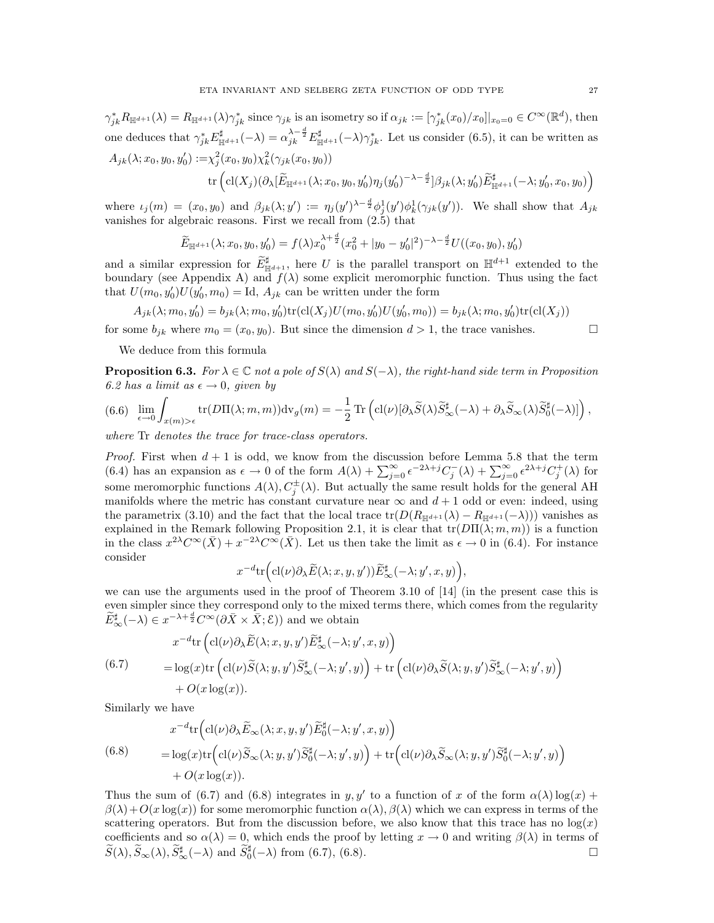$\gamma_{jk}^* R_{\mathbb{H}^{d+1}}(\lambda) = R_{\mathbb{H}^{d+1}}(\lambda) \gamma_{jk}^*$  since  $\gamma_{jk}$  is an isometry so if  $\alpha_{jk} := [\gamma_{jk}^*(x_0)/x_0]|_{x_0=0} \in C^{\infty}(\mathbb{R}^d)$ , then one deduces that  $\gamma_{jk}^* E_{\mathbb{H}^{d+1}}^{\sharp}(-\lambda) = \alpha_{jk}^{\lambda - \frac{d}{2}} E_{\mathbb{H}^{d+1}}^{\sharp}(-\lambda) \gamma_{jk}^*$ . Let us consider (6.5), it can be written as  $A_{jk}(\lambda; x_0, y_0, y_0') := \chi_j^2(x_0, y_0) \chi_k^2(\gamma_{jk}(x_0, y_0))$ 

$$
\mathrm{tr}\left(\mathrm{cl}(X_j)(\partial_{\lambda}[\widetilde{E}_{\mathbb{H}^{d+1}}(\lambda;x_0,y_0,y_0')\eta_j(y_0')^{-\lambda-\frac{d}{2}}]\beta_{jk}(\lambda;y_0')\widetilde{E}_{\mathbb{H}^{d+1}}^{\sharp}(-\lambda;y_0',x_0,y_0)\right)
$$

where  $\iota_j(m) = (x_0, y_0)$  and  $\beta_{jk}(\lambda; y') := \eta_j(y')^{\lambda - \frac{d}{2}} \phi_j^1(y') \phi_k^1(\gamma_{jk}(y'))$ . We shall show that  $A_{jk}$ vanishes for algebraic reasons. First we recall from (2.5) that

$$
\widetilde{E}_{\mathbb{H}^{d+1}}(\lambda; x_0, y_0, y_0') = f(\lambda) x_0^{\lambda + \frac{d}{2}} (x_0^2 + |y_0 - y_0'|^2)^{-\lambda - \frac{d}{2}} U((x_0, y_0), y_0')
$$

and a similar expression for  $\widetilde{E}_{\mathbb{H}^{d+1}}^{\sharp}$ , here U is the parallel transport on  $\mathbb{H}^{d+1}$  extended to the boundary (see Appendix A) and  $f(\lambda)$  some explicit meromorphic function. Thus using the fact that  $U(m_0, y'_0)U(y'_0, m_0) = \text{Id}, A_{jk}$  can be written under the form

$$
A_{jk}(\lambda; m_0, y'_0) = b_{jk}(\lambda; m_0, y'_0) tr(cl(X_j)U(m_0, y'_0)U(y'_0, m_0)) = b_{jk}(\lambda; m_0, y'_0) tr(cl(X_j))
$$

for some  $b_{jk}$  where  $m_0 = (x_0, y_0)$ . But since the dimension  $d > 1$ , the trace vanishes.

We deduce from this formula

**Proposition 6.3.** For  $\lambda \in \mathbb{C}$  not a pole of  $S(\lambda)$  and  $S(-\lambda)$ , the right-hand side term in Proposition 6.2 has a limit as  $\epsilon \rightarrow 0$ , given by

$$
(6.6)\quad \lim_{\epsilon \to 0} \int_{x(m) > \epsilon} \text{tr}(D\Pi(\lambda; m, m)) \text{d}\text{v}_g(m) = -\frac{1}{2} \text{Tr}\left( \text{cl}(\nu) [\partial_\lambda \widetilde{S}(\lambda) \widetilde{S}^\sharp_\infty(-\lambda) + \partial_\lambda \widetilde{S}_\infty(\lambda) \widetilde{S}^\sharp_0(-\lambda)] \right),
$$

where Tr denotes the trace for trace-class operators.

*Proof.* First when  $d + 1$  is odd, we know from the discussion before Lemma 5.8 that the term (6.4) has an expansion as  $\epsilon \to 0$  of the form  $A(\lambda) + \sum_{j=0}^{\infty} \epsilon^{-2\lambda+j} C_j^-(\lambda) + \sum_{j=0}^{\infty} \epsilon^{2\lambda+j} C_j^+(\lambda)$  for some meromorphic functions  $A(\lambda), C_j^{\pm}(\lambda)$ . But actually the same result holds for the general AH manifolds where the metric has constant curvature near  $\infty$  and  $d+1$  odd or even: indeed, using the parametrix (3.10) and the fact that the local trace tr( $D(R_{\mathbb{H}^{d+1}}(\lambda) - R_{\mathbb{H}^{d+1}}(-\lambda))$ ) vanishes as explained in the Remark following Proposition 2.1, it is clear that  $tr(D\Pi(\lambda; m, m))$  is a function in the class  $x^{2\lambda}C^{\infty}(\bar{X}) + x^{-2\lambda}C^{\infty}(\bar{X})$ . Let us then take the limit as  $\epsilon \to 0$  in (6.4). For instance consider

$$
x^{-d}\text{tr}\Big(\text{cl}(\nu)\partial_\lambda \widetilde{E}(\lambda; x, y, y'))\widetilde{E}^\sharp_\infty(-\lambda; y', x, y)\Big),\,
$$

we can use the arguments used in the proof of Theorem 3.10 of [14] (in the present case this is even simpler since they correspond only to the mixed terms there, which comes from the regularity  $\widetilde{E}_{\infty}^{\sharp}(-\lambda) \in x^{-\lambda + \frac{d}{2}} C^{\infty}(\partial \bar{X} \times \bar{X}; \mathcal{E}))$  and we obtain

$$
x^{-d}\text{tr}\left(\text{cl}(\nu)\partial_{\lambda}\widetilde{E}(\lambda;x,y,y')\widetilde{E}_{\infty}^{\sharp}(-\lambda;y',x,y)\right) = \log(x)\text{tr}\left(\text{cl}(\nu)\widetilde{S}(\lambda;y,y')\widetilde{S}_{\infty}^{\sharp}(-\lambda;y',y)\right) + \text{tr}\left(\text{cl}(\nu)\partial_{\lambda}\widetilde{S}(\lambda;y,y')\widetilde{S}_{\infty}^{\sharp}(-\lambda;y',y)\right) + O(x\log(x)).
$$

Similarly we have

(6.8) 
$$
x^{-d}\text{tr}\Big(\text{cl}(\nu)\partial_{\lambda}\widetilde{E}_{\infty}(\lambda;x,y,y')\widetilde{E}_{0}^{\sharp}(-\lambda;y',x,y)\Big) \n= \log(x)\text{tr}\Big(\text{cl}(\nu)\widetilde{S}_{\infty}(\lambda;y,y')\widetilde{S}_{0}^{\sharp}(-\lambda;y',y)\Big) + \text{tr}\Big(\text{cl}(\nu)\partial_{\lambda}\widetilde{S}_{\infty}(\lambda;y,y')\widetilde{S}_{0}^{\sharp}(-\lambda;y',y)\Big) \n+ O(x\log(x)).
$$

Thus the sum of (6.7) and (6.8) integrates in y, y' to a function of x of the form  $\alpha(\lambda) \log(x)$  +  $\beta(\lambda)+O(x\log(x))$  for some meromorphic function  $\alpha(\lambda), \beta(\lambda)$  which we can express in terms of the scattering operators. But from the discussion before, we also know that this trace has no  $log(x)$ coefficients and so  $\alpha(\lambda) = 0$ , which ends the proof by letting  $x \to 0$  and writing  $\beta(\lambda)$  in terms of  $\widetilde{S}(\lambda), \widetilde{S}_{\infty}(\lambda), \widetilde{S}_{\infty}^{\sharp}(-\lambda) \text{ and } \widetilde{S}_{0}^{\sharp}(-\lambda) \text{ from } (6.7), (6.8).$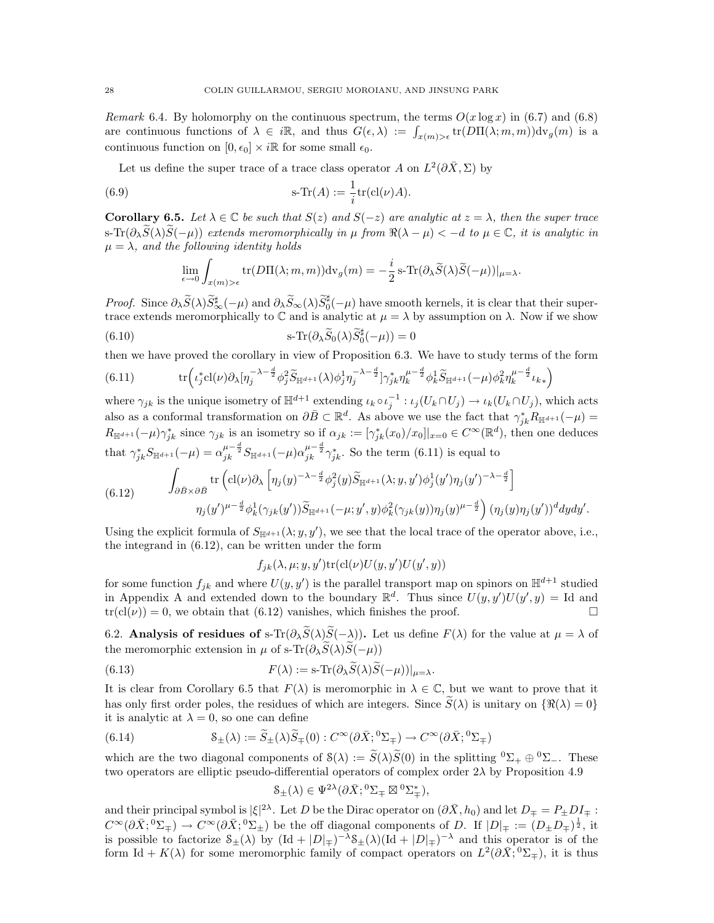Remark 6.4. By holomorphy on the continuous spectrum, the terms  $O(x \log x)$  in (6.7) and (6.8) are continuous functions of  $\lambda \in i\mathbb{R}$ , and thus  $G(\epsilon,\lambda) := \int_{x(m) > \epsilon} tr(D\Pi(\lambda; m, m)) dv_g(m)$  is a continuous function on  $[0, \epsilon_0] \times i\mathbb{R}$  for some small  $\epsilon_0$ .

Let us define the super trace of a trace class operator A on  $L^2(\partial \bar{X}, \Sigma)$  by

(6.9) 
$$
s\text{-Tr}(A) := \frac{1}{i}\text{tr}(\text{cl}(\nu)A).
$$

**Corollary 6.5.** Let  $\lambda \in \mathbb{C}$  be such that  $S(z)$  and  $S(-z)$  are analytic at  $z = \lambda$ , then the super trace s-Tr( $\partial_{\lambda} \tilde{S}(\lambda) \tilde{S}(-\mu)$ ) extends meromorphically in  $\mu$  from  $\Re(\lambda - \mu) < -d$  to  $\mu \in \mathbb{C}$ , it is analytic in  $\mu = \lambda$ , and the following identity holds

$$
\lim_{\epsilon \to 0} \int_{x(m) > \epsilon} \text{tr}(D\Pi(\lambda; m, m)) \text{dv}_g(m) = -\frac{i}{2} \text{ s-Tr}(\partial_\lambda \widetilde{S}(\lambda) \widetilde{S}(-\mu))|_{\mu = \lambda}.
$$

Proof. Since  $\partial_{\lambda} \widetilde{S}(\lambda) \widetilde{S}_{\infty}^{\sharp}(-\mu)$  and  $\partial_{\lambda} \widetilde{S}_{\infty}(\lambda) \widetilde{S}_{0}^{\sharp}(-\mu)$  have smooth kernels, it is clear that their supertrace extends meromorphically to  $\mathbb C$  and is analytic at  $\mu = \lambda$  by assumption on  $\lambda$ . Now if we show

(6.10) 
$$
s\text{-Tr}(\partial_{\lambda}\widetilde{S}_0(\lambda)\widetilde{S}_0^{\sharp}(-\mu))=0
$$

then we have proved the corollary in view of Proposition 6.3. We have to study terms of the form

(6.11) tr ι ∗ j cl(ν)∂λ[η −λ− <sup>d</sup> 2 <sup>j</sup> φ 2 jSe <sup>H</sup>d+1 (λ)φ 1 jη −λ− <sup>d</sup> 2 j ]γ ∗ jkη µ− <sup>d</sup> 2 k φ 1 kSe <sup>H</sup>d+1 (−µ)φ 2 kη µ− <sup>d</sup> 2 k ιk<sup>∗</sup> 

where  $\gamma_{jk}$  is the unique isometry of  $\mathbb{H}^{d+1}$  extending  $\iota_k \circ \iota_j^{-1} : \iota_j(U_k \cap U_j) \to \iota_k(U_k \cap U_j)$ , which acts also as a conformal transformation on  $\partial \bar{B} \subset \mathbb{R}^d$ . As above we use the fact that  $\gamma_{jk}^* R_{\mathbb{H}^{d+1}}(-\mu) =$  $R_{\mathbb{H}^{d+1}}(-\mu)\gamma_{jk}^*$  since  $\gamma_{jk}$  is an isometry so if  $\alpha_{jk}:=[\gamma_{jk}^*(x_0)/x_0]|_{x=0}\in C^{\infty}(\mathbb{R}^d)$ , then one deduces that  $\gamma_{jk}^* S_{\mathbb{H}^{d+1}}(-\mu) = \alpha_{jk}^{\mu - \frac{d}{2}} S_{\mathbb{H}^{d+1}}(-\mu) \alpha_{jk}^{\mu - \frac{d}{2}} \gamma_{jk}^*$ . So the term (6.11) is equal to

(6.12) 
$$
\int_{\partial \bar{B} \times \partial \bar{B}} \text{tr}\left(\text{cl}(\nu)\partial_{\lambda}\left[\eta_j(y)^{-\lambda-\frac{d}{2}}\phi_j^2(y)\widetilde{S}_{\mathbb{H}^{d+1}}(\lambda;y,y')\phi_j^1(y')\eta_j(y')^{-\lambda-\frac{d}{2}}\right] \eta_j(y')^{\mu-\frac{d}{2}}\phi_k^1(\gamma_{jk}(y'))\widetilde{S}_{\mathbb{H}^{d+1}}(-\mu;y',y)\phi_k^2(\gamma_{jk}(y))\eta_j(y)^{\mu-\frac{d}{2}}\right) (\eta_j(y)\eta_j(y'))^d dydy'.
$$

Using the explicit formula of  $S_{\mathbb{H}^{d+1}}(\lambda; y, y')$ , we see that the local trace of the operator above, i.e., the integrand in (6.12), can be written under the form

 $f_{jk}(\lambda, \mu; y, y')\text{tr}(\text{cl}(\nu)U(y, y')U(y', y))$ 

for some function  $f_{jk}$  and where  $U(y, y')$  is the parallel transport map on spinors on  $\mathbb{H}^{d+1}$  studied in Appendix A and extended down to the boundary  $\mathbb{R}^d$ . Thus since  $U(y, y')U(y', y) =$  Id and  $tr(cl(\nu)) = 0$ , we obtain that (6.12) vanishes, which finishes the proof.

6.2. Analysis of residues of s-Tr( $\partial_{\lambda} \widetilde{S}(\lambda) \widetilde{S}(-\lambda)$ ). Let us define  $F(\lambda)$  for the value at  $\mu = \lambda$  of the meromorphic extension in  $\mu$  of s-Tr( $\partial_{\lambda} \widetilde{S}(\lambda) \widetilde{S}(-\mu)$ )

(6.13) 
$$
F(\lambda) := \mathrm{s}\text{-}\mathrm{Tr}(\partial_{\lambda}\widetilde{S}(\lambda)\widetilde{S}(-\mu))|_{\mu=\lambda}.
$$

It is clear from Corollary 6.5 that  $F(\lambda)$  is meromorphic in  $\lambda \in \mathbb{C}$ , but we want to prove that it has only first order poles, the residues of which are integers. Since  $\tilde{S}(\lambda)$  is unitary on  $\{\Re(\lambda) = 0\}$ it is analytic at  $\lambda = 0$ , so one can define

(6.14) 
$$
\mathcal{S}_{\pm}(\lambda) := \widetilde{S}_{\pm}(\lambda)\widetilde{S}_{\mp}(0) : C^{\infty}(\partial \bar{X}; {}^{0}\Sigma_{\mp}) \to C^{\infty}(\partial \bar{X}; {}^{0}\Sigma_{\mp})
$$

which are the two diagonal components of  $S(\lambda) := \widetilde{S}(\lambda)\widetilde{S}(0)$  in the splitting  ${}^0\Sigma_+ \oplus {}^0\Sigma_-$ . These two operators are elliptic pseudo-differential operators of complex order  $2\lambda$  by Proposition 4.9

$$
\mathcal{S}_{\pm}(\lambda) \in \Psi^{2\lambda}(\partial \bar{X}; ^0\Sigma_{\mp} \boxtimes {}^0\Sigma_{\mp}^*),
$$

and their principal symbol is  $|\xi|^{2\lambda}$ . Let D be the Dirac operator on  $(\partial \bar{X}, h_0)$  and let  $D_{\mp} = P_{\pm} D I_{\mp}$ :  $C^{\infty}(\partial \bar{X}; {}^{0}\Sigma_{\pm}) \to C^{\infty}(\partial \bar{X}; {}^{0}\Sigma_{\pm})$  be the off diagonal components of D. If  $|D|_{\mp} := (D_{\pm}D_{\mp})^{\frac{1}{2}}$ , it is possible to factorize  $S_{\pm}(\lambda)$  by  $(\mathrm{Id} + |D|_{\mp})^{-\lambda} S_{\pm}(\lambda)(\mathrm{Id} + |D|_{\mp})^{-\lambda}$  and this operator is of the form Id +  $K(\lambda)$  for some meromorphic family of compact operators on  $L^2(\partial \bar{X}, 0\Sigma_{\mp})$ , it is thus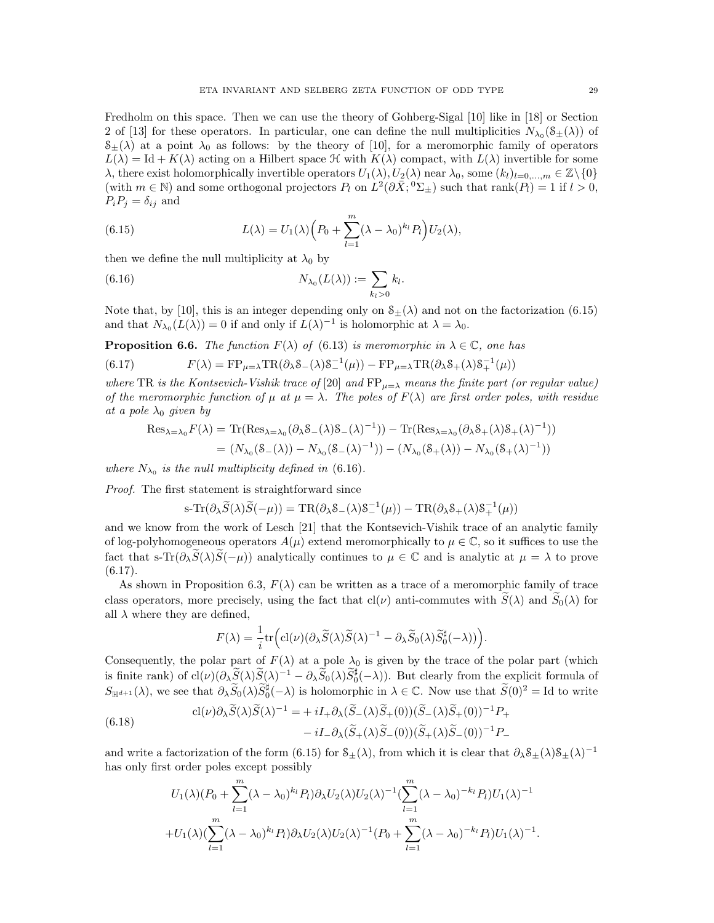Fredholm on this space. Then we can use the theory of Gohberg-Sigal [10] like in [18] or Section 2 of [13] for these operators. In particular, one can define the null multiplicities  $N_{\lambda_0}(\mathcal{S}_{\pm}(\lambda))$  of  $S_{\pm}(\lambda)$  at a point  $\lambda_0$  as follows: by the theory of [10], for a meromorphic family of operators  $L(\lambda) = \text{Id} + K(\lambda)$  acting on a Hilbert space  $\mathcal{H}$  with  $K(\lambda)$  compact, with  $L(\lambda)$  invertible for some  $\lambda$ , there exist holomorphically invertible operators  $U_1(\lambda)$ ,  $U_2(\lambda)$  near  $\lambda_0$ , some  $(k_l)_{l=0,\dots,m} \in \mathbb{Z}\setminus\{0\}$ (with  $m \in \mathbb{N}$ ) and some orthogonal projectors  $P_l$  on  $L^2(\partial \bar{X}; {}^0\Sigma_{\pm})$  such that  $rank(P_l) = 1$  if  $l > 0$ ,  $P_iP_j=\delta_{ij}$  and

(6.15) 
$$
L(\lambda) = U_1(\lambda) \left( P_0 + \sum_{l=1}^m (\lambda - \lambda_0)^{k_l} P_l \right) U_2(\lambda),
$$

then we define the null multiplicity at  $\lambda_0$  by

(6.16) 
$$
N_{\lambda_0}(L(\lambda)) := \sum_{k_l>0} k_l.
$$

Note that, by [10], this is an integer depending only on  $S_{\pm}(\lambda)$  and not on the factorization (6.15) and that  $N_{\lambda_0}(L(\lambda)) = 0$  if and only if  $L(\lambda)^{-1}$  is holomorphic at  $\lambda = \lambda_0$ .

**Proposition 6.6.** The function  $F(\lambda)$  of (6.13) is meromorphic in  $\lambda \in \mathbb{C}$ , one has

(6.17)  $F(\lambda) = FP_{\mu=\lambda} TR(\partial_{\lambda} S_{-}(\lambda) S_{-}^{-1}(\mu)) - FP_{\mu=\lambda} TR(\partial_{\lambda} S_{+}(\lambda) S_{+}^{-1}(\mu))$ 

where TR is the Kontsevich-Vishik trace of [20] and  $FP_{\mu=\lambda}$  means the finite part (or regular value) of the meromorphic function of  $\mu$  at  $\mu = \lambda$ . The poles of  $F(\lambda)$  are first order poles, with residue at a pole  $\lambda_0$  given by

$$
Res_{\lambda=\lambda_0} F(\lambda) = \text{Tr}(Res_{\lambda=\lambda_0}(\partial_{\lambda}S_{-}(\lambda)S_{-}(\lambda)^{-1})) - \text{Tr}(Res_{\lambda=\lambda_0}(\partial_{\lambda}S_{+}(\lambda)S_{+}(\lambda)^{-1}))
$$
  
=  $(N_{\lambda_0}(S_{-}(\lambda)) - N_{\lambda_0}(S_{-}(\lambda)^{-1})) - (N_{\lambda_0}(S_{+}(\lambda)) - N_{\lambda_0}(S_{+}(\lambda)^{-1}))$ 

where  $N_{\lambda_0}$  is the null multiplicity defined in (6.16).

Proof. The first statement is straightforward since

$$
s\text{-}\mathrm{Tr}(\partial_\lambda \widetilde{S}(\lambda)\widetilde{S}(-\mu)) = \mathrm{TR}(\partial_\lambda \mathcal{S}_-(\lambda)\mathcal{S}_-^{-1}(\mu)) - \mathrm{TR}(\partial_\lambda \mathcal{S}_+(\lambda)\mathcal{S}_+^{-1}(\mu))
$$

and we know from the work of Lesch [21] that the Kontsevich-Vishik trace of an analytic family of log-polyhomogeneous operators  $A(\mu)$  extend meromorphically to  $\mu \in \mathbb{C}$ , so it suffices to use the fact that s-Tr( $\partial_{\lambda} \tilde{S}(\lambda) \tilde{S}(-\mu)$ ) analytically continues to  $\mu \in \mathbb{C}$  and is analytic at  $\mu = \lambda$  to prove  $(6.17).$ 

As shown in Proposition 6.3,  $F(\lambda)$  can be written as a trace of a meromorphic family of trace class operators, more precisely, using the fact that cl( $\nu$ ) anti-commutes with  $\tilde{S}(\lambda)$  and  $\tilde{S}_0(\lambda)$  for all  $\lambda$  where they are defined,

$$
F(\lambda) = \frac{1}{i} \text{tr} \Big( \text{cl}(\nu) (\partial_{\lambda} \widetilde{S}(\lambda) \widetilde{S}(\lambda)^{-1} - \partial_{\lambda} \widetilde{S}_0(\lambda) \widetilde{S}_0^{\sharp}(-\lambda)) \Big).
$$

Consequently, the polar part of  $F(\lambda)$  at a pole  $\lambda_0$  is given by the trace of the polar part (which is finite rank) of  $cl(\nu)(\partial_{\lambda} \widetilde{S}(\lambda) \widetilde{S}(\lambda)^{-1} - \partial_{\lambda} \widetilde{S}_0(\lambda) \widetilde{S}_0^{\sharp}(-\lambda)).$  But clearly from the explicit formula of  $S_{\mathbb{H}^{d+1}}(\lambda)$ , we see that  $\partial_{\lambda} \widetilde{S}_0(\lambda) \widetilde{S}_0^{\sharp}(-\lambda)$  is holomorphic in  $\lambda \in \mathbb{C}$ . Now use that  $\widetilde{S}(0)^2 = \mathrm{Id}$  to write

(6.18)  

$$
cl(\nu)\partial_{\lambda}\widetilde{S}(\lambda)\widetilde{S}(\lambda)^{-1} = +iI_{+}\partial_{\lambda}(\widetilde{S}_{-}(\lambda)\widetilde{S}_{+}(0))(\widetilde{S}_{-}(\lambda)\widetilde{S}_{+}(0))^{-1}P_{+} -iI_{-}\partial_{\lambda}(\widetilde{S}_{+}(\lambda)\widetilde{S}_{-}(0))(\widetilde{S}_{+}(\lambda)\widetilde{S}_{-}(0))^{-1}P_{-}
$$

and write a factorization of the form (6.15) for  $\mathcal{S}_{\pm}(\lambda)$ , from which it is clear that  $\partial_{\lambda} \mathcal{S}_{\pm}(\lambda) \mathcal{S}_{\pm}(\lambda)^{-1}$ has only first order poles except possibly

$$
U_1(\lambda)(P_0 + \sum_{l=1}^m (\lambda - \lambda_0)^{k_l} P_l) \partial_{\lambda} U_2(\lambda) U_2(\lambda)^{-1} \left( \sum_{l=1}^m (\lambda - \lambda_0)^{-k_l} P_l \right) U_1(\lambda)^{-1}
$$
  
+ 
$$
U_1(\lambda) \left( \sum_{l=1}^m (\lambda - \lambda_0)^{k_l} P_l \right) \partial_{\lambda} U_2(\lambda) U_2(\lambda)^{-1} \left( P_0 + \sum_{l=1}^m (\lambda - \lambda_0)^{-k_l} P_l \right) U_1(\lambda)^{-1}.
$$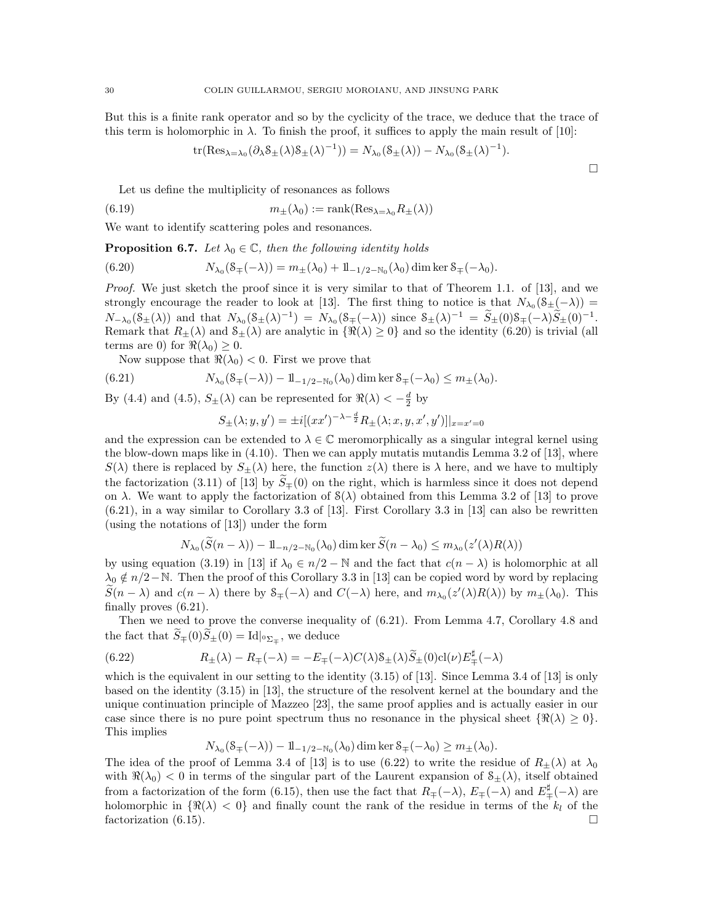But this is a finite rank operator and so by the cyclicity of the trace, we deduce that the trace of this term is holomorphic in  $\lambda$ . To finish the proof, it suffices to apply the main result of [10]:

$$
\operatorname{tr}(\operatorname{Res}_{\lambda=\lambda_0}(\partial_\lambda \mathcal{S}_{\pm}(\lambda)\mathcal{S}_{\pm}(\lambda)^{-1}))=N_{\lambda_0}(\mathcal{S}_{\pm}(\lambda))-N_{\lambda_0}(\mathcal{S}_{\pm}(\lambda)^{-1}).
$$

 $\Box$ 

Let us define the multiplicity of resonances as follows

(6.19) 
$$
m_{\pm}(\lambda_0) := \text{rank}(\text{Res}_{\lambda=\lambda_0} R_{\pm}(\lambda))
$$

We want to identify scattering poles and resonances.

**Proposition 6.7.** Let  $\lambda_0 \in \mathbb{C}$ , then the following identity holds

(6.20) 
$$
N_{\lambda_0}(\mathcal{S}_{\mp}(-\lambda)) = m_{\pm}(\lambda_0) + 1\!\!1_{-1/2 - N_0}(\lambda_0) \dim \ker \mathcal{S}_{\mp}(-\lambda_0).
$$

Proof. We just sketch the proof since it is very similar to that of Theorem 1.1. of [13], and we strongly encourage the reader to look at [13]. The first thing to notice is that  $N_{\lambda_0}(\mathcal{S}_{\pm}(-\lambda))$  =  $N_{-\lambda_0}(\mathcal{S}_{\pm}(\lambda))$  and that  $N_{\lambda_0}(\mathcal{S}_{\pm}(\lambda)^{-1}) = N_{\lambda_0}(\mathcal{S}_{\mp}(-\lambda))$  since  $\mathcal{S}_{\pm}(\lambda)^{-1} = \widetilde{S}_{\pm}(0)\mathcal{S}_{\mp}(-\lambda)\widetilde{S}_{\pm}(0)^{-1}$ . Remark that  $R_{\pm}(\lambda)$  and  $\mathcal{S}_{\pm}(\lambda)$  are analytic in  $\{\Re(\lambda) \geq 0\}$  and so the identity (6.20) is trivial (all terms are 0) for  $\Re(\lambda_0) \geq 0$ .

Now suppose that  $\Re(\lambda_0) < 0$ . First we prove that

(6.21) 
$$
N_{\lambda_0}(\mathcal{S}_{\mp}(-\lambda)) - 1\mathbb{1}_{-1/2 - \mathbb{N}_0}(\lambda_0) \dim \ker \mathcal{S}_{\mp}(-\lambda_0) \leq m_{\pm}(\lambda_0).
$$

By (4.4) and (4.5),  $S_{\pm}(\lambda)$  can be represented for  $\Re(\lambda) < -\frac{d}{2}$  by

$$
S_{\pm}(\lambda; y, y') = \pm i[(xx')^{-\lambda - \frac{d}{2}} R_{\pm}(\lambda; x, y, x', y')]|_{x = x' = 0}
$$

and the expression can be extended to  $\lambda \in \mathbb{C}$  meromorphically as a singular integral kernel using the blow-down maps like in (4.10). Then we can apply mutatis mutandis Lemma 3.2 of [13], where  $S(\lambda)$  there is replaced by  $S_{\pm}(\lambda)$  here, the function  $z(\lambda)$  there is  $\lambda$  here, and we have to multiply the factorization (3.11) of [13] by  $\tilde{S}_{\pm}(0)$  on the right, which is harmless since it does not depend on  $\lambda$ . We want to apply the factorization of  $S(\lambda)$  obtained from this Lemma 3.2 of [13] to prove (6.21), in a way similar to Corollary 3.3 of [13]. First Corollary 3.3 in [13] can also be rewritten (using the notations of [13]) under the form

$$
N_{\lambda_0}(\widetilde{S}(n-\lambda)) - 1\mathbb{1}_{-n/2-\aleph_0}(\lambda_0) \dim \ker \widetilde{S}(n-\lambda_0) \leq m_{\lambda_0}(z'(\lambda)R(\lambda))
$$

by using equation (3.19) in [13] if  $\lambda_0 \in n/2 - \mathbb{N}$  and the fact that  $c(n - \lambda)$  is holomorphic at all  $\lambda_0 \notin n/2-\mathbb{N}$ . Then the proof of this Corollary 3.3 in [13] can be copied word by word by replacing  $\widetilde{S}(n - \lambda)$  and  $c(n - \lambda)$  there by  $S_{\mp}(-\lambda)$  and  $C(-\lambda)$  here, and  $m_{\lambda_0}(z'(\lambda)R(\lambda))$  by  $m_{\pm}(\lambda_0)$ . This finally proves (6.21).

Then we need to prove the converse inequality of (6.21). From Lemma 4.7, Corollary 4.8 and the fact that  $S_{\mp}(0)S_{\pm}(0) = \text{Id}|_{^0\Sigma_{\mp}}$ , we deduce

(6.22) 
$$
R_{\pm}(\lambda) - R_{\mp}(-\lambda) = -E_{\mp}(-\lambda)C(\lambda)\mathcal{S}_{\pm}(\lambda)\widetilde{S}_{\pm}(0)cl(\nu)E_{\mp}^{\sharp}(-\lambda)
$$

which is the equivalent in our setting to the identity (3.15) of [13]. Since Lemma 3.4 of [13] is only based on the identity (3.15) in [13], the structure of the resolvent kernel at the boundary and the unique continuation principle of Mazzeo [23], the same proof applies and is actually easier in our case since there is no pure point spectrum thus no resonance in the physical sheet  $\{\Re(\lambda) \geq 0\}$ . This implies

 $N_{\lambda_0}(\mathcal{S}_{\mp}(-\lambda)) - 1\mathbb{1}_{-1/2 - \mathbb{N}_0}(\lambda_0) \dim \ker \mathcal{S}_{\mp}(-\lambda_0) \ge m_{\pm}(\lambda_0).$ 

The idea of the proof of Lemma 3.4 of [13] is to use (6.22) to write the residue of  $R_{\pm}(\lambda)$  at  $\lambda_0$ with  $\Re(\lambda_0) < 0$  in terms of the singular part of the Laurent expansion of  $\delta_{\pm}(\lambda)$ , itself obtained from a factorization of the form (6.15), then use the fact that  $R_{\mp}(-\lambda)$ ,  $E_{\mp}(-\lambda)$  and  $E_{\mp}^{\sharp}(-\lambda)$  are holomorphic in  $\{\Re(\lambda) < 0\}$  and finally count the rank of the residue in terms of the  $k_l$  of the factorization (6.15).  $\Box$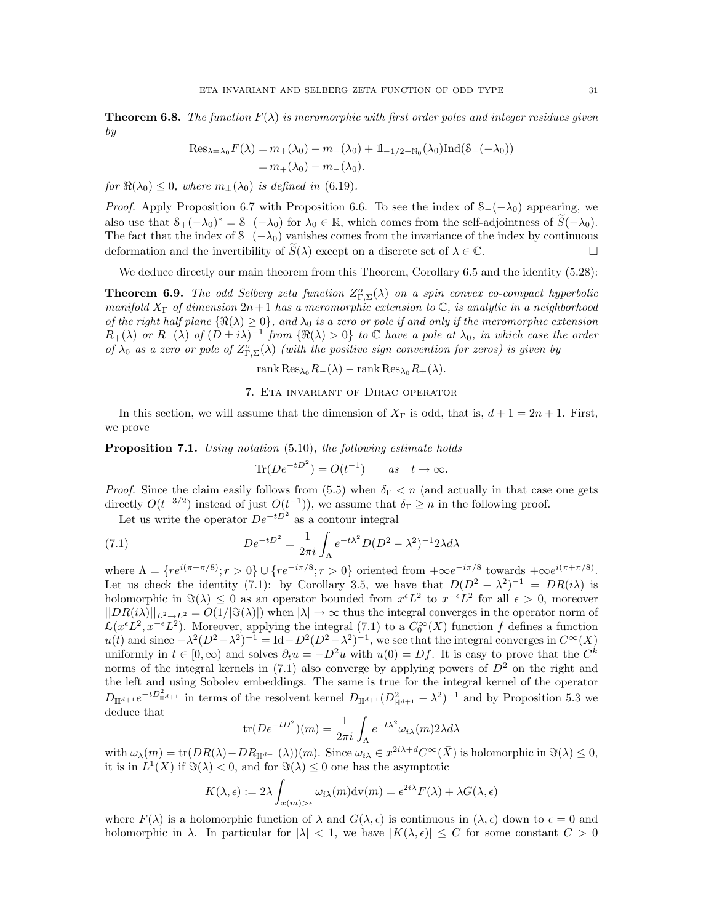**Theorem 6.8.** The function  $F(\lambda)$  is meromorphic with first order poles and integer residues given by

Res<sub>$$
\lambda = \lambda_0 F(\lambda)
$$</sub> =  $m_+(\lambda_0) - m_-(\lambda_0) + 1_{-1/2 - N_0}(\lambda_0) \text{Ind}(S_-(-\lambda_0))$   
=  $m_+(\lambda_0) - m_-(\lambda_0)$ .

for  $\Re(\lambda_0) \leq 0$ , where  $m_{\pm}(\lambda_0)$  is defined in (6.19).

*Proof.* Apply Proposition 6.7 with Proposition 6.6. To see the index of  $\mathcal{S}_-(\mathcal{-}\lambda_0)$  appearing, we also use that  $S_+(-\lambda_0)^* = S_-(-\lambda_0)$  for  $\lambda_0 \in \mathbb{R}$ , which comes from the self-adjointness of  $\widetilde{S}(-\lambda_0)$ . The fact that the index of  $S_{-}(-\lambda_0)$  vanishes comes from the invariance of the index by continuous deformation and the invertibility of  $\widetilde{S}(\lambda)$  except on a discrete set of  $\lambda \in \mathbb{C}$ .

We deduce directly our main theorem from this Theorem, Corollary 6.5 and the identity  $(5.28)$ :

**Theorem 6.9.** The odd Selberg zeta function  $Z_{\Gamma,\Sigma}^o(\lambda)$  on a spin convex co-compact hyperbolic manifold  $X_{\Gamma}$  of dimension  $2n+1$  has a meromorphic extension to  $\mathbb{C}$ , is analytic in a neighborhood of the right half plane  $\{\Re(\lambda) \geq 0\}$ , and  $\lambda_0$  is a zero or pole if and only if the meromorphic extension  $R_+(\lambda)$  or  $R_-(\lambda)$  of  $(D \pm i\lambda)^{-1}$  from  $\{\Re(\lambda) > 0\}$  to  $\mathbb C$  have a pole at  $\lambda_0$ , in which case the order of  $\lambda_0$  as a zero or pole of  $Z_{\Gamma,\Sigma}^o(\lambda)$  (with the positive sign convention for zeros) is given by

$$
rank Res_{\lambda_0} R_{-}(\lambda) - rank Res_{\lambda_0} R_{+}(\lambda).
$$

### 7. Eta invariant of Dirac operator

In this section, we will assume that the dimension of  $X_{\Gamma}$  is odd, that is,  $d + 1 = 2n + 1$ . First, we prove

**Proposition 7.1.** Using notation (5.10), the following estimate holds

$$
\text{Tr}(De^{-tD^2}) = O(t^{-1}) \qquad as \quad t \to \infty.
$$

*Proof.* Since the claim easily follows from (5.5) when  $\delta_{\Gamma} < n$  (and actually in that case one gets directly  $O(t^{-3/2})$  instead of just  $O(t^{-1})$ , we assume that  $\delta_{\Gamma} \geq n$  in the following proof.

Let us write the operator  $De^{-tD^2}$  as a contour integral

(7.1) 
$$
De^{-tD^2} = \frac{1}{2\pi i} \int_{\Lambda} e^{-t\lambda^2} D(D^2 - \lambda^2)^{-1} 2\lambda d\lambda
$$

where  $\Lambda = \{re^{i(\pi + \pi/8)}; r > 0\} \cup \{re^{-i\pi/8}; r > 0\}$  oriented from  $+\infty e^{-i\pi/8}$  towards  $+\infty e^{i(\pi + \pi/8)}$ . Let us check the identity (7.1): by Corollary 3.5, we have that  $D(D^2 - \lambda^2)^{-1} = DR(i\lambda)$  is holomorphic in  $\Im(\lambda) \leq 0$  as an operator bounded from  $x^{\epsilon}L^2$  to  $x^{-\epsilon}L^2$  for all  $\epsilon > 0$ , moreover  $||DR(i\lambda)||_{L^2\to L^2} = O(1/|\Im(\lambda)|)$  when  $|\lambda| \to \infty$  thus the integral converges in the operator norm of  $\mathcal{L}(x^{\epsilon}L^2, x^{-\epsilon}L^2)$ . Moreover, applying the integral (7.1) to a  $C_0^{\infty}(X)$  function f defines a function  $u(t)$  and since  $-\lambda^2(D^2-\lambda^2)^{-1} = \text{Id} - D^2(D^2-\lambda^2)^{-1}$ , we see that the integral converges in  $C^{\infty}(X)$ uniformly in  $t \in [0, \infty)$  and solves  $\partial_t u = -D^2 u$  with  $u(0) = Df$ . It is easy to prove that the  $C^k$ norms of the integral kernels in (7.1) also converge by applying powers of  $D<sup>2</sup>$  on the right and the left and using Sobolev embeddings. The same is true for the integral kernel of the operator  $D_{\mathbb{H}^{d+1}}e^{-tD_{\mathbb{H}^{d+1}}^2}$  in terms of the resolvent kernel  $D_{\mathbb{H}^{d+1}}(D_{\mathbb{H}^{d+1}}^2-\lambda^2)^{-1}$  and by Proposition 5.3 we deduce that

$$
\text{tr}(De^{-tD^2})(m) = \frac{1}{2\pi i} \int_{\Lambda} e^{-t\lambda^2} \omega_{i\lambda}(m) 2\lambda d\lambda
$$

with  $\omega_{\lambda}(m) = \text{tr}(DR(\lambda) - DR_{\mathbb{H}^{d+1}}(\lambda))(m)$ . Since  $\omega_{i\lambda} \in x^{2i\lambda+d}C^{\infty}(\bar{X})$  is holomorphic in  $\Im(\lambda) \leq 0$ , it is in  $L^1(X)$  if  $\Im(\lambda) < 0$ , and for  $\Im(\lambda) \leq 0$  one has the asymptotic

$$
K(\lambda, \epsilon) := 2\lambda \int_{x(m) > \epsilon} \omega_{i\lambda}(m) \mathrm{dv}(m) = \epsilon^{2i\lambda} F(\lambda) + \lambda G(\lambda, \epsilon)
$$

where  $F(\lambda)$  is a holomorphic function of  $\lambda$  and  $G(\lambda, \epsilon)$  is continuous in  $(\lambda, \epsilon)$  down to  $\epsilon = 0$  and holomorphic in  $\lambda$ . In particular for  $|\lambda| < 1$ , we have  $|K(\lambda, \epsilon)| \leq C$  for some constant  $C > 0$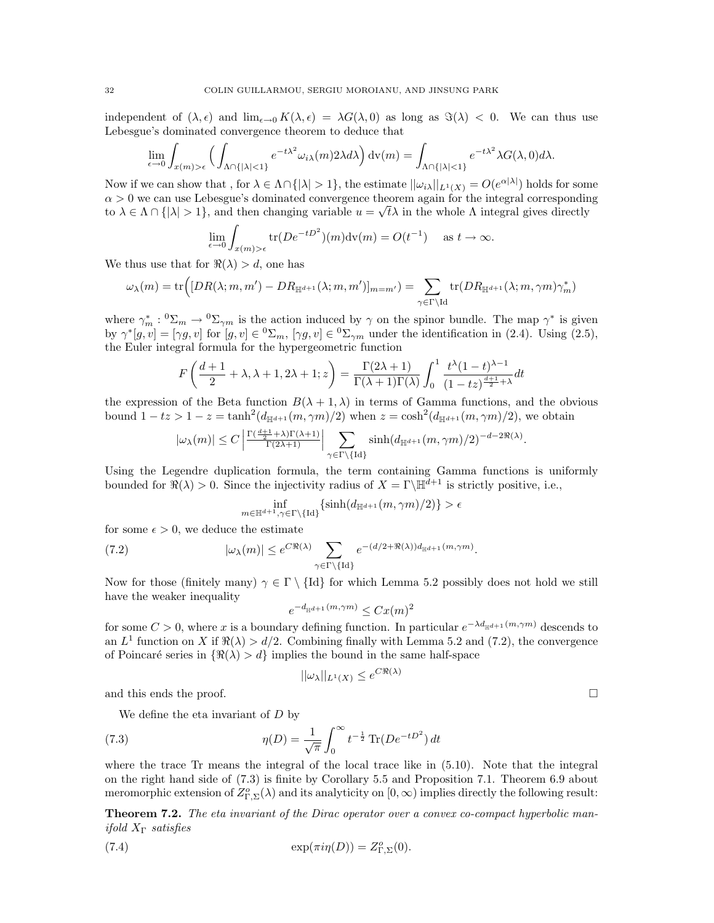independent of  $(\lambda, \epsilon)$  and  $\lim_{\epsilon \to 0} K(\lambda, \epsilon) = \lambda G(\lambda, 0)$  as long as  $\Im(\lambda) < 0$ . We can thus use Lebesgue's dominated convergence theorem to deduce that

$$
\lim_{\epsilon \to 0} \int_{x(m) > \epsilon} \Big( \int_{\Lambda \cap \{ |\lambda| < 1 \}} e^{-t\lambda^2} \omega_{i\lambda}(m) 2\lambda d\lambda \Big) \, \mathrm{d}v(m) = \int_{\Lambda \cap \{ |\lambda| < 1 \}} e^{-t\lambda^2} \lambda G(\lambda, 0) d\lambda.
$$

Now if we can show that, for  $\lambda \in \Lambda \cap \{|\lambda| > 1\}$ , the estimate  $||\omega_{i\lambda}||_{L^1(X)} = O(e^{\alpha |\lambda|})$  holds for some  $\alpha > 0$  we can use Lebesgue's dominated convergence theorem again for the integral corresponding to  $\lambda \in \Lambda \cap \{|\lambda| > 1\}$ , and then changing variable  $u = \sqrt{t}\lambda$  in the whole  $\Lambda$  integral gives directly

$$
\lim_{\epsilon \to 0} \int_{x(m) > \epsilon} \text{tr}(De^{-tD^2})(m) \text{dv}(m) = O(t^{-1}) \quad \text{as } t \to \infty.
$$

We thus use that for  $\Re(\lambda) > d$ , one has

$$
\omega_\lambda(m) = \text{tr}\Big([DR(\lambda; m, m') - DR_{\mathbb{H}^{d+1}}(\lambda; m, m')]_{m=m'}\big) = \sum_{\gamma \in \Gamma \backslash \text{Id}} \text{tr}(DR_{\mathbb{H}^{d+1}}(\lambda; m, \gamma m) \gamma_m^*)
$$

where  $\gamma_m^*: {}^0\Sigma_m \to {}^0\Sigma_{\gamma m}$  is the action induced by  $\gamma$  on the spinor bundle. The map  $\gamma^*$  is given by  $\gamma^*[g, v] = [\gamma g, v]$  for  $[g, v] \in {}^0\Sigma_m$ ,  $[\gamma g, v] \in {}^0\Sigma_{\gamma m}$  under the identification in (2.4). Using (2.5), the Euler integral formula for the hypergeometric function

$$
F\left(\frac{d+1}{2}+\lambda,\lambda+1,2\lambda+1;z\right) = \frac{\Gamma(2\lambda+1)}{\Gamma(\lambda+1)\Gamma(\lambda)} \int_0^1 \frac{t^{\lambda}(1-t)^{\lambda-1}}{(1-tz)^{\frac{d+1}{2}+\lambda}}dt
$$

the expression of the Beta function  $B(\lambda + 1, \lambda)$  in terms of Gamma functions, and the obvious bound  $1-tz > 1-z = \tanh^2(d_{\mathbb{H}^{d+1}}(m, \gamma m)/2)$  when  $z = \cosh^2(d_{\mathbb{H}^{d+1}}(m, \gamma m)/2)$ , we obtain

$$
|\omega_\lambda(m)| \leq C \left| \tfrac{\Gamma(\frac{d+1}{2} + \lambda) \Gamma(\lambda+1)}{\Gamma(2\lambda+1)} \right| \sum_{\gamma \in \Gamma \backslash \{ \mathrm{Id} \}} \sinh(d_{\mathbb{H}^{d+1}}(m, \gamma m)/2)^{-d-2\Re(\lambda)}.
$$

Using the Legendre duplication formula, the term containing Gamma functions is uniformly bounded for  $\Re(\lambda) > 0$ . Since the injectivity radius of  $X = \Gamma \setminus \mathbb{H}^{d+1}$  is strictly positive, i.e.,

$$
\inf_{m \in \mathbb{H}^{d+1}, \gamma \in \Gamma \backslash \{\text{Id}\}} \{\sinh(d_{\mathbb{H}^{d+1}}(m, \gamma m)/2)\} > \epsilon
$$

for some  $\epsilon > 0$ , we deduce the estimate

(7.2) 
$$
|\omega_{\lambda}(m)| \leq e^{C\Re(\lambda)} \sum_{\gamma \in \Gamma \backslash \{\text{Id}\}} e^{-(d/2 + \Re(\lambda))d_{\mathbb{H}^{d+1}}(m, \gamma m)}.
$$

Now for those (finitely many)  $\gamma \in \Gamma \setminus \{Id\}$  for which Lemma 5.2 possibly does not hold we still have the weaker inequality

$$
e^{-d_{\mathbb{H}^{d+1}}(m,\gamma m)} \leq Cx(m)^2
$$

for some  $C > 0$ , where x is a boundary defining function. In particular  $e^{-\lambda d_{\mathbb{H}^{d+1}}(m,\gamma m)}$  descends to an  $L^1$  function on X if  $\Re(\lambda) > d/2$ . Combining finally with Lemma 5.2 and (7.2), the convergence of Poincaré series in  $\{\Re(\lambda) > d\}$  implies the bound in the same half-space

$$
||\omega_{\lambda}||_{L^{1}(X)} \leq e^{C\Re(\lambda)}
$$

and this ends the proof.  $\Box$ 

We define the eta invariant of  $D$  by

(7.3) 
$$
\eta(D) = \frac{1}{\sqrt{\pi}} \int_0^\infty t^{-\frac{1}{2}} \text{Tr}(De^{-tD^2}) dt
$$

where the trace Tr means the integral of the local trace like in (5.10). Note that the integral on the right hand side of (7.3) is finite by Corollary 5.5 and Proposition 7.1. Theorem 6.9 about meromorphic extension of  $Z_{\Gamma,\Sigma}^o(\lambda)$  and its analyticity on  $[0,\infty)$  implies directly the following result:

**Theorem 7.2.** The eta invariant of the Dirac operator over a convex co-compact hyperbolic manifold  $X_{\Gamma}$  satisfies

(7.4) 
$$
\exp(\pi i \eta(D)) = Z_{\Gamma,\Sigma}^o(0).
$$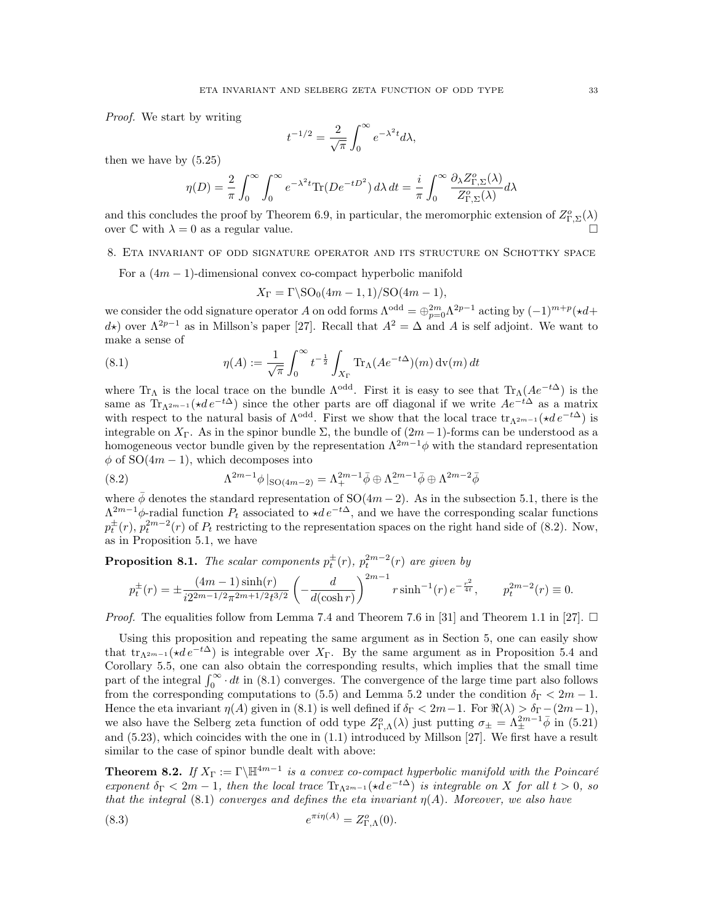Proof. We start by writing

$$
t^{-1/2} = \frac{2}{\sqrt{\pi}} \int_0^\infty e^{-\lambda^2 t} d\lambda,
$$

then we have by (5.25)

$$
\eta(D) = \frac{2}{\pi} \int_0^{\infty} \int_0^{\infty} e^{-\lambda^2 t} \text{Tr}(De^{-tD^2}) d\lambda dt = \frac{i}{\pi} \int_0^{\infty} \frac{\partial_{\lambda} Z_{\Gamma, \Sigma}^o(\lambda)}{Z_{\Gamma, \Sigma}^o(\lambda)} d\lambda
$$

and this concludes the proof by Theorem 6.9, in particular, the meromorphic extension of  $Z_{\Gamma,\Sigma}^o(\lambda)$ over  $\mathbb C$  with  $\lambda = 0$  as a regular value.

### 8. Eta invariant of odd signature operator and its structure on Schottky space

For a  $(4m-1)$ -dimensional convex co-compact hyperbolic manifold

$$
X_{\Gamma} = \Gamma \setminus \text{SO}_0(4m-1,1)/\text{SO}(4m-1),
$$

we consider the odd signature operator A on odd forms  $\Lambda^{odd} = \bigoplus_{p=0}^{2m} \Lambda^{2p-1}$  acting by  $(-1)^{m+p}(*d+1)$ d<sup>\*</sup>) over  $\Lambda^{2p-1}$  as in Millson's paper [27]. Recall that  $A^2 = \Delta$  and A is self adjoint. We want to make a sense of

(8.1) 
$$
\eta(A) := \frac{1}{\sqrt{\pi}} \int_0^\infty t^{-\frac{1}{2}} \int_{X_\Gamma} \text{Tr}_\Lambda(A e^{-t\Delta}) (m) \, \text{dv}(m) \, dt
$$

where Tr<sub>Λ</sub> is the local trace on the bundle  $\Lambda^{odd}$ . First it is easy to see that Tr<sub>Λ</sub>( $Ae^{-t\Delta}$ ) is the same as  $Tr_{\Lambda^{2m-1}}(\star de^{-t\Delta})$  since the other parts are off diagonal if we write  $Ae^{-t\Delta}$  as a matrix with respect to the natural basis of  $\Lambda^{\text{odd}}$ . First we show that the local trace  $\text{tr}_{\Lambda^{2m-1}}(\star de^{-t\Delta})$  is integrable on  $X_{\Gamma}$ . As in the spinor bundle  $\Sigma$ , the bundle of  $(2m-1)$ -forms can be understood as a homogeneous vector bundle given by the representation  $\Lambda^{2m-1}\phi$  with the standard representation  $\phi$  of SO(4m – 1), which decomposes into

(8.2) 
$$
\Lambda^{2m-1} \phi \mid_{\text{SO}(4m-2)} = \Lambda^{2m-1}_+ \bar{\phi} \oplus \Lambda^{2m-1}_- \bar{\phi} \oplus \Lambda^{2m-2}_- \bar{\phi}
$$

where  $\bar{\phi}$  denotes the standard representation of SO(4m – 2). As in the subsection 5.1, there is the  $\Lambda^{2m-1}\phi$ -radial function  $P_t$  associated to  $\star de^{-t\Delta}$ , and we have the corresponding scalar functions  $p_t^{\pm}(r)$ ,  $p_t^{2m-2}(r)$  of  $P_t$  restricting to the representation spaces on the right hand side of (8.2). Now, as in Proposition 5.1, we have

**Proposition 8.1.** The scalar components  $p_t^{\pm}(r)$ ,  $p_t^{2m-2}(r)$  are given by

$$
p_t^{\pm}(r) = \pm \frac{(4m-1)\sinh(r)}{i2^{2m-1/2}\pi^{2m+1/2}t^{3/2}} \left(-\frac{d}{d(\cosh r)}\right)^{2m-1} r \sinh^{-1}(r) e^{-\frac{r^2}{4t}}, \qquad p_t^{2m-2}(r) \equiv 0.
$$

*Proof.* The equalities follow from Lemma 7.4 and Theorem 7.6 in [31] and Theorem 1.1 in [27].  $\Box$ 

Using this proposition and repeating the same argument as in Section 5, one can easily show that tr<sub> $\Lambda^{2m-1} (\star de^{-t\Delta})$  is integrable over  $X_{\Gamma}$ . By the same argument as in Proposition 5.4 and</sub> Corollary 5.5, one can also obtain the corresponding results, which implies that the small time part of the integral  $\int_0^\infty dt$  in (8.1) converges. The convergence of the large time part also follows from the corresponding computations to (5.5) and Lemma 5.2 under the condition  $\delta_{\Gamma} < 2m - 1$ . Hence the eta invariant  $\eta(A)$  given in (8.1) is well defined if  $\delta_{\Gamma} < 2m-1$ . For  $\Re(\lambda) > \delta_{\Gamma} - (2m-1)$ , we also have the Selberg zeta function of odd type  $Z_{\Gamma,\Lambda}^o(\lambda)$  just putting  $\sigma_{\pm} = \Lambda_{\pm}^{2m-1} \bar{\phi}$  in (5.21) and (5.23), which coincides with the one in (1.1) introduced by Millson [27]. We first have a result similar to the case of spinor bundle dealt with above:

**Theorem 8.2.** If  $X_{\Gamma} := \Gamma \backslash \mathbb{H}^{4m-1}$  is a convex co-compact hyperbolic manifold with the Poincaré exponent  $\delta_{\Gamma}$  < 2m − 1, then the local trace  $\text{Tr}_{\Lambda^{2m-1}}(*de^{-t\Delta})$  is integrable on X for all  $t > 0$ , so that the integral (8.1) converges and defines the eta invariant  $\eta(A)$ . Moreover, we also have

(8.3) 
$$
e^{\pi i \eta(A)} = Z_{\Gamma,\Lambda}^o(0).
$$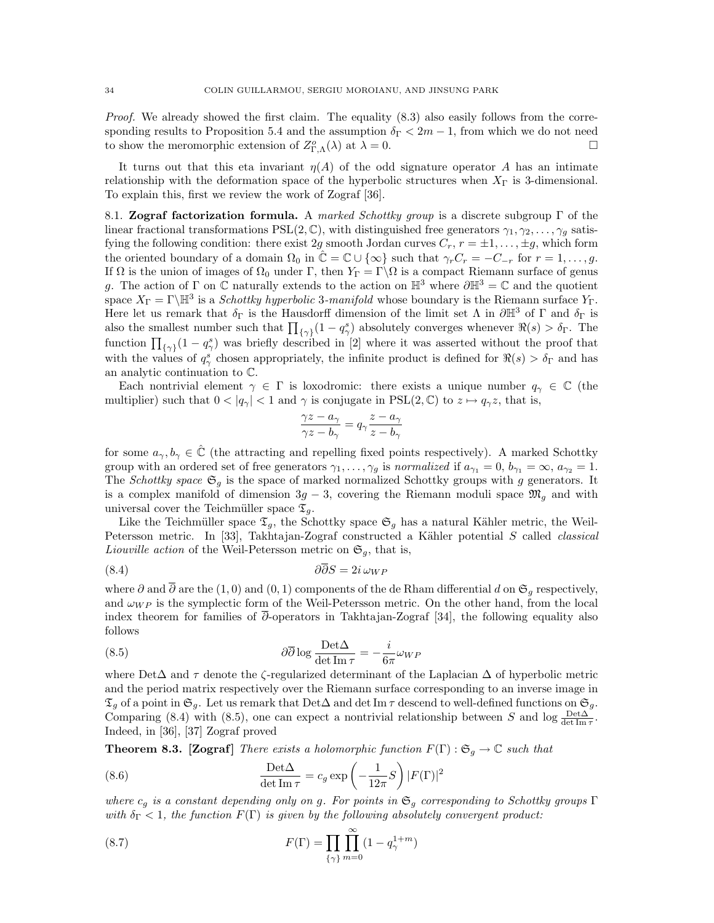Proof. We already showed the first claim. The equality (8.3) also easily follows from the corresponding results to Proposition 5.4 and the assumption  $\delta_{\Gamma} < 2m - 1$ , from which we do not need to show the meromorphic extension of  $Z_{\Gamma,\Lambda}^o(\lambda)$  at  $\lambda = 0$ .

It turns out that this eta invariant  $\eta(A)$  of the odd signature operator A has an intimate relationship with the deformation space of the hyperbolic structures when  $X_{\Gamma}$  is 3-dimensional. To explain this, first we review the work of Zograf [36].

8.1. Zograf factorization formula. A marked Schottky group is a discrete subgroup  $\Gamma$  of the linear fractional transformations  $PSL(2, \mathbb{C})$ , with distinguished free generators  $\gamma_1, \gamma_2, \ldots, \gamma_q$  satisfying the following condition: there exist 2g smooth Jordan curves  $C_r$ ,  $r = \pm 1, \ldots, \pm g$ , which form the oriented boundary of a domain  $\Omega_0$  in  $\hat{\mathbb{C}} = \mathbb{C} \cup \{\infty\}$  such that  $\gamma_r C_r = -C_{-r}$  for  $r = 1, \ldots, g$ . If  $\Omega$  is the union of images of  $\Omega_0$  under  $\Gamma$ , then  $Y_{\Gamma} = \Gamma \backslash \Omega$  is a compact Riemann surface of genus g. The action of Γ on  $\mathbb C$  naturally extends to the action on  $\mathbb H^3$  where  $\partial \mathbb H^3 = \mathbb C$  and the quotient space  $X_{\Gamma} = \Gamma \backslash \mathbb{H}^3$  is a *Schottky hyperbolic* 3-manifold whose boundary is the Riemann surface  $Y_{\Gamma}$ . Here let us remark that  $\delta_{\Gamma}$  is the Hausdorff dimension of the limit set  $\Lambda$  in  $\partial \mathbb{H}^3$  of  $\Gamma$  and  $\delta_{\Gamma}$  is also the smallest number such that  $\prod_{\{\gamma\}}(1-q^s)$  absolutely converges whenever  $\Re(s) > \delta_{\Gamma}$ . The function  $\prod_{\{\gamma\}}(1-q_{\gamma}^s)$  was briefly described in [2] where it was asserted without the proof that with the values of  $q_{\gamma}^{s}$  chosen appropriately, the infinite product is defined for  $\Re(s) > \delta_{\Gamma}$  and has an analytic continuation to C.

Each nontrivial element  $\gamma \in \Gamma$  is loxodromic: there exists a unique number  $q_{\gamma} \in \mathbb{C}$  (the multiplier) such that  $0 < |q_{\gamma}| < 1$  and  $\gamma$  is conjugate in PSL(2,  $\mathbb{C}$ ) to  $z \mapsto q_{\gamma}z$ , that is,

$$
\frac{\gamma z-a_\gamma}{\gamma z-b_\gamma}=q_\gamma\frac{z-a_\gamma}{z-b_\gamma}
$$

for some  $a_{\gamma}, b_{\gamma} \in \mathbb{C}$  (the attracting and repelling fixed points respectively). A marked Schottky group with an ordered set of free generators  $\gamma_1, \ldots, \gamma_g$  is normalized if  $a_{\gamma_1} = 0, b_{\gamma_1} = \infty, a_{\gamma_2} = 1$ . The Schottky space  $\mathfrak{S}_q$  is the space of marked normalized Schottky groups with g generators. It is a complex manifold of dimension  $3g - 3$ , covering the Riemann moduli space  $\mathfrak{M}_g$  and with universal cover the Teichmüller space  $\mathfrak{T}_g$ .

Like the Teichmüller space  $\mathfrak{T}_g$ , the Schottky space  $\mathfrak{S}_g$  has a natural Kähler metric, the Weil-Petersson metric. In [33], Takhtajan-Zograf constructed a Kähler potential S called *classical* Liouville action of the Weil-Petersson metric on  $\mathfrak{S}_g$ , that is,

$$
(8.4) \t\t\t \t\t \partial \partial S = 2i \,\omega_{WP}
$$

where  $\partial$  and  $\overline{\partial}$  are the (1,0) and (0,1) components of the de Rham differential d on  $\mathfrak{S}_q$  respectively, and  $\omega_{WP}$  is the symplectic form of the Weil-Petersson metric. On the other hand, from the local index theorem for families of  $\overline{\partial}$ -operators in Takhtajan-Zograf [34], the following equality also follows

(8.5) 
$$
\partial \overline{\partial} \log \frac{\text{Det}\Delta}{\det \text{Im} \tau} = -\frac{i}{6\pi} \omega_{WP}
$$

where Det $\Delta$  and  $\tau$  denote the  $\zeta$ -regularized determinant of the Laplacian  $\Delta$  of hyperbolic metric and the period matrix respectively over the Riemann surface corresponding to an inverse image in  $\mathfrak{T}_q$  of a point in  $\mathfrak{S}_q$ . Let us remark that Det $\Delta$  and det Im  $\tau$  descend to well-defined functions on  $\mathfrak{S}_q$ . Comparing (8.4) with (8.5), one can expect a nontrivial relationship between S and  $\log \frac{\text{Det}\Delta}{\det \text{Im }\tau}$ . Indeed, in [36], [37] Zograf proved

**Theorem 8.3. [Zograf]** There exists a holomorphic function  $F(\Gamma) : \mathfrak{S}_g \to \mathbb{C}$  such that

(8.6) 
$$
\frac{\text{Det}\Delta}{\det \text{Im}\,\tau} = c_g \exp\left(-\frac{1}{12\pi}S\right)|F(\Gamma)|^2
$$

where  $c_g$  is a constant depending only on g. For points in  $\mathfrak{S}_g$  corresponding to Schottky groups  $\Gamma$ with  $\delta_{\Gamma} < 1$ , the function  $F(\Gamma)$  is given by the following absolutely convergent product:

(8.7) 
$$
F(\Gamma) = \prod_{\{\gamma\}} \prod_{m=0}^{\infty} (1 - q_{\gamma}^{1+m})
$$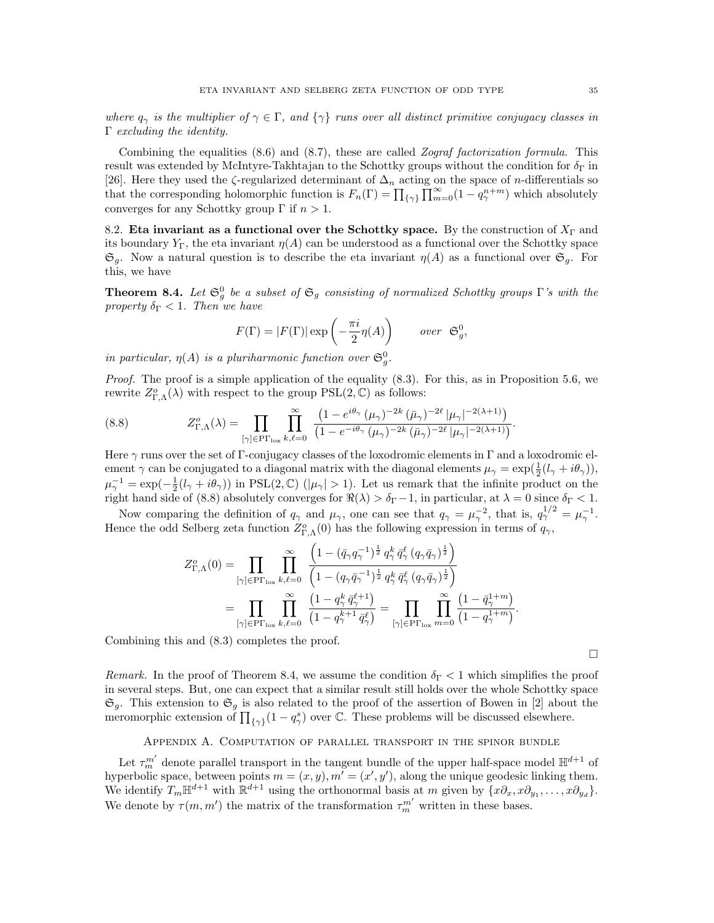where  $q_{\gamma}$  is the multiplier of  $\gamma \in \Gamma$ , and  $\{\gamma\}$  runs over all distinct primitive conjugacy classes in  $\Gamma$  excluding the identity.

Combining the equalities  $(8.6)$  and  $(8.7)$ , these are called Zograf factorization formula. This result was extended by McIntyre-Takhtajan to the Schottky groups without the condition for  $\delta_{\Gamma}$  in [26]. Here they used the  $\zeta$ -regularized determinant of  $\Delta_n$  acting on the space of *n*-differentials so that the corresponding holomorphic function is  $F_n(\Gamma) = \prod_{\{\gamma\}} \prod_{m=0}^{\infty} (1 - q_\gamma^{n+m})$  which absolutely converges for any Schottky group  $\Gamma$  if  $n > 1$ .

8.2. Eta invariant as a functional over the Schottky space. By the construction of  $X_{\Gamma}$  and its boundary  $Y_{\Gamma}$ , the eta invariant  $\eta(A)$  can be understood as a functional over the Schottky space  $\mathfrak{S}_q$ . Now a natural question is to describe the eta invariant  $\eta(A)$  as a functional over  $\mathfrak{S}_q$ . For this, we have

**Theorem 8.4.** Let  $\mathfrak{S}_{g}^{0}$  be a subset of  $\mathfrak{S}_{g}$  consisting of normalized Schottky groups  $\Gamma$ 's with the property  $\delta_{\Gamma}$  < 1. Then we have

$$
F(\Gamma) = |F(\Gamma)| \exp\left(-\frac{\pi i}{2} \eta(A)\right) \qquad over \ \mathfrak{S}_g^0,
$$

in particular,  $\eta(A)$  is a pluriharmonic function over  $\mathfrak{S}_{g}^{0}$ .

*Proof.* The proof is a simple application of the equality  $(8.3)$ . For this, as in Proposition 5.6, we rewrite  $Z_{\Gamma,\Lambda}^o(\lambda)$  with respect to the group  $PSL(2,\mathbb{C})$  as follows:

(8.8) 
$$
Z_{\Gamma,\Lambda}^o(\lambda) = \prod_{[\gamma] \in \text{PT}_{\text{lox}}} \prod_{k,\ell=0}^{\infty} \frac{\left(1 - e^{i\theta_{\gamma}} \left(\mu_{\gamma}\right)^{-2k} \left(\bar{\mu}_{\gamma}\right)^{-2\ell} |\mu_{\gamma}|^{-2(\lambda+1)}\right)}{\left(1 - e^{-i\theta_{\gamma}} \left(\mu_{\gamma}\right)^{-2k} \left(\bar{\mu}_{\gamma}\right)^{-2\ell} |\mu_{\gamma}|^{-2(\lambda+1)}\right)}.
$$

Here  $\gamma$  runs over the set of Γ-conjugacy classes of the loxodromic elements in Γ and a loxodromic element  $\gamma$  can be conjugated to a diagonal matrix with the diagonal elements  $\mu_{\gamma} = \exp(\frac{1}{2}(l_{\gamma} + i\theta_{\gamma}))$ ,  $\mu_{\gamma}^{-1} = \exp(-\frac{1}{2}(l_{\gamma} + i\theta_{\gamma}))$  in PSL(2, C) ( $|\mu_{\gamma}| > 1$ ). Let us remark that the infinite product on the right hand side of (8.8) absolutely converges for  $\Re(\lambda) > \delta_{\Gamma} - 1$ , in particular, at  $\lambda = 0$  since  $\delta_{\Gamma} < 1$ .

Now comparing the definition of  $q_{\gamma}$  and  $\mu_{\gamma}$ , one can see that  $q_{\gamma} = \mu_{\gamma}^{-2}$ , that is,  $q_{\gamma}^{1/2} = \mu_{\gamma}^{-1}$ . Hence the odd Selberg zeta function  $Z_{\Gamma,\Lambda}^o(0)$  has the following expression in terms of  $q_{\gamma}$ ,

$$
Z_{\Gamma,\Lambda}^{o}(0) = \prod_{[\gamma] \in \text{PT}_{\text{lox}}} \prod_{k,\ell=0}^{\infty} \frac{\left(1 - (\bar{q}_{\gamma}q_{\gamma}^{-1})^{\frac{1}{2}} q_{\gamma}^{k} \bar{q}_{\gamma}^{\ell} (q_{\gamma}\bar{q}_{\gamma})^{\frac{1}{2}}\right)}{\left(1 - (q_{\gamma}\bar{q}_{\gamma}^{-1})^{\frac{1}{2}} q_{\gamma}^{k} \bar{q}_{\gamma}^{\ell} (q_{\gamma}\bar{q}_{\gamma})^{\frac{1}{2}}\right)}
$$
  

$$
= \prod_{[\gamma] \in \text{PT}_{\text{lox}}} \prod_{k,\ell=0}^{\infty} \frac{\left(1 - q_{\gamma}^{k} \bar{q}_{\gamma}^{\ell+1}\right)}{\left(1 - q_{\gamma}^{k+1} \bar{q}_{\gamma}^{\ell}\right)} = \prod_{[\gamma] \in \text{PT}_{\text{lox}}} \prod_{m=0}^{\infty} \frac{\left(1 - \bar{q}_{\gamma}^{1+m}\right)}{\left(1 - q_{\gamma}^{1+m}\right)}.
$$

Combining this and (8.3) completes the proof.

 $\Box$ 

Remark. In the proof of Theorem 8.4, we assume the condition  $\delta_{\Gamma} < 1$  which simplifies the proof in several steps. But, one can expect that a similar result still holds over the whole Schottky space  $\mathfrak{S}_g$ . This extension to  $\mathfrak{S}_g$  is also related to the proof of the assertion of Bowen in [2] about the meromorphic extension of  $\prod_{\{\gamma\}}(1-q_{\gamma}^{s})$  over C. These problems will be discussed elsewhere.

### Appendix A. Computation of parallel transport in the spinor bundle

Let  $\tau_m^{m'}$  denote parallel transport in the tangent bundle of the upper half-space model  $\mathbb{H}^{d+1}$  of hyperbolic space, between points  $m = (x, y), m' = (x', y')$ , along the unique geodesic linking them. We identify  $T_m \mathbb{H}^{d+1}$  with  $\mathbb{R}^{d+1}$  using the orthonormal basis at m given by  $\{x\partial_x, x\partial_{y_1}, \ldots, x\partial_{y_d}\}.$ We denote by  $\tau(m, m')$  the matrix of the transformation  $\tau_m^{m'}$  written in these bases.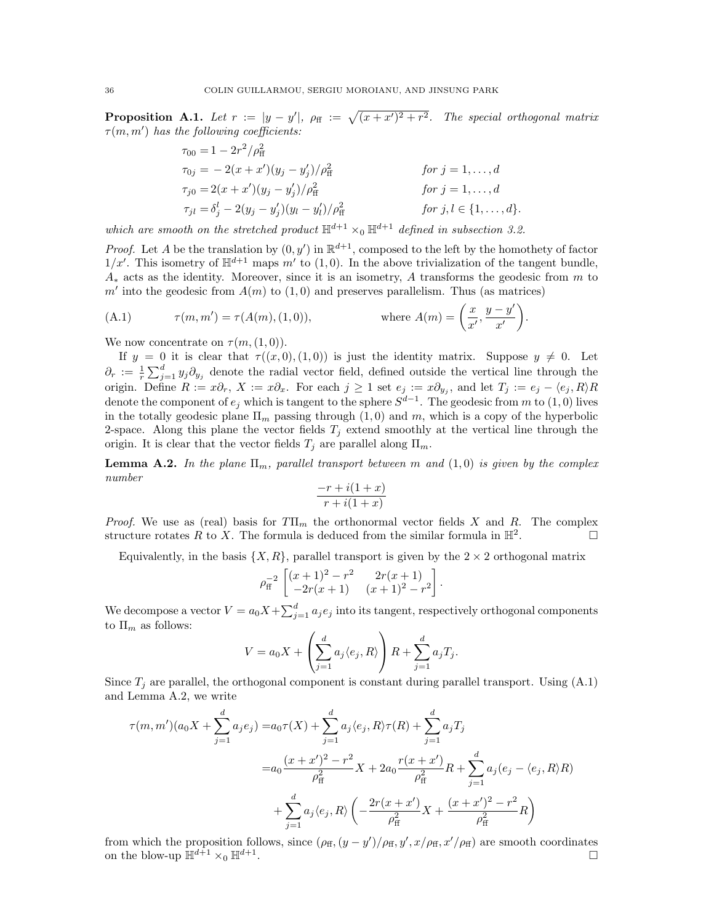**Proposition A.1.** Let  $r := |y - y'|$ ,  $\rho_{\text{ff}} := \sqrt{(x + x')^2 + r^2}$ . The special orthogonal matrix  $\tau(m, m')$  has the following coefficients:

$$
\tau_{00} = 1 - 2r^2/\rho_{\rm ff}^2
$$
  
\n
$$
\tau_{0j} = -2(x + x')(y_j - y_j')/\rho_{\rm ff}^2
$$
  
\n
$$
\tau_{j0} = 2(x + x')(y_j - y_j')/\rho_{\rm ff}^2
$$
  
\n
$$
\tau_{jl} = \delta_j^l - 2(y_j - y_j')(y_l - y_l')/\rho_{\rm ff}^2
$$
  
\nfor  $j = 1, ..., d$   
\nfor  $j, l \in \{1, ..., d\}$ .

which are smooth on the stretched product  $\mathbb{H}^{d+1} \times_0 \mathbb{H}^{d+1}$  defined in subsection 3.2.

*Proof.* Let A be the translation by  $(0, y')$  in  $\mathbb{R}^{d+1}$ , composed to the left by the homothety of factor  $1/x'$ . This isometry of  $\mathbb{H}^{d+1}$  maps m' to (1,0). In the above trivialization of the tangent bundle,  $A_{*}$  acts as the identity. Moreover, since it is an isometry, A transforms the geodesic from m to  $m'$  into the geodesic from  $A(m)$  to  $(1,0)$  and preserves parallelism. Thus (as matrices)

(A.1) 
$$
\tau(m, m') = \tau(A(m), (1, 0)),
$$
 where  $A(m) = \left(\frac{x}{x'}, \frac{y - y'}{x'}\right).$ 

We now concentrate on  $\tau(m,(1,0))$ .

If  $y = 0$  it is clear that  $\tau((x, 0), (1, 0))$  is just the identity matrix. Suppose  $y \neq 0$ . Let  $\partial_r := \frac{1}{r} \sum_{j=1}^d y_j \partial_{y_j}$  denote the radial vector field, defined outside the vertical line through the origin. Define  $R := x\partial_r$ ,  $X := x\partial_x$ . For each  $j \ge 1$  set  $e_j := x\partial_{y_j}$ , and let  $T_j := e_j - \langle e_j, R \rangle R$ denote the component of  $e_j$  which is tangent to the sphere  $S^{d-1}$ . The geodesic from m to  $(1,0)$  lives in the totally geodesic plane  $\Pi_m$  passing through  $(1,0)$  and m, which is a copy of the hyperbolic 2-space. Along this plane the vector fields  $T_j$  extend smoothly at the vertical line through the origin. It is clear that the vector fields  $T_j$  are parallel along  $\Pi_m$ .

**Lemma A.2.** In the plane  $\Pi_m$ , parallel transport between m and  $(1,0)$  is given by the complex number

$$
\frac{-r + i(1+x)}{r + i(1+x)}
$$

*Proof.* We use as (real) basis for  $T\Pi_m$  the orthonormal vector fields X and R. The complex structure rotates R to X. The formula is deduced from the similar formula in  $\mathbb{H}^2$ . .

Equivalently, in the basis  $\{X, R\}$ , parallel transport is given by the  $2 \times 2$  orthogonal matrix

$$
\rho_{\rm ff}^{-2} \begin{bmatrix} (x+1)^2 - r^2 & 2r(x+1) \\ -2r(x+1) & (x+1)^2 - r^2 \end{bmatrix}.
$$

We decompose a vector  $V = a_0 X + \sum_{j=1}^d a_j e_j$  into its tangent, respectively orthogonal components to  $\Pi_m$  as follows:

$$
V = a_0 X + \left(\sum_{j=1}^d a_j \langle e_j, R \rangle\right) R + \sum_{j=1}^d a_j T_j.
$$

Since  $T_i$  are parallel, the orthogonal component is constant during parallel transport. Using  $(A.1)$ and Lemma A.2, we write

$$
\tau(m, m')(a_0 X + \sum_{j=1}^d a_j e_j) = a_0 \tau(X) + \sum_{j=1}^d a_j \langle e_j, R \rangle \tau(R) + \sum_{j=1}^d a_j T_j
$$
  

$$
= a_0 \frac{(x + x')^2 - r^2}{\rho_{\rm ff}^2} X + 2a_0 \frac{r(x + x')}{\rho_{\rm ff}^2} R + \sum_{j=1}^d a_j (e_j - \langle e_j, R \rangle R)
$$
  

$$
+ \sum_{j=1}^d a_j \langle e_j, R \rangle \left( -\frac{2r(x + x')}{\rho_{\rm ff}^2} X + \frac{(x + x')^2 - r^2}{\rho_{\rm ff}^2} R \right)
$$

from which the proposition follows, since  $(\rho_{\rm ff}$ ,  $(y - y')/\rho_{\rm ff}$ ,  $y', x/\rho_{\rm ff}$ ,  $x'/\rho_{\rm ff}$ ) are smooth coordinates on the blow-up  $\mathbb{H}^{d+1} \times_0 \mathbb{H}^{d+1}$ . .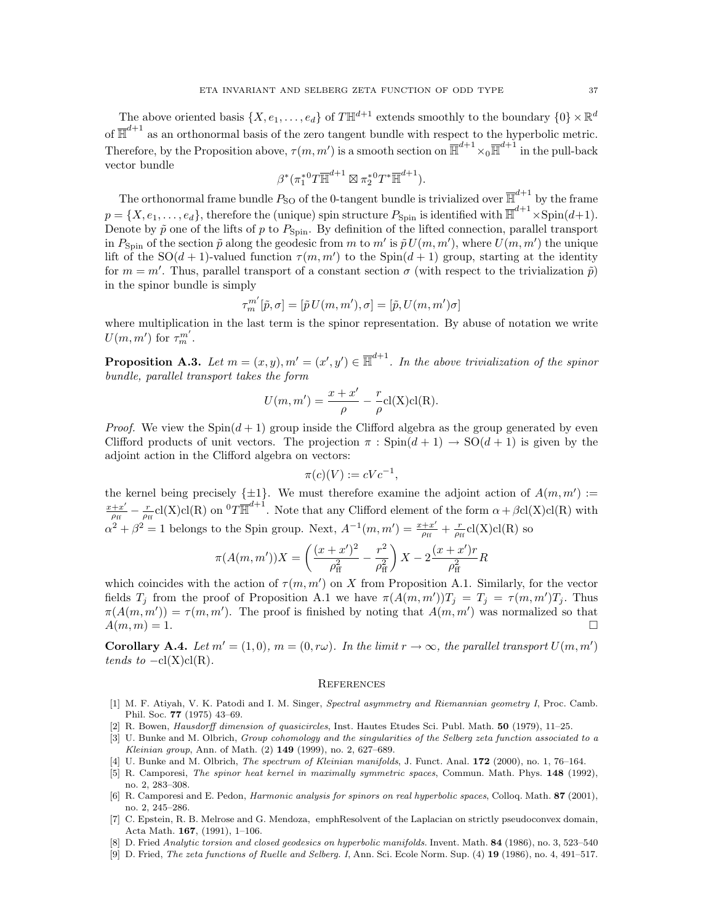The above oriented basis  $\{X, e_1, \ldots, e_d\}$  of  $T \mathbb{H}^{d+1}$  extends smoothly to the boundary  $\{0\} \times \mathbb{R}^d$ of  $\overline{\mathbb{H}}^{d+1}$  as an orthonormal basis of the zero tangent bundle with respect to the hyperbolic metric. Therefore, by the Proposition above,  $\tau(m, m')$  is a smooth section on  $\overline{\mathbb{H}}^{d+1} \times_0 \overline{\mathbb{H}}^{d+1}$  in the pull-back vector bundle

$$
\beta^*(\pi_1^* {^0T}\overline{\mathbb{H}}^{d+1}\boxtimes \pi_2^* {^0T}^*\overline{\mathbb{H}}^{d+1}).
$$

The orthonormal frame bundle  $P_{\text{SO}}$  of the 0-tangent bundle is trivialized over  $\overline{\mathbb{H}}^{d+1}$  by the frame  $p = \{X, e_1, \ldots, e_d\}$ , therefore the (unique) spin structure  $P_{\text{Spin}}$  is identified with  $\overline{\mathbb{H}}^{d+1} \times \text{Spin}(d+1)$ . Denote by  $\tilde{p}$  one of the lifts of p to  $P_{\text{Spin}}$ . By definition of the lifted connection, parallel transport in  $P_{\text{Spin}}$  of the section  $\tilde{p}$  along the geodesic from m to m' is  $\tilde{p} U(m, m')$ , where  $U(m, m')$  the unique lift of the SO(d + 1)-valued function  $\tau(m, m')$  to the Spin(d + 1) group, starting at the identity for  $m = m'$ . Thus, parallel transport of a constant section  $\sigma$  (with respect to the trivialization  $\tilde{p}$ ) in the spinor bundle is simply

$$
\tau_m^{m'}[\tilde{p},\sigma]=[\tilde{p}\,U(m,m'),\sigma]=[\tilde{p},U(m,m')\sigma]
$$

where multiplication in the last term is the spinor representation. By abuse of notation we write  $U(m, m')$  for  $\tau_m^{m'}$ .

**Proposition A.3.** Let  $m = (x, y), m' = (x', y') \in \overline{\mathbb{H}}^{d+1}$ . In the above trivialization of the spinor bundle, parallel transport takes the form

$$
U(m, m') = \frac{x + x'}{\rho} - \frac{r}{\rho} \operatorname{cl}(X) \operatorname{cl}(R).
$$

*Proof.* We view the  $Spin(d+1)$  group inside the Clifford algebra as the group generated by even Clifford products of unit vectors. The projection  $\pi : Spin(d+1) \rightarrow SO(d+1)$  is given by the adjoint action in the Clifford algebra on vectors:

$$
\pi(c)(V) := cVc^{-1},
$$

the kernel being precisely  $\{\pm 1\}$ . We must therefore examine the adjoint action of  $A(m, m') :=$  $x + x'$  $\frac{+x'}{\rho_{\rm ff}} - \frac{r}{\rho_{\rm ff}}$ cl(X)cl(R) on  ${}^{0}T\overline{\mathbb{H}}^{d+1}$ . Note that any Clifford element of the form  $\alpha + \beta$ cl(X)cl(R) with  $\alpha^2 + \beta^2 = 1$  belongs to the Spin group. Next,  $A^{-1}(m, m') = \frac{x + x'}{2}$  $\frac{+x'}{\rho_{\rm ff}} + \frac{r}{\rho_{\rm ff}} {\rm cl(X)cl(R)}$  so

$$
\pi(A(m, m'))X = \left(\frac{(x + x')^2}{\rho_{\rm ff}^2} - \frac{r^2}{\rho_{\rm ff}^2}\right)X - 2\frac{(x + x')r}{\rho_{\rm ff}^2}R
$$

which coincides with the action of  $\tau(m, m')$  on X from Proposition A.1. Similarly, for the vector fields  $T_j$  from the proof of Proposition A.1 we have  $\pi(A(m, m'))T_j = T_j = \tau(m, m')T_j$ . Thus  $\pi(A(m, m')) = \tau(m, m')$ . The proof is finished by noting that  $A(m, m')$  was normalized so that  $A(m, m) = 1.$ 

**Corollary A.4.** Let  $m' = (1, 0), m = (0, r\omega)$ . In the limit  $r \to \infty$ , the parallel transport  $U(m, m')$ tends to  $-cl(X)cl(R)$ .

#### **REFERENCES**

- [1] M. F. Atiyah, V. K. Patodi and I. M. Singer, Spectral asymmetry and Riemannian geometry I, Proc. Camb. Phil. Soc. 77 (1975) 43–69.
- [2] R. Bowen, Hausdorff dimension of quasicircles, Inst. Hautes Etudes Sci. Publ. Math. 50 (1979), 11–25.
- [3] U. Bunke and M. Olbrich, Group cohomology and the singularities of the Selberg zeta function associated to a Kleinian group, Ann. of Math. (2) 149 (1999), no. 2, 627–689.
- [4] U. Bunke and M. Olbrich, The spectrum of Kleinian manifolds, J. Funct. Anal. 172 (2000), no. 1, 76–164.
- [5] R. Camporesi, The spinor heat kernel in maximally symmetric spaces, Commun. Math. Phys. 148 (1992), no. 2, 283–308.
- [6] R. Camporesi and E. Pedon, *Harmonic analysis for spinors on real hyperbolic spaces*, Colloq. Math. 87 (2001), no. 2, 245–286.
- [7] C. Epstein, R. B. Melrose and G. Mendoza, emphResolvent of the Laplacian on strictly pseudoconvex domain, Acta Math. 167, (1991), 1–106.
- [8] D. Fried Analytic torsion and closed geodesics on hyperbolic manifolds. Invent. Math. 84 (1986), no. 3, 523–540
- [9] D. Fried, The zeta functions of Ruelle and Selberg. I, Ann. Sci. Ecole Norm. Sup. (4) 19 (1986), no. 4, 491–517.